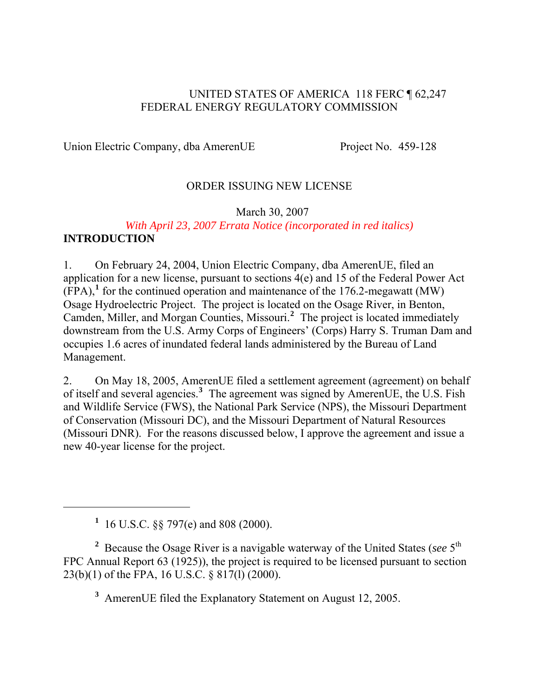#### UNITED STATES OF AMERICA 118 FERC ¶ 62,247 FEDERAL ENERGY REGULATORY COMMISSION

Union Electric Company, dba AmerenUE Project No. 459-128

#### ORDER ISSUING NEW LICENSE

#### March 30, 2007

#### *With April 23, 2007 Errata Notice (incorporated in red italics)*  **INTRODUCTION**

1. On February 24, 2004, Union Electric Company, dba AmerenUE, filed an application for a new license, pursuant to sections 4(e) and 15 of the Federal Power Act  $(\overline{FPA})$ ,<sup>[1](#page-0-0)</sup> for the continued operation and maintenance of the 176.2-megawatt (MW) Osage Hydroelectric Project. The project is located on the Osage River, in Benton, Camden, Miller, and Morgan Counties, Missouri.**[2](#page-0-1)** The project is located immediately downstream from the U.S. Army Corps of Engineers' (Corps) Harry S. Truman Dam and occupies 1.6 acres of inundated federal lands administered by the Bureau of Land Management.

2. On May 18, 2005, AmerenUE filed a settlement agreement (agreement) on behalf of itself and several agencies.**[3](#page-0-2)** The agreement was signed by AmerenUE, the U.S. Fish and Wildlife Service (FWS), the National Park Service (NPS), the Missouri Department of Conservation (Missouri DC), and the Missouri Department of Natural Resources (Missouri DNR). For the reasons discussed below, I approve the agreement and issue a new 40-year license for the project.

<span id="page-0-0"></span> $\overline{a}$ 

**3** AmerenUE filed the Explanatory Statement on August 12, 2005.

**<sup>1</sup>** 16 U.S.C. §§ 797(e) and 808 (2000).

<span id="page-0-2"></span><span id="page-0-1"></span><sup>&</sup>lt;sup>2</sup> Because the Osage River is a navigable waterway of the United States (*see* 5<sup>th</sup>) FPC Annual Report 63 (1925)), the project is required to be licensed pursuant to section 23(b)(1) of the FPA, 16 U.S.C. § 817(l) (2000).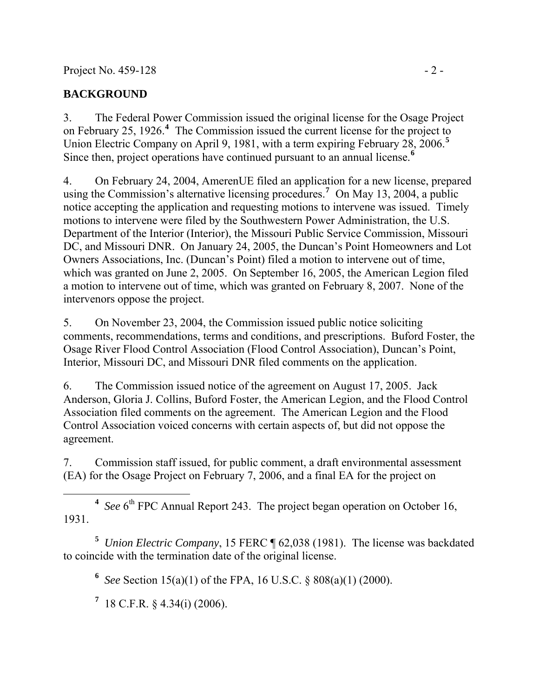### **BACKGROUND**

3. The Federal Power Commission issued the original license for the Osage Project on February 25, 1926.**[4](#page-1-0)** The Commission issued the current license for the project to Union Electric Company on April 9, 1981, with a term expiring February 28, 2006.**[5](#page-1-1)** Since then, project operations have continued pursuant to an annual license.**[6](#page-1-2)**

4. On February 24, 2004, AmerenUE filed an application for a new license, prepared using the Commission's alternative licensing procedures.**[7](#page-1-3)** On May 13, 2004, a public notice accepting the application and requesting motions to intervene was issued. Timely motions to intervene were filed by the Southwestern Power Administration, the U.S. Department of the Interior (Interior), the Missouri Public Service Commission, Missouri DC, and Missouri DNR. On January 24, 2005, the Duncan's Point Homeowners and Lot Owners Associations, Inc. (Duncan's Point) filed a motion to intervene out of time, which was granted on June 2, 2005. On September 16, 2005, the American Legion filed a motion to intervene out of time, which was granted on February 8, 2007. None of the intervenors oppose the project.

5. On November 23, 2004, the Commission issued public notice soliciting comments, recommendations, terms and conditions, and prescriptions. Buford Foster, the Osage River Flood Control Association (Flood Control Association), Duncan's Point, Interior, Missouri DC, and Missouri DNR filed comments on the application.

6. The Commission issued notice of the agreement on August 17, 2005. Jack Anderson, Gloria J. Collins, Buford Foster, the American Legion, and the Flood Control Association filed comments on the agreement. The American Legion and the Flood Control Association voiced concerns with certain aspects of, but did not oppose the agreement.

7. Commission staff issued, for public comment, a draft environmental assessment (EA) for the Osage Project on February 7, 2006, and a final EA for the project on

<span id="page-1-0"></span> $\overline{a}$ <sup>4</sup> See  $6<sup>th</sup>$  FPC Annual Report 243. The project began operation on October 16, 1931.

<span id="page-1-3"></span><span id="page-1-2"></span><span id="page-1-1"></span>**5** *Union Electric Company*, 15 FERC ¶ 62,038 (1981). The license was backdated to coincide with the termination date of the original license.

**6** *See* Section 15(a)(1) of the FPA, 16 U.S.C. § 808(a)(1) (2000).

**7** 18 C.F.R. § 4.34(i) (2006).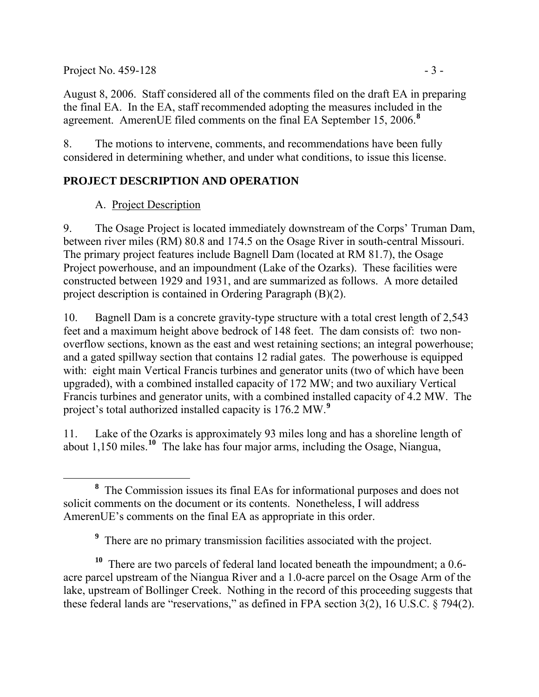Project No.  $459-128$  - 3 -

August 8, 2006. Staff considered all of the comments filed on the draft EA in preparing the final EA. In the EA, staff recommended adopting the measures included in the agreement. AmerenUE filed comments on the final EA September 15, 2006.**[8](#page-2-0)**

8. The motions to intervene, comments, and recommendations have been fully considered in determining whether, and under what conditions, to issue this license.

## **PROJECT DESCRIPTION AND OPERATION**

### A. Project Description

9. The Osage Project is located immediately downstream of the Corps' Truman Dam, between river miles (RM) 80.8 and 174.5 on the Osage River in south-central Missouri. The primary project features include Bagnell Dam (located at RM 81.7), the Osage Project powerhouse, and an impoundment (Lake of the Ozarks). These facilities were constructed between 1929 and 1931, and are summarized as follows. A more detailed project description is contained in Ordering Paragraph (B)(2).

10. Bagnell Dam is a concrete gravity-type structure with a total crest length of 2,543 feet and a maximum height above bedrock of 148 feet. The dam consists of: two nonoverflow sections, known as the east and west retaining sections; an integral powerhouse; and a gated spillway section that contains 12 radial gates. The powerhouse is equipped with: eight main Vertical Francis turbines and generator units (two of which have been upgraded), with a combined installed capacity of 172 MW; and two auxiliary Vertical Francis turbines and generator units, with a combined installed capacity of 4.2 MW. The project's total authorized installed capacity is 176.2 MW.**[9](#page-2-1)**

11. Lake of the Ozarks is approximately 93 miles long and has a shoreline length of about 1,150 miles.**[10](#page-2-2)** The lake has four major arms, including the Osage, Niangua,

<span id="page-2-2"></span><span id="page-2-1"></span>**<sup>10</sup>** There are two parcels of federal land located beneath the impoundment; a 0.6 acre parcel upstream of the Niangua River and a 1.0-acre parcel on the Osage Arm of the lake, upstream of Bollinger Creek. Nothing in the record of this proceeding suggests that these federal lands are "reservations," as defined in FPA section 3(2), 16 U.S.C. § 794(2).

<span id="page-2-0"></span>**<sup>8</sup>** <sup>8</sup> The Commission issues its final EAs for informational purposes and does not solicit comments on the document or its contents. Nonetheless, I will address AmerenUE's comments on the final EA as appropriate in this order.

<sup>&</sup>lt;sup>9</sup> There are no primary transmission facilities associated with the project.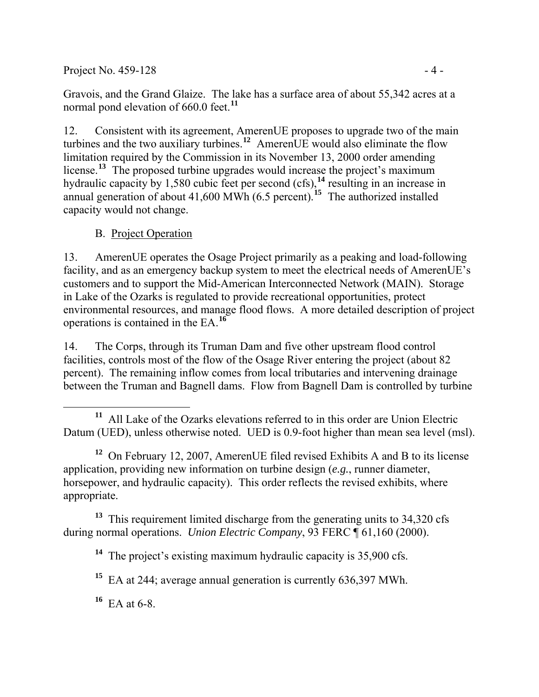Project No.  $459-128$  - 4 -

Gravois, and the Grand Glaize. The lake has a surface area of about 55,342 acres at a normal pond elevation of 660.0 feet.**[11](#page-3-0)**

12. Consistent with its agreement, AmerenUE proposes to upgrade two of the main turbines and the two auxiliary turbines.**[12](#page-3-1)** AmerenUE would also eliminate the flow limitation required by the Commission in its November 13, 2000 order amending license.**[13](#page-3-2)** The proposed turbine upgrades would increase the project's maximum hydraulic capacity by 1,580 cubic feet per second (cfs),**[14](#page-3-3)** resulting in an increase in annual generation of about  $41,600$  MWh  $(6.5$  percent).<sup>[15](#page-3-4)</sup> The authorized installed capacity would not change.

B. Project Operation

13. AmerenUE operates the Osage Project primarily as a peaking and load-following facility, and as an emergency backup system to meet the electrical needs of AmerenUE's customers and to support the Mid-American Interconnected Network (MAIN). Storage in Lake of the Ozarks is regulated to provide recreational opportunities, protect environmental resources, and manage flood flows. A more detailed description of project operations is contained in the EA.**[16](#page-3-5)**

14. The Corps, through its Truman Dam and five other upstream flood control facilities, controls most of the flow of the Osage River entering the project (about 82 percent). The remaining inflow comes from local tributaries and intervening drainage between the Truman and Bagnell dams. Flow from Bagnell Dam is controlled by turbine

<span id="page-3-1"></span><sup>12</sup> On February 12, 2007, AmerenUE filed revised Exhibits A and B to its license application, providing new information on turbine design (*e.g.*, runner diameter, horsepower, and hydraulic capacity). This order reflects the revised exhibits, where appropriate.

<span id="page-3-4"></span><span id="page-3-3"></span><span id="page-3-2"></span><sup>13</sup> This requirement limited discharge from the generating units to 34,320 cfs during normal operations. *Union Electric Company*, 93 FERC ¶ 61,160 (2000).

**<sup>14</sup>** The project's existing maximum hydraulic capacity is 35,900 cfs.

**<sup>15</sup>** EA at 244; average annual generation is currently 636,397 MWh.

<span id="page-3-5"></span>**<sup>16</sup>** EA at 6-8.

<span id="page-3-0"></span>**<sup>11</sup>** All Lake of the Ozarks elevations referred to in this order are Union Electric Datum (UED), unless otherwise noted. UED is 0.9-foot higher than mean sea level (msl).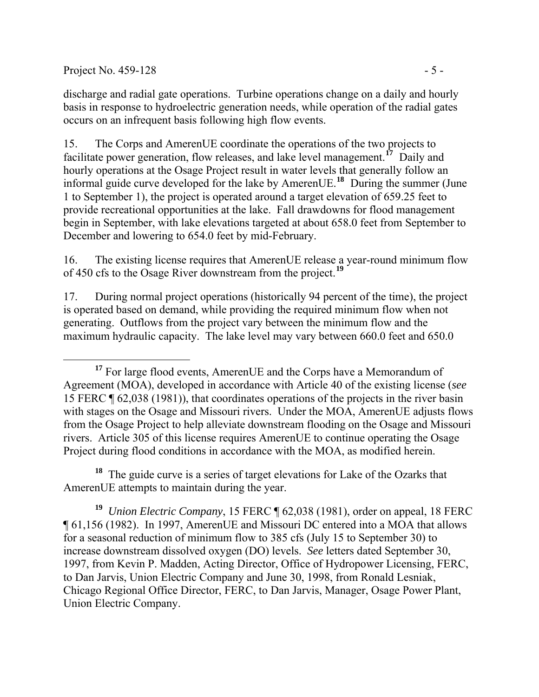Project No. 459-128  $-5$  -

discharge and radial gate operations. Turbine operations change on a daily and hourly basis in response to hydroelectric generation needs, while operation of the radial gates occurs on an infrequent basis following high flow events.

15. The Corps and AmerenUE coordinate the operations of the two projects to facilitate power generation, flow releases, and lake level management.**[17](#page-4-0)** Daily and hourly operations at the Osage Project result in water levels that generally follow an informal guide curve developed for the lake by AmerenUE.**[18](#page-4-1)** During the summer (June 1 to September 1), the project is operated around a target elevation of 659.25 feet to provide recreational opportunities at the lake. Fall drawdowns for flood management begin in September, with lake elevations targeted at about 658.0 feet from September to December and lowering to 654.0 feet by mid-February.

16. The existing license requires that AmerenUE release a year-round minimum flow of 450 cfs to the Osage River downstream from the project.**[19](#page-4-2)**

17. During normal project operations (historically 94 percent of the time), the project is operated based on demand, while providing the required minimum flow when not generating. Outflows from the project vary between the minimum flow and the maximum hydraulic capacity. The lake level may vary between 660.0 feet and 650.0

<span id="page-4-1"></span>**<sup>18</sup>** The guide curve is a series of target elevations for Lake of the Ozarks that AmerenUE attempts to maintain during the year.

<span id="page-4-2"></span>**<sup>19</sup>** *Union Electric Company*, 15 FERC ¶ 62,038 (1981), order on appeal, 18 FERC ¶ 61,156 (1982). In 1997, AmerenUE and Missouri DC entered into a MOA that allows for a seasonal reduction of minimum flow to 385 cfs (July 15 to September 30) to increase downstream dissolved oxygen (DO) levels. *See* letters dated September 30, 1997, from Kevin P. Madden, Acting Director, Office of Hydropower Licensing, FERC, to Dan Jarvis, Union Electric Company and June 30, 1998, from Ronald Lesniak, Chicago Regional Office Director, FERC, to Dan Jarvis, Manager, Osage Power Plant, Union Electric Company.

<span id="page-4-0"></span><sup>&</sup>lt;sup>17</sup> For large flood events, AmerenUE and the Corps have a Memorandum of Agreement (MOA), developed in accordance with Article 40 of the existing license (*see* 15 FERC ¶ 62,038 (1981)), that coordinates operations of the projects in the river basin with stages on the Osage and Missouri rivers. Under the MOA, AmerenUE adjusts flows from the Osage Project to help alleviate downstream flooding on the Osage and Missouri rivers. Article 305 of this license requires AmerenUE to continue operating the Osage Project during flood conditions in accordance with the MOA, as modified herein.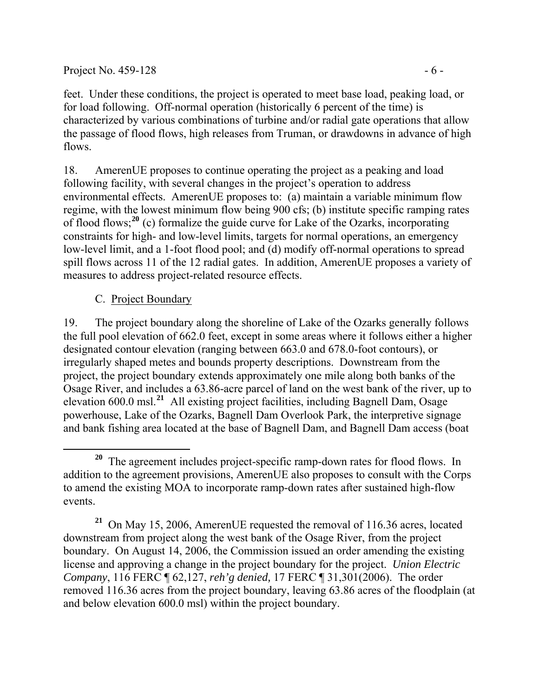Project No.  $459-128$  - 6 -

feet. Under these conditions, the project is operated to meet base load, peaking load, or for load following. Off-normal operation (historically 6 percent of the time) is characterized by various combinations of turbine and/or radial gate operations that allow the passage of flood flows, high releases from Truman, or drawdowns in advance of high flows.

18. AmerenUE proposes to continue operating the project as a peaking and load following facility, with several changes in the project's operation to address environmental effects. AmerenUE proposes to: (a) maintain a variable minimum flow regime, with the lowest minimum flow being 900 cfs; (b) institute specific ramping rates of flood flows;**[20](#page-5-0)** (c) formalize the guide curve for Lake of the Ozarks, incorporating constraints for high- and low-level limits, targets for normal operations, an emergency low-level limit, and a 1-foot flood pool; and (d) modify off-normal operations to spread spill flows across 11 of the 12 radial gates. In addition, AmerenUE proposes a variety of measures to address project-related resource effects.

### C. Project Boundary

19. The project boundary along the shoreline of Lake of the Ozarks generally follows the full pool elevation of 662.0 feet, except in some areas where it follows either a higher designated contour elevation (ranging between 663.0 and 678.0-foot contours), or irregularly shaped metes and bounds property descriptions. Downstream from the project, the project boundary extends approximately one mile along both banks of the Osage River, and includes a 63.86-acre parcel of land on the west bank of the river, up to elevation 600.0 msl.**[21](#page-5-1)** All existing project facilities, including Bagnell Dam, Osage powerhouse, Lake of the Ozarks, Bagnell Dam Overlook Park, the interpretive signage and bank fishing area located at the base of Bagnell Dam, and Bagnell Dam access (boat

<span id="page-5-1"></span>**<sup>21</sup>** On May 15, 2006, AmerenUE requested the removal of 116.36 acres, located downstream from project along the west bank of the Osage River, from the project boundary. On August 14, 2006, the Commission issued an order amending the existing license and approving a change in the project boundary for the project. *Union Electric Company*, 116 FERC ¶ 62,127, *reh'g denied,* 17 FERC ¶ 31,301(2006). The order removed 116.36 acres from the project boundary, leaving 63.86 acres of the floodplain (at and below elevation 600.0 msl) within the project boundary.

<span id="page-5-0"></span>**<sup>20</sup>** The agreement includes project-specific ramp-down rates for flood flows. In addition to the agreement provisions, AmerenUE also proposes to consult with the Corps to amend the existing MOA to incorporate ramp-down rates after sustained high-flow events.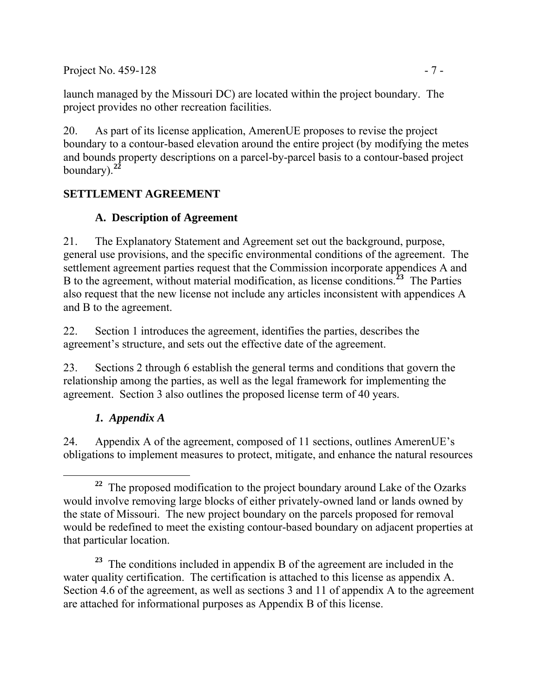Project No. 459-128 - 7 -

launch managed by the Missouri DC) are located within the project boundary. The project provides no other recreation facilities.

20. As part of its license application, AmerenUE proposes to revise the project boundary to a contour-based elevation around the entire project (by modifying the metes and bounds property descriptions on a parcel-by-parcel basis to a contour-based project boundary).**[22](#page-6-0)**

## **SETTLEMENT AGREEMENT**

## **A. Description of Agreement**

21. The Explanatory Statement and Agreement set out the background, purpose, general use provisions, and the specific environmental conditions of the agreement. The settlement agreement parties request that the Commission incorporate appendices A and B to the agreement, without material modification, as license conditions.**[23](#page-6-1)** The Parties also request that the new license not include any articles inconsistent with appendices A and B to the agreement.

22. Section 1 introduces the agreement, identifies the parties, describes the agreement's structure, and sets out the effective date of the agreement.

23. Sections 2 through 6 establish the general terms and conditions that govern the relationship among the parties, as well as the legal framework for implementing the agreement. Section 3 also outlines the proposed license term of 40 years.

## *1. Appendix A*

24. Appendix A of the agreement, composed of 11 sections, outlines AmerenUE's obligations to implement measures to protect, mitigate, and enhance the natural resources

<span id="page-6-0"></span> **<sup>22</sup>** The proposed modification to the project boundary around Lake of the Ozarks would involve removing large blocks of either privately-owned land or lands owned by the state of Missouri. The new project boundary on the parcels proposed for removal would be redefined to meet the existing contour-based boundary on adjacent properties at that particular location.

<span id="page-6-1"></span>**<sup>23</sup>** The conditions included in appendix B of the agreement are included in the water quality certification. The certification is attached to this license as appendix A. Section 4.6 of the agreement, as well as sections 3 and 11 of appendix A to the agreement are attached for informational purposes as Appendix B of this license.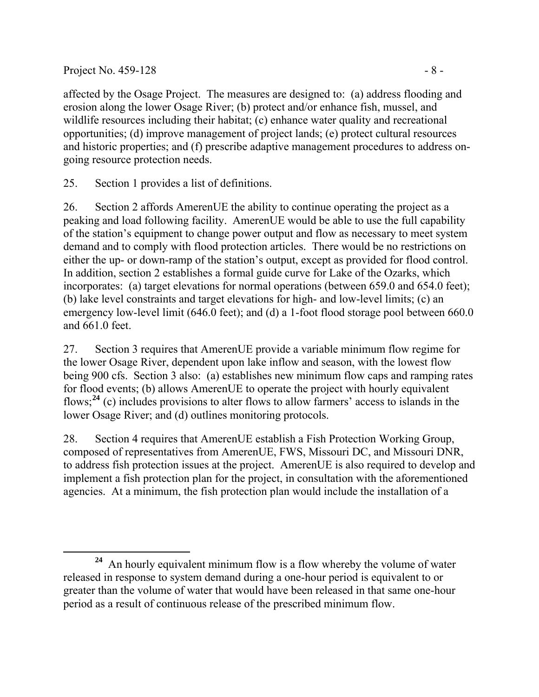#### Project No.  $459-128$  - 8 -

affected by the Osage Project. The measures are designed to: (a) address flooding and erosion along the lower Osage River; (b) protect and/or enhance fish, mussel, and wildlife resources including their habitat; (c) enhance water quality and recreational opportunities; (d) improve management of project lands; (e) protect cultural resources and historic properties; and (f) prescribe adaptive management procedures to address ongoing resource protection needs.

25. Section 1 provides a list of definitions.

26. Section 2 affords AmerenUE the ability to continue operating the project as a peaking and load following facility. AmerenUE would be able to use the full capability of the station's equipment to change power output and flow as necessary to meet system demand and to comply with flood protection articles. There would be no restrictions on either the up- or down-ramp of the station's output, except as provided for flood control. In addition, section 2 establishes a formal guide curve for Lake of the Ozarks, which incorporates: (a) target elevations for normal operations (between 659.0 and 654.0 feet); (b) lake level constraints and target elevations for high- and low-level limits; (c) an emergency low-level limit (646.0 feet); and (d) a 1-foot flood storage pool between 660.0 and 661.0 feet.

27. Section 3 requires that AmerenUE provide a variable minimum flow regime for the lower Osage River, dependent upon lake inflow and season, with the lowest flow being 900 cfs. Section 3 also: (a) establishes new minimum flow caps and ramping rates for flood events; (b) allows AmerenUE to operate the project with hourly equivalent flows;**[24](#page-7-0)** (c) includes provisions to alter flows to allow farmers' access to islands in the lower Osage River; and (d) outlines monitoring protocols.

28. Section 4 requires that AmerenUE establish a Fish Protection Working Group, composed of representatives from AmerenUE, FWS, Missouri DC, and Missouri DNR, to address fish protection issues at the project. AmerenUE is also required to develop and implement a fish protection plan for the project, in consultation with the aforementioned agencies. At a minimum, the fish protection plan would include the installation of a

<span id="page-7-0"></span> $\overline{a}$ **<sup>24</sup>** An hourly equivalent minimum flow is a flow whereby the volume of water released in response to system demand during a one-hour period is equivalent to or greater than the volume of water that would have been released in that same one-hour period as a result of continuous release of the prescribed minimum flow.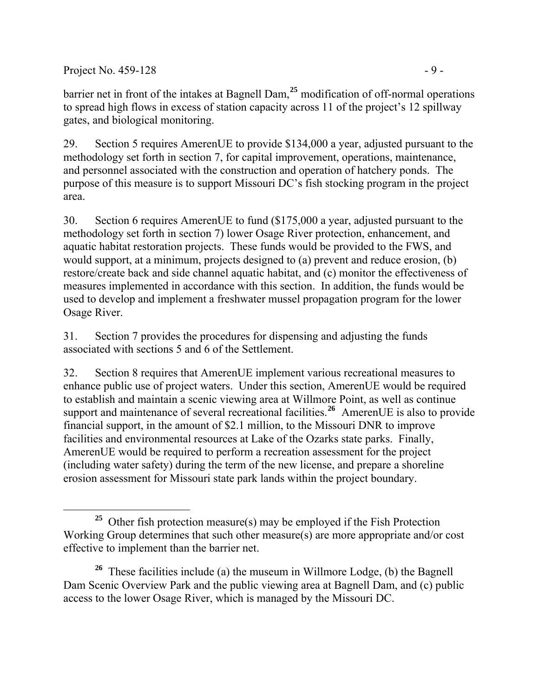Project No.  $459-128$  - 9 -

barrier net in front of the intakes at Bagnell Dam,**[25](#page-8-0)** modification of off-normal operations to spread high flows in excess of station capacity across 11 of the project's 12 spillway gates, and biological monitoring.

29. Section 5 requires AmerenUE to provide \$134,000 a year, adjusted pursuant to the methodology set forth in section 7, for capital improvement, operations, maintenance, and personnel associated with the construction and operation of hatchery ponds. The purpose of this measure is to support Missouri DC's fish stocking program in the project area.

30. Section 6 requires AmerenUE to fund (\$175,000 a year, adjusted pursuant to the methodology set forth in section 7) lower Osage River protection, enhancement, and aquatic habitat restoration projects. These funds would be provided to the FWS, and would support, at a minimum, projects designed to (a) prevent and reduce erosion, (b) restore/create back and side channel aquatic habitat, and (c) monitor the effectiveness of measures implemented in accordance with this section. In addition, the funds would be used to develop and implement a freshwater mussel propagation program for the lower Osage River.

31. Section 7 provides the procedures for dispensing and adjusting the funds associated with sections 5 and 6 of the Settlement.

32. Section 8 requires that AmerenUE implement various recreational measures to enhance public use of project waters. Under this section, AmerenUE would be required to establish and maintain a scenic viewing area at Willmore Point, as well as continue support and maintenance of several recreational facilities.**[26](#page-8-1)** AmerenUE is also to provide financial support, in the amount of \$2.1 million, to the Missouri DNR to improve facilities and environmental resources at Lake of the Ozarks state parks. Finally, AmerenUE would be required to perform a recreation assessment for the project (including water safety) during the term of the new license, and prepare a shoreline erosion assessment for Missouri state park lands within the project boundary.

<span id="page-8-0"></span> $\overline{a}$ **<sup>25</sup>** Other fish protection measure(s) may be employed if the Fish Protection Working Group determines that such other measure(s) are more appropriate and/or cost effective to implement than the barrier net.

<span id="page-8-1"></span>**<sup>26</sup>** These facilities include (a) the museum in Willmore Lodge, (b) the Bagnell Dam Scenic Overview Park and the public viewing area at Bagnell Dam, and (c) public access to the lower Osage River, which is managed by the Missouri DC.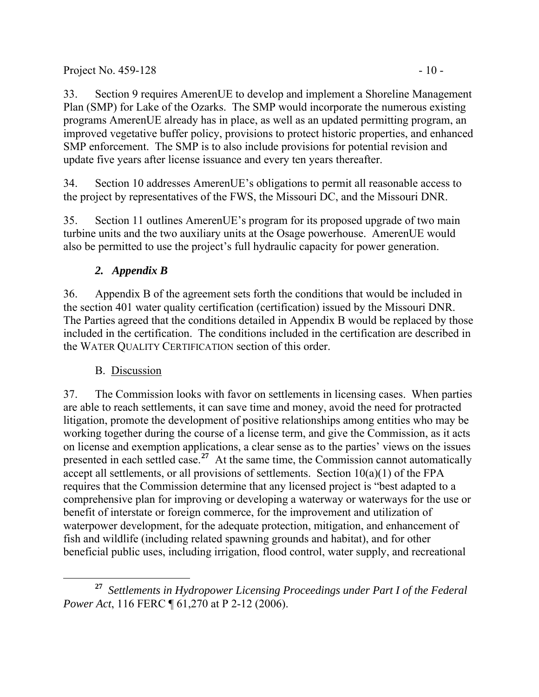33. Section 9 requires AmerenUE to develop and implement a Shoreline Management Plan (SMP) for Lake of the Ozarks. The SMP would incorporate the numerous existing programs AmerenUE already has in place, as well as an updated permitting program, an improved vegetative buffer policy, provisions to protect historic properties, and enhanced SMP enforcement. The SMP is to also include provisions for potential revision and update five years after license issuance and every ten years thereafter.

34. Section 10 addresses AmerenUE's obligations to permit all reasonable access to the project by representatives of the FWS, the Missouri DC, and the Missouri DNR.

35. Section 11 outlines AmerenUE's program for its proposed upgrade of two main turbine units and the two auxiliary units at the Osage powerhouse. AmerenUE would also be permitted to use the project's full hydraulic capacity for power generation.

# *2. Appendix B*

36. Appendix B of the agreement sets forth the conditions that would be included in the section 401 water quality certification (certification) issued by the Missouri DNR. The Parties agreed that the conditions detailed in Appendix B would be replaced by those included in the certification. The conditions included in the certification are described in the WATER QUALITY CERTIFICATION section of this order.

# B. Discussion

37. The Commission looks with favor on settlements in licensing cases. When parties are able to reach settlements, it can save time and money, avoid the need for protracted litigation, promote the development of positive relationships among entities who may be working together during the course of a license term, and give the Commission, as it acts on license and exemption applications, a clear sense as to the parties' views on the issues presented in each settled case.<sup>[27](#page-9-0)</sup> At the same time, the Commission cannot automatically accept all settlements, or all provisions of settlements. Section 10(a)(1) of the FPA requires that the Commission determine that any licensed project is "best adapted to a comprehensive plan for improving or developing a waterway or waterways for the use or benefit of interstate or foreign commerce, for the improvement and utilization of waterpower development, for the adequate protection, mitigation, and enhancement of fish and wildlife (including related spawning grounds and habitat), and for other beneficial public uses, including irrigation, flood control, water supply, and recreational

<span id="page-9-0"></span>**<sup>27</sup>** *Settlements in Hydropower Licensing Proceedings under Part I of the Federal Power Act*, 116 FERC ¶ 61,270 at P 2-12 (2006).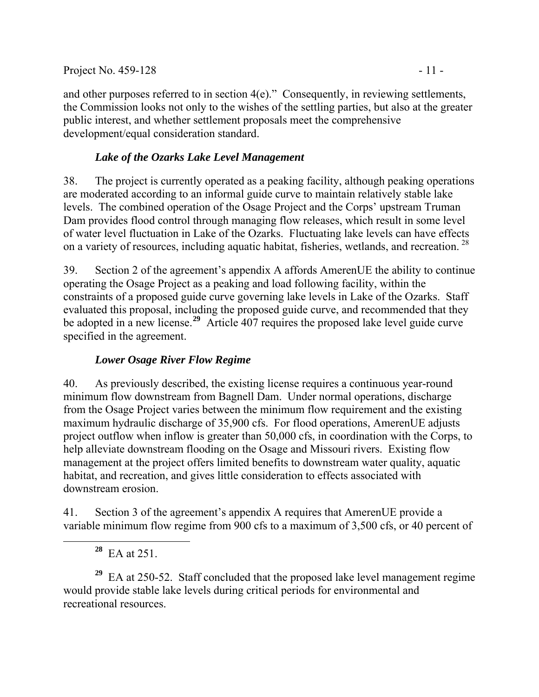and other purposes referred to in section 4(e)." Consequently, in reviewing settlements, the Commission looks not only to the wishes of the settling parties, but also at the greater public interest, and whether settlement proposals meet the comprehensive development/equal consideration standard.

### *Lake of the Ozarks Lake Level Management*

38. The project is currently operated as a peaking facility, although peaking operations are moderated according to an informal guide curve to maintain relatively stable lake levels. The combined operation of the Osage Project and the Corps' upstream Truman Dam provides flood control through managing flow releases, which result in some level of water level fluctuation in Lake of the Ozarks. Fluctuating lake levels can have effects on a variety of resources, including aquatic habitat, fisheries, wetlands, and recreation. [28](#page-10-0)

39. Section 2 of the agreement's appendix A affords AmerenUE the ability to continue operating the Osage Project as a peaking and load following facility, within the constraints of a proposed guide curve governing lake levels in Lake of the Ozarks. Staff evaluated this proposal, including the proposed guide curve, and recommended that they be adopted in a new license.<sup>[29](#page-10-1)</sup> Article 407 requires the proposed lake level guide curve specified in the agreement.

### *Lower Osage River Flow Regime*

40. As previously described, the existing license requires a continuous year-round minimum flow downstream from Bagnell Dam. Under normal operations, discharge from the Osage Project varies between the minimum flow requirement and the existing maximum hydraulic discharge of 35,900 cfs. For flood operations, AmerenUE adjusts project outflow when inflow is greater than 50,000 cfs, in coordination with the Corps, to help alleviate downstream flooding on the Osage and Missouri rivers. Existing flow management at the project offers limited benefits to downstream water quality, aquatic habitat, and recreation, and gives little consideration to effects associated with downstream erosion.

41. Section 3 of the agreement's appendix A requires that AmerenUE provide a variable minimum flow regime from 900 cfs to a maximum of 3,500 cfs, or 40 percent of

**<sup>28</sup>** EA at 251.

<span id="page-10-0"></span> $\overline{a}$ 

<span id="page-10-1"></span>**<sup>29</sup>** EA at 250-52. Staff concluded that the proposed lake level management regime would provide stable lake levels during critical periods for environmental and recreational resources.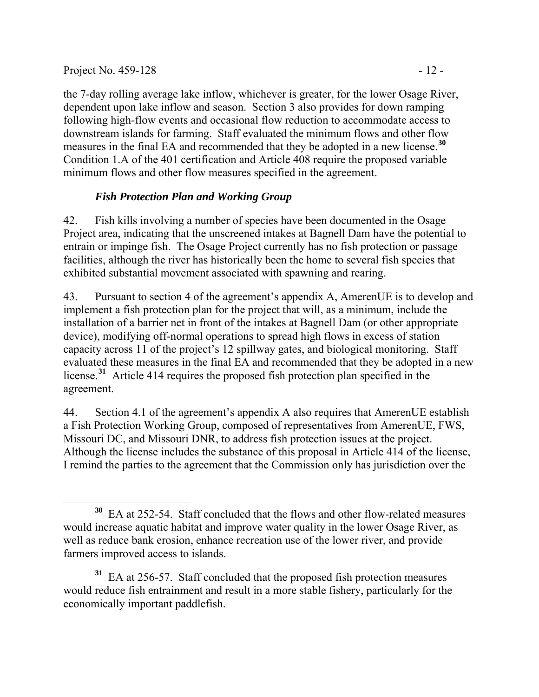$\overline{a}$ 

the 7-day rolling average lake inflow, whichever is greater, for the lower Osage River, dependent upon lake inflow and season. Section 3 also provides for down ramping following high-flow events and occasional flow reduction to accommodate access to downstream islands for farming. Staff evaluated the minimum flows and other flow measures in the final EA and recommended that they be adopted in a new license.**[30](#page-11-0)** Condition 1.A of the 401 certification and Article 408 require the proposed variable minimum flows and other flow measures specified in the agreement.

### *Fish Protection Plan and Working Group*

42. Fish kills involving a number of species have been documented in the Osage Project area, indicating that the unscreened intakes at Bagnell Dam have the potential to entrain or impinge fish. The Osage Project currently has no fish protection or passage facilities, although the river has historically been the home to several fish species that exhibited substantial movement associated with spawning and rearing.

43. Pursuant to section 4 of the agreement's appendix A, AmerenUE is to develop and implement a fish protection plan for the project that will, as a minimum, include the installation of a barrier net in front of the intakes at Bagnell Dam (or other appropriate device), modifying off-normal operations to spread high flows in excess of station capacity across 11 of the project's 12 spillway gates, and biological monitoring. Staff evaluated these measures in the final EA and recommended that they be adopted in a new license.**[31](#page-11-1)** Article 414 requires the proposed fish protection plan specified in the agreement.

44. Section 4.1 of the agreement's appendix A also requires that AmerenUE establish a Fish Protection Working Group, composed of representatives from AmerenUE, FWS, Missouri DC, and Missouri DNR, to address fish protection issues at the project. Although the license includes the substance of this proposal in Article 414 of the license, I remind the parties to the agreement that the Commission only has jurisdiction over the

<span id="page-11-1"></span>**<sup>31</sup>** EA at 256-57. Staff concluded that the proposed fish protection measures would reduce fish entrainment and result in a more stable fishery, particularly for the economically important paddlefish.

<span id="page-11-0"></span>**<sup>30</sup>** EA at 252-54. Staff concluded that the flows and other flow-related measures would increase aquatic habitat and improve water quality in the lower Osage River, as well as reduce bank erosion, enhance recreation use of the lower river, and provide farmers improved access to islands.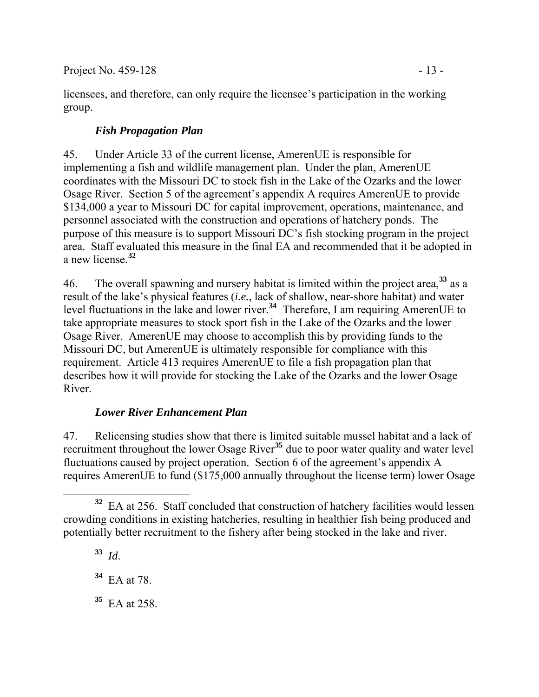licensees, and therefore, can only require the licensee's participation in the working group.

## *Fish Propagation Plan*

45. Under Article 33 of the current license, AmerenUE is responsible for implementing a fish and wildlife management plan. Under the plan, AmerenUE coordinates with the Missouri DC to stock fish in the Lake of the Ozarks and the lower Osage River. Section 5 of the agreement's appendix A requires AmerenUE to provide \$134,000 a year to Missouri DC for capital improvement, operations, maintenance, and personnel associated with the construction and operations of hatchery ponds. The purpose of this measure is to support Missouri DC's fish stocking program in the project area. Staff evaluated this measure in the final EA and recommended that it be adopted in a new license.**[32](#page-12-0)**

46. The overall spawning and nursery habitat is limited within the project area,**[33](#page-12-1)** as a result of the lake's physical features (*i.e.*, lack of shallow, near-shore habitat) and water level fluctuations in the lake and lower river.**[34](#page-12-2)** Therefore, I am requiring AmerenUE to take appropriate measures to stock sport fish in the Lake of the Ozarks and the lower Osage River. AmerenUE may choose to accomplish this by providing funds to the Missouri DC, but AmerenUE is ultimately responsible for compliance with this requirement. Article 413 requires AmerenUE to file a fish propagation plan that describes how it will provide for stocking the Lake of the Ozarks and the lower Osage River.

### *Lower River Enhancement Plan*

47. Relicensing studies show that there is limited suitable mussel habitat and a lack of recruitment throughout the lower Osage River**[35](#page-12-3)** due to poor water quality and water level fluctuations caused by project operation. Section 6 of the agreement's appendix A requires AmerenUE to fund (\$175,000 annually throughout the license term) lower Osage

<span id="page-12-3"></span>**<sup>35</sup>** EA at 258.

<span id="page-12-1"></span><span id="page-12-0"></span> $\overline{a}$ **<sup>32</sup>** EA at 256. Staff concluded that construction of hatchery facilities would lessen crowding conditions in existing hatcheries, resulting in healthier fish being produced and potentially better recruitment to the fishery after being stocked in the lake and river.

**<sup>33</sup>** *Id*.

<span id="page-12-2"></span>**<sup>34</sup>** EA at 78.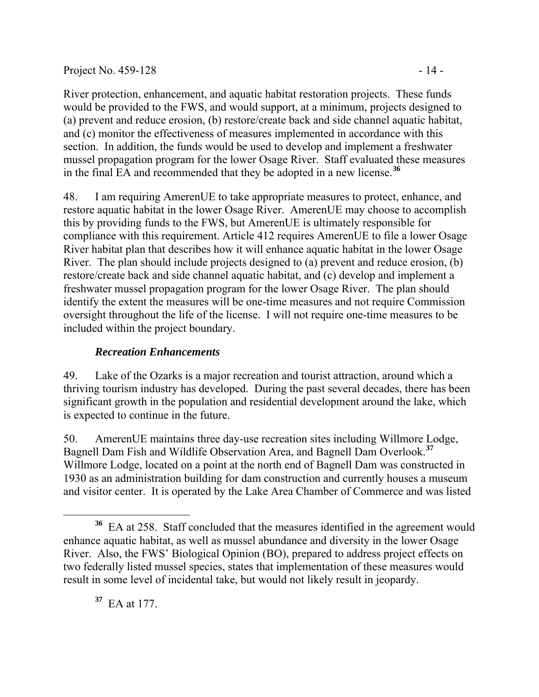#### Project No.  $459-128$  - 14 -

River protection, enhancement, and aquatic habitat restoration projects. These funds would be provided to the FWS, and would support, at a minimum, projects designed to (a) prevent and reduce erosion, (b) restore/create back and side channel aquatic habitat, and (c) monitor the effectiveness of measures implemented in accordance with this section. In addition, the funds would be used to develop and implement a freshwater mussel propagation program for the lower Osage River. Staff evaluated these measures in the final EA and recommended that they be adopted in a new license.**[36](#page-13-0)**

48. I am requiring AmerenUE to take appropriate measures to protect, enhance, and restore aquatic habitat in the lower Osage River. AmerenUE may choose to accomplish this by providing funds to the FWS, but AmerenUE is ultimately responsible for compliance with this requirement. Article 412 requires AmerenUE to file a lower Osage River habitat plan that describes how it will enhance aquatic habitat in the lower Osage River. The plan should include projects designed to (a) prevent and reduce erosion, (b) restore/create back and side channel aquatic habitat, and (c) develop and implement a freshwater mussel propagation program for the lower Osage River. The plan should identify the extent the measures will be one-time measures and not require Commission oversight throughout the life of the license. I will not require one-time measures to be included within the project boundary.

### *Recreation Enhancements*

49. Lake of the Ozarks is a major recreation and tourist attraction, around which a thriving tourism industry has developed. During the past several decades, there has been significant growth in the population and residential development around the lake, which is expected to continue in the future.

50. AmerenUE maintains three day-use recreation sites including Willmore Lodge, Bagnell Dam Fish and Wildlife Observation Area, and Bagnell Dam Overlook.**[37](#page-13-1)** Willmore Lodge, located on a point at the north end of Bagnell Dam was constructed in 1930 as an administration building for dam construction and currently houses a museum and visitor center. It is operated by the Lake Area Chamber of Commerce and was listed

<span id="page-13-1"></span>**<sup>37</sup>** EA at 177.

 $\overline{a}$ 

<span id="page-13-0"></span>**<sup>36</sup>** EA at 258. Staff concluded that the measures identified in the agreement would enhance aquatic habitat, as well as mussel abundance and diversity in the lower Osage River. Also, the FWS' Biological Opinion (BO), prepared to address project effects on two federally listed mussel species, states that implementation of these measures would result in some level of incidental take, but would not likely result in jeopardy.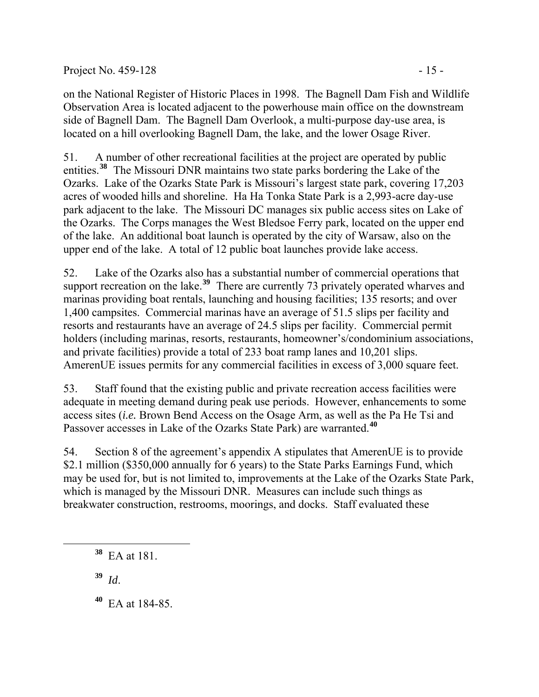on the National Register of Historic Places in 1998. The Bagnell Dam Fish and Wildlife Observation Area is located adjacent to the powerhouse main office on the downstream side of Bagnell Dam. The Bagnell Dam Overlook, a multi-purpose day-use area, is located on a hill overlooking Bagnell Dam, the lake, and the lower Osage River.

51. A number of other recreational facilities at the project are operated by public entities.**[38](#page-14-0)** The Missouri DNR maintains two state parks bordering the Lake of the Ozarks. Lake of the Ozarks State Park is Missouri's largest state park, covering 17,203 acres of wooded hills and shoreline. Ha Ha Tonka State Park is a 2,993-acre day-use park adjacent to the lake. The Missouri DC manages six public access sites on Lake of the Ozarks. The Corps manages the West Bledsoe Ferry park, located on the upper end of the lake. An additional boat launch is operated by the city of Warsaw, also on the upper end of the lake. A total of 12 public boat launches provide lake access.

52. Lake of the Ozarks also has a substantial number of commercial operations that support recreation on the lake.<sup>[39](#page-14-1)</sup> There are currently 73 privately operated wharves and marinas providing boat rentals, launching and housing facilities; 135 resorts; and over 1,400 campsites. Commercial marinas have an average of 51.5 slips per facility and resorts and restaurants have an average of 24.5 slips per facility. Commercial permit holders (including marinas, resorts, restaurants, homeowner's/condominium associations, and private facilities) provide a total of 233 boat ramp lanes and 10,201 slips. AmerenUE issues permits for any commercial facilities in excess of 3,000 square feet.

53. Staff found that the existing public and private recreation access facilities were adequate in meeting demand during peak use periods. However, enhancements to some access sites (*i.e.* Brown Bend Access on the Osage Arm, as well as the Pa He Tsi and Passover accesses in Lake of the Ozarks State Park) are warranted.**[40](#page-14-2)**

54. Section 8 of the agreement's appendix A stipulates that AmerenUE is to provide \$2.1 million (\$350,000 annually for 6 years) to the State Parks Earnings Fund, which may be used for, but is not limited to, improvements at the Lake of the Ozarks State Park, which is managed by the Missouri DNR. Measures can include such things as breakwater construction, restrooms, moorings, and docks. Staff evaluated these

**<sup>39</sup>** *Id*.

<span id="page-14-2"></span><span id="page-14-1"></span><span id="page-14-0"></span> $\overline{a}$ 

**<sup>40</sup>** EA at 184-85.

**<sup>38</sup>** EA at 181.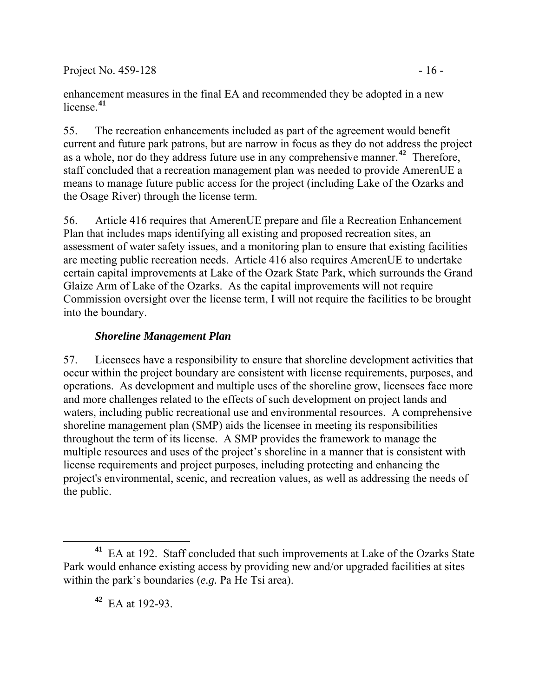Project No.  $459-128$  - 16 -

enhancement measures in the final EA and recommended they be adopted in a new license.**[41](#page-15-0)**

55. The recreation enhancements included as part of the agreement would benefit current and future park patrons, but are narrow in focus as they do not address the project as a whole, nor do they address future use in any comprehensive manner.**[42](#page-15-1)** Therefore, staff concluded that a recreation management plan was needed to provide AmerenUE a means to manage future public access for the project (including Lake of the Ozarks and the Osage River) through the license term.

56. Article 416 requires that AmerenUE prepare and file a Recreation Enhancement Plan that includes maps identifying all existing and proposed recreation sites, an assessment of water safety issues, and a monitoring plan to ensure that existing facilities are meeting public recreation needs. Article 416 also requires AmerenUE to undertake certain capital improvements at Lake of the Ozark State Park, which surrounds the Grand Glaize Arm of Lake of the Ozarks. As the capital improvements will not require Commission oversight over the license term, I will not require the facilities to be brought into the boundary.

### *Shoreline Management Plan*

57. Licensees have a responsibility to ensure that shoreline development activities that occur within the project boundary are consistent with license requirements, purposes, and operations. As development and multiple uses of the shoreline grow, licensees face more and more challenges related to the effects of such development on project lands and waters, including public recreational use and environmental resources. A comprehensive shoreline management plan (SMP) aids the licensee in meeting its responsibilities throughout the term of its license. A SMP provides the framework to manage the multiple resources and uses of the project's shoreline in a manner that is consistent with license requirements and project purposes, including protecting and enhancing the project's environmental, scenic, and recreation values, as well as addressing the needs of the public.

**<sup>42</sup>** EA at 192-93.

 $\overline{a}$ 

<span id="page-15-1"></span><span id="page-15-0"></span>**<sup>41</sup>** EA at 192. Staff concluded that such improvements at Lake of the Ozarks State Park would enhance existing access by providing new and/or upgraded facilities at sites within the park's boundaries (*e.g.* Pa He Tsi area).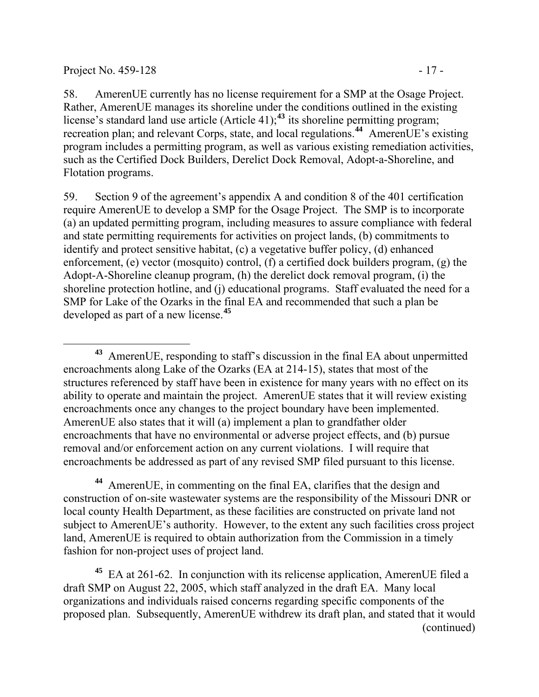#### Project No. 459-128 - 17 -

58. AmerenUE currently has no license requirement for a SMP at the Osage Project. Rather, AmerenUE manages its shoreline under the conditions outlined in the existing license's standard land use article (Article 41);**[43](#page-16-0)** its shoreline permitting program; recreation plan; and relevant Corps, state, and local regulations.**[44](#page-16-1)** AmerenUE's existing program includes a permitting program, as well as various existing remediation activities, such as the Certified Dock Builders, Derelict Dock Removal, Adopt-a-Shoreline, and Flotation programs.

59. Section 9 of the agreement's appendix A and condition 8 of the 401 certification require AmerenUE to develop a SMP for the Osage Project. The SMP is to incorporate (a) an updated permitting program, including measures to assure compliance with federal and state permitting requirements for activities on project lands, (b) commitments to identify and protect sensitive habitat, (c) a vegetative buffer policy, (d) enhanced enforcement, (e) vector (mosquito) control, (f) a certified dock builders program, (g) the Adopt-A-Shoreline cleanup program, (h) the derelict dock removal program, (i) the shoreline protection hotline, and (j) educational programs. Staff evaluated the need for a SMP for Lake of the Ozarks in the final EA and recommended that such a plan be developed as part of a new license.**[45](#page-16-2)**

<span id="page-16-1"></span>**<sup>44</sup>** AmerenUE, in commenting on the final EA, clarifies that the design and construction of on-site wastewater systems are the responsibility of the Missouri DNR or local county Health Department, as these facilities are constructed on private land not subject to AmerenUE's authority. However, to the extent any such facilities cross project land, AmerenUE is required to obtain authorization from the Commission in a timely fashion for non-project uses of project land.

<span id="page-16-2"></span>(continued) **<sup>45</sup>** EA at 261-62. In conjunction with its relicense application, AmerenUE filed a draft SMP on August 22, 2005, which staff analyzed in the draft EA. Many local organizations and individuals raised concerns regarding specific components of the proposed plan. Subsequently, AmerenUE withdrew its draft plan, and stated that it would

<span id="page-16-0"></span> $\overline{a}$ **<sup>43</sup>** AmerenUE, responding to staff's discussion in the final EA about unpermitted encroachments along Lake of the Ozarks (EA at 214-15), states that most of the structures referenced by staff have been in existence for many years with no effect on its ability to operate and maintain the project. AmerenUE states that it will review existing encroachments once any changes to the project boundary have been implemented. AmerenUE also states that it will (a) implement a plan to grandfather older encroachments that have no environmental or adverse project effects, and (b) pursue removal and/or enforcement action on any current violations. I will require that encroachments be addressed as part of any revised SMP filed pursuant to this license.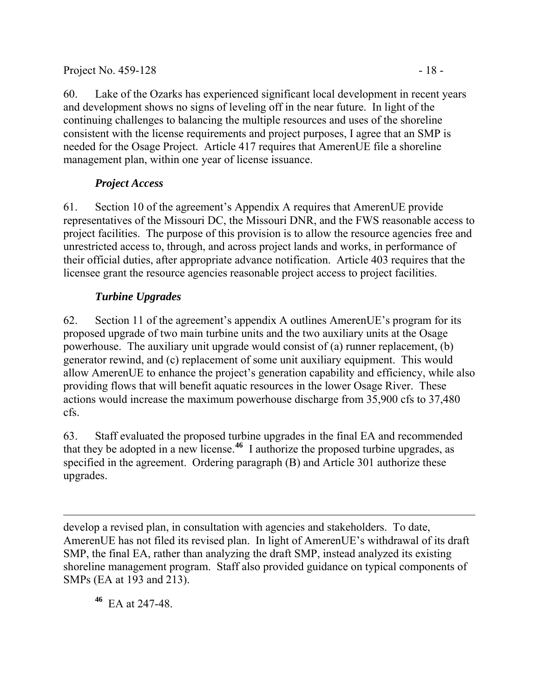### Project No. 459-128 - 18

60. Lake of the Ozarks has experienced significant local development in recent years and development shows no signs of leveling off in the near future. In light of the continuing challenges to balancing the multiple resources and uses of the shoreline consistent with the license requirements and project purposes, I agree that an SMP is needed for the Osage Project. Article 417 requires that AmerenUE file a shoreline management plan, within one year of license issuance.

# *Project Access*

61. Section 10 of the agreement's Appendix A requires that AmerenUE provide representatives of the Missouri DC, the Missouri DNR, and the FWS reasonable access to project facilities. The purpose of this provision is to allow the resource agencies free and unrestricted access to, through, and across project lands and works, in performance of their official duties, after appropriate advance notification. Article 403 requires that the licensee grant the resource agencies reasonable project access to project facilities.

# *Turbine Upgrades*

62. Section 11 of the agreement's appendix A outlines AmerenUE's program for its proposed upgrade of two main turbine units and the two auxiliary units at the Osage powerhouse. The auxiliary unit upgrade would consist of (a) runner replacement, (b) generator rewind, and (c) replacement of some unit auxiliary equipment. This would allow AmerenUE to enhance the project's generation capability and efficiency, while also providing flows that will benefit aquatic resources in the lower Osage River. These actions would increase the maximum powerhouse discharge from 35,900 cfs to 37,480 cfs.

63. Staff evaluated the proposed turbine upgrades in the final EA and recommended that they be adopted in a new license.**[46](#page-17-0)** I authorize the proposed turbine upgrades, as specified in the agreement. Ordering paragraph (B) and Article 301 authorize these upgrades.

 $\overline{a}$ develop a revised plan, in consultation with agencies and stakeholders. To date, AmerenUE has not filed its revised plan. In light of AmerenUE's withdrawal of its draft SMP, the final EA, rather than analyzing the draft SMP, instead analyzed its existing shoreline management program. Staff also provided guidance on typical components of SMPs (EA at 193 and 213).

<span id="page-17-0"></span>**<sup>46</sup>** EA at 247-48.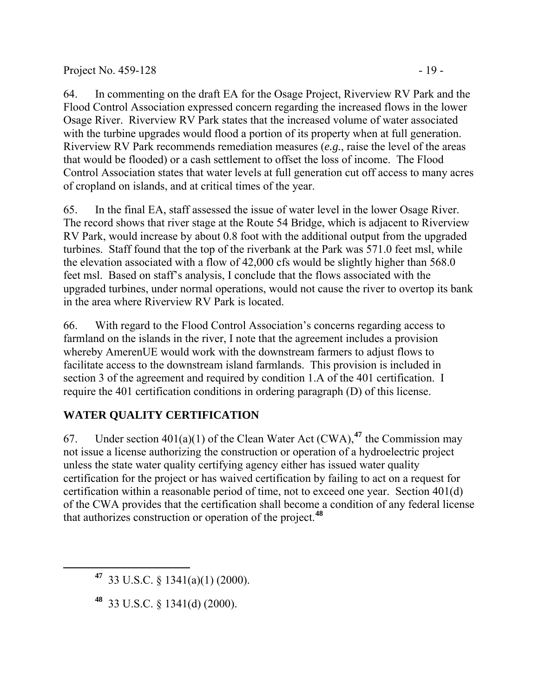#### Project No. 459-128 - 19

64. In commenting on the draft EA for the Osage Project, Riverview RV Park and the Flood Control Association expressed concern regarding the increased flows in the lower Osage River. Riverview RV Park states that the increased volume of water associated with the turbine upgrades would flood a portion of its property when at full generation. Riverview RV Park recommends remediation measures (*e.g.*, raise the level of the areas that would be flooded) or a cash settlement to offset the loss of income. The Flood Control Association states that water levels at full generation cut off access to many acres of cropland on islands, and at critical times of the year.

65. In the final EA, staff assessed the issue of water level in the lower Osage River. The record shows that river stage at the Route 54 Bridge, which is adjacent to Riverview RV Park, would increase by about 0.8 foot with the additional output from the upgraded turbines. Staff found that the top of the riverbank at the Park was 571.0 feet msl, while the elevation associated with a flow of 42,000 cfs would be slightly higher than 568.0 feet msl. Based on staff's analysis, I conclude that the flows associated with the upgraded turbines, under normal operations, would not cause the river to overtop its bank in the area where Riverview RV Park is located.

66. With regard to the Flood Control Association's concerns regarding access to farmland on the islands in the river, I note that the agreement includes a provision whereby AmerenUE would work with the downstream farmers to adjust flows to facilitate access to the downstream island farmlands. This provision is included in section 3 of the agreement and required by condition 1.A of the 401 certification. I require the 401 certification conditions in ordering paragraph (D) of this license.

## **WATER QUALITY CERTIFICATION**

67. Under section  $401(a)(1)$  of the Clean Water Act (CWA),  $47$  the Commission may not issue a license authorizing the construction or operation of a hydroelectric project unless the state water quality certifying agency either has issued water quality certification for the project or has waived certification by failing to act on a request for certification within a reasonable period of time, not to exceed one year. Section 401(d) of the CWA provides that the certification shall become a condition of any federal license that authorizes construction or operation of the project.**[48](#page-18-1)**

<span id="page-18-1"></span><span id="page-18-0"></span> $\overline{a}$ 

**<sup>47</sup>** 33 U.S.C. § 1341(a)(1) (2000).

**<sup>48</sup>** 33 U.S.C. § 1341(d) (2000).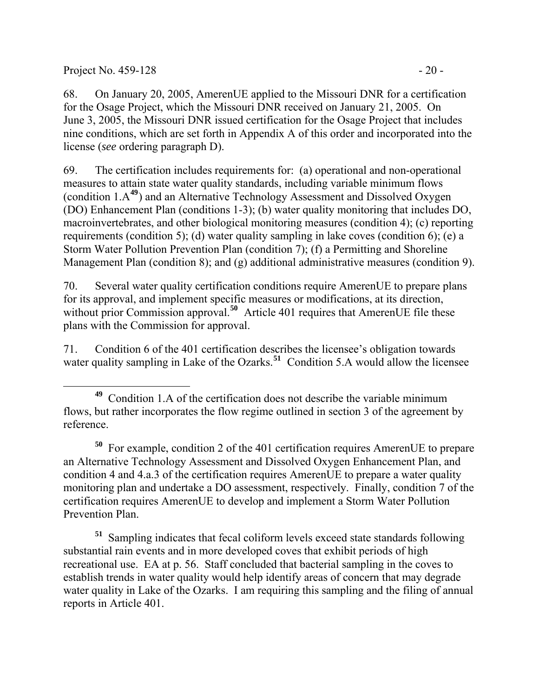Project No. 459-128 - 20 -

68. On January 20, 2005, AmerenUE applied to the Missouri DNR for a certification for the Osage Project, which the Missouri DNR received on January 21, 2005. On June 3, 2005, the Missouri DNR issued certification for the Osage Project that includes nine conditions, which are set forth in Appendix A of this order and incorporated into the license (*see* ordering paragraph D).

69. The certification includes requirements for: (a) operational and non-operational measures to attain state water quality standards, including variable minimum flows (condition 1.A**[49](#page-19-0)**) and an Alternative Technology Assessment and Dissolved Oxygen (DO) Enhancement Plan (conditions 1-3); (b) water quality monitoring that includes DO, macroinvertebrates, and other biological monitoring measures (condition 4); (c) reporting requirements (condition 5); (d) water quality sampling in lake coves (condition 6); (e) a Storm Water Pollution Prevention Plan (condition 7); (f) a Permitting and Shoreline Management Plan (condition 8); and (g) additional administrative measures (condition 9).

70. Several water quality certification conditions require AmerenUE to prepare plans for its approval, and implement specific measures or modifications, at its direction, without prior Commission approval.<sup>[50](#page-19-1)</sup> Article 401 requires that AmerenUE file these plans with the Commission for approval.

71. Condition 6 of the 401 certification describes the licensee's obligation towards water quality sampling in Lake of the Ozarks.<sup>[51](#page-19-2)</sup> Condition 5.A would allow the licensee

<span id="page-19-1"></span>**<sup>50</sup>** For example, condition 2 of the 401 certification requires AmerenUE to prepare an Alternative Technology Assessment and Dissolved Oxygen Enhancement Plan, and condition 4 and 4.a.3 of the certification requires AmerenUE to prepare a water quality monitoring plan and undertake a DO assessment, respectively. Finally, condition 7 of the certification requires AmerenUE to develop and implement a Storm Water Pollution Prevention Plan.

<span id="page-19-2"></span>**<sup>51</sup>** Sampling indicates that fecal coliform levels exceed state standards following substantial rain events and in more developed coves that exhibit periods of high recreational use. EA at p. 56. Staff concluded that bacterial sampling in the coves to establish trends in water quality would help identify areas of concern that may degrade water quality in Lake of the Ozarks. I am requiring this sampling and the filing of annual reports in Article 401.

<span id="page-19-0"></span> **<sup>49</sup>** Condition 1.A of the certification does not describe the variable minimum flows, but rather incorporates the flow regime outlined in section 3 of the agreement by reference.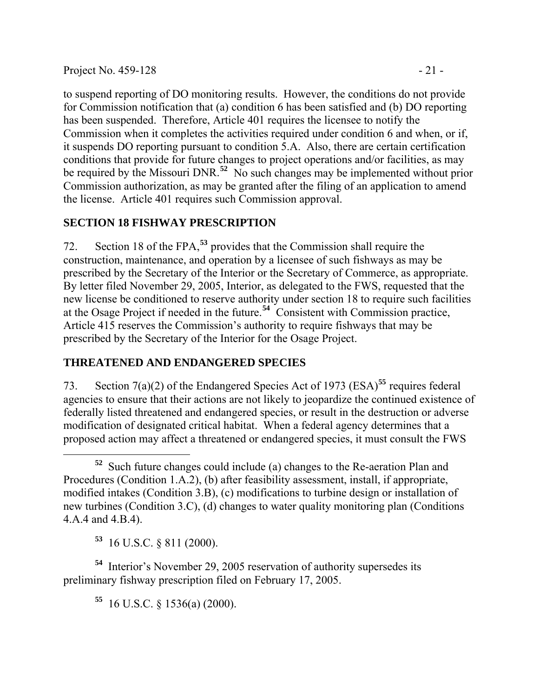Project No. 459-128 - 21 -

to suspend reporting of DO monitoring results. However, the conditions do not provide for Commission notification that (a) condition 6 has been satisfied and (b) DO reporting has been suspended. Therefore, Article 401 requires the licensee to notify the Commission when it completes the activities required under condition 6 and when, or if, it suspends DO reporting pursuant to condition 5.A. Also, there are certain certification conditions that provide for future changes to project operations and/or facilities, as may be required by the Missouri DNR.**[52](#page-20-0)** No such changes may be implemented without prior Commission authorization, as may be granted after the filing of an application to amend the license. Article 401 requires such Commission approval.

## **SECTION 18 FISHWAY PRESCRIPTION**

72. Section 18 of the FPA,**[53](#page-20-1)** provides that the Commission shall require the construction, maintenance, and operation by a licensee of such fishways as may be prescribed by the Secretary of the Interior or the Secretary of Commerce, as appropriate. By letter filed November 29, 2005, Interior, as delegated to the FWS, requested that the new license be conditioned to reserve authority under section 18 to require such facilities at the Osage Project if needed in the future.**[54](#page-20-2)** Consistent with Commission practice, Article 415 reserves the Commission's authority to require fishways that may be prescribed by the Secretary of the Interior for the Osage Project.

## **THREATENED AND ENDANGERED SPECIES**

73. Section 7(a)(2) of the Endangered Species Act of 1973 (ESA)**[55](#page-20-3)** requires federal agencies to ensure that their actions are not likely to jeopardize the continued existence of federally listed threatened and endangered species, or result in the destruction or adverse modification of designated critical habitat. When a federal agency determines that a proposed action may affect a threatened or endangered species, it must consult the FWS

**<sup>53</sup>** 16 U.S.C. § 811 (2000).

 $\overline{a}$ 

<span id="page-20-3"></span><span id="page-20-2"></span><span id="page-20-1"></span>**<sup>54</sup>** Interior's November 29, 2005 reservation of authority supersedes its preliminary fishway prescription filed on February 17, 2005.

**<sup>55</sup>** 16 U.S.C. § 1536(a) (2000).

<span id="page-20-0"></span>**<sup>52</sup>** Such future changes could include (a) changes to the Re-aeration Plan and Procedures (Condition 1.A.2), (b) after feasibility assessment, install, if appropriate, modified intakes (Condition 3.B), (c) modifications to turbine design or installation of new turbines (Condition 3.C), (d) changes to water quality monitoring plan (Conditions 4.A.4 and 4.B.4).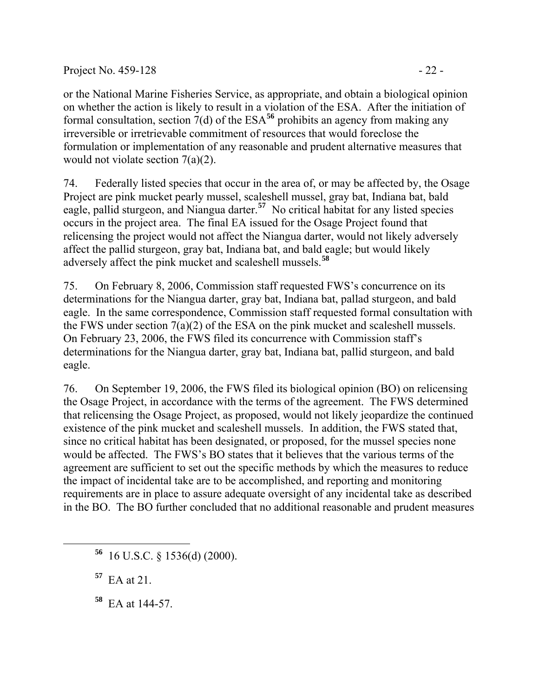#### Project No. 459-128 - 22 -

or the National Marine Fisheries Service, as appropriate, and obtain a biological opinion on whether the action is likely to result in a violation of the ESA. After the initiation of formal consultation, section  $7(d)$  of the ESA<sup>[56](#page-21-0)</sup> prohibits an agency from making any irreversible or irretrievable commitment of resources that would foreclose the formulation or implementation of any reasonable and prudent alternative measures that would not violate section 7(a)(2).

74. Federally listed species that occur in the area of, or may be affected by, the Osage Project are pink mucket pearly mussel, scaleshell mussel, gray bat, Indiana bat, bald eagle, pallid sturgeon, and Niangua darter.**[57](#page-21-1)** No critical habitat for any listed species occurs in the project area. The final EA issued for the Osage Project found that relicensing the project would not affect the Niangua darter, would not likely adversely affect the pallid sturgeon, gray bat, Indiana bat, and bald eagle; but would likely adversely affect the pink mucket and scaleshell mussels.**[58](#page-21-2)**

75. On February 8, 2006, Commission staff requested FWS's concurrence on its determinations for the Niangua darter, gray bat, Indiana bat, pallad sturgeon, and bald eagle. In the same correspondence, Commission staff requested formal consultation with the FWS under section 7(a)(2) of the ESA on the pink mucket and scaleshell mussels. On February 23, 2006, the FWS filed its concurrence with Commission staff's determinations for the Niangua darter, gray bat, Indiana bat, pallid sturgeon, and bald eagle.

76. On September 19, 2006, the FWS filed its biological opinion (BO) on relicensing the Osage Project, in accordance with the terms of the agreement. The FWS determined that relicensing the Osage Project, as proposed, would not likely jeopardize the continued existence of the pink mucket and scaleshell mussels. In addition, the FWS stated that, since no critical habitat has been designated, or proposed, for the mussel species none would be affected. The FWS's BO states that it believes that the various terms of the agreement are sufficient to set out the specific methods by which the measures to reduce the impact of incidental take are to be accomplished, and reporting and monitoring requirements are in place to assure adequate oversight of any incidental take as described in the BO. The BO further concluded that no additional reasonable and prudent measures

**<sup>57</sup>** EA at 21.

<span id="page-21-2"></span><span id="page-21-1"></span><span id="page-21-0"></span> $\overline{a}$ 

**<sup>58</sup>** EA at 144-57.

**<sup>56</sup>** 16 U.S.C. § 1536(d) (2000).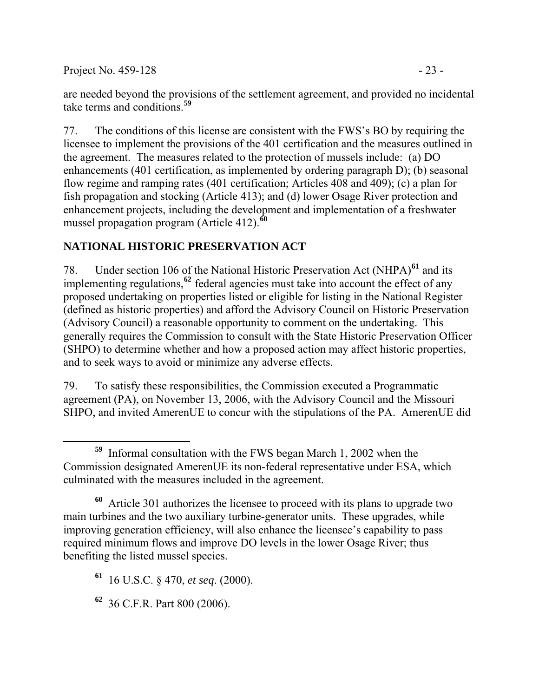Project No. 459-128 - 23

77. The conditions of this license are consistent with the FWS's BO by requiring the licensee to implement the provisions of the 401 certification and the measures outlined in the agreement. The measures related to the protection of mussels include: (a) DO enhancements (401 certification, as implemented by ordering paragraph D); (b) seasonal flow regime and ramping rates (401 certification; Articles 408 and 409); (c) a plan for fish propagation and stocking (Article 413); and (d) lower Osage River protection and enhancement projects, including the development and implementation of a freshwater mussel propagation program (Article 412).**[60](#page-22-1)**

# **NATIONAL HISTORIC PRESERVATION ACT**

78. Under section 106 of the National Historic Preservation Act (NHPA)<sup>[61](#page-22-2)</sup> and its implementing regulations,**[62](#page-22-3)** federal agencies must take into account the effect of any proposed undertaking on properties listed or eligible for listing in the National Register (defined as historic properties) and afford the Advisory Council on Historic Preservation (Advisory Council) a reasonable opportunity to comment on the undertaking. This generally requires the Commission to consult with the State Historic Preservation Officer (SHPO) to determine whether and how a proposed action may affect historic properties, and to seek ways to avoid or minimize any adverse effects.

79. To satisfy these responsibilities, the Commission executed a Programmatic agreement (PA), on November 13, 2006, with the Advisory Council and the Missouri SHPO, and invited AmerenUE to concur with the stipulations of the PA. AmerenUE did

<span id="page-22-3"></span>**<sup>62</sup>** 36 C.F.R. Part 800 (2006).

<span id="page-22-0"></span> $\overline{a}$ **<sup>59</sup>** Informal consultation with the FWS began March 1, 2002 when the Commission designated AmerenUE its non-federal representative under ESA, which culminated with the measures included in the agreement.

<span id="page-22-1"></span>**<sup>60</sup>** Article 301 authorizes the licensee to proceed with its plans to upgrade two main turbines and the two auxiliary turbine-generator units. These upgrades, while improving generation efficiency, will also enhance the licensee's capability to pass required minimum flows and improve DO levels in the lower Osage River; thus benefiting the listed mussel species.

<span id="page-22-2"></span>**<sup>61</sup>** 16 U.S.C. § 470, *et seq*. (2000).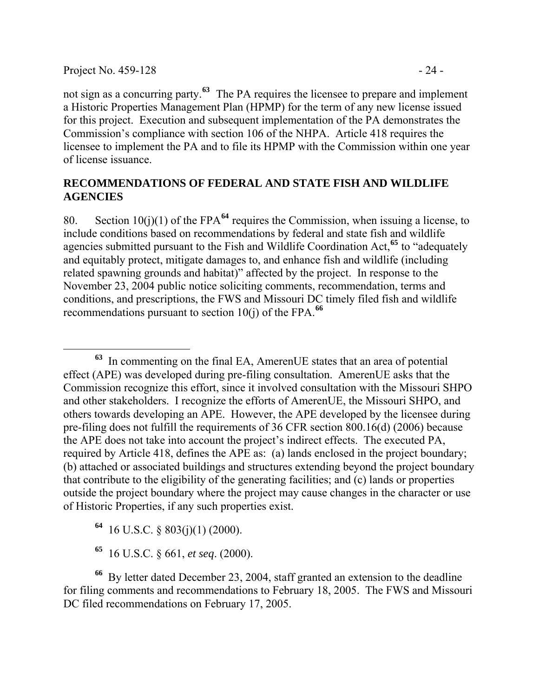$\overline{a}$ 

not sign as a concurring party.**[63](#page-23-0)** The PA requires the licensee to prepare and implement a Historic Properties Management Plan (HPMP) for the term of any new license issued for this project. Execution and subsequent implementation of the PA demonstrates the Commission's compliance with section 106 of the NHPA. Article 418 requires the licensee to implement the PA and to file its HPMP with the Commission within one year of license issuance.

### **RECOMMENDATIONS OF FEDERAL AND STATE FISH AND WILDLIFE AGENCIES**

80. Section 10(j)(1) of the FPA**[64](#page-23-1)** requires the Commission, when issuing a license, to include conditions based on recommendations by federal and state fish and wildlife agencies submitted pursuant to the Fish and Wildlife Coordination Act,**[65](#page-23-2)** to "adequately and equitably protect, mitigate damages to, and enhance fish and wildlife (including related spawning grounds and habitat)" affected by the project. In response to the November 23, 2004 public notice soliciting comments, recommendation, terms and conditions, and prescriptions, the FWS and Missouri DC timely filed fish and wildlife recommendations pursuant to section  $10(i)$  of the FPA.<sup>[66](#page-23-3)</sup>

<span id="page-23-0"></span>**<sup>63</sup>** In commenting on the final EA, AmerenUE states that an area of potential effect (APE) was developed during pre-filing consultation. AmerenUE asks that the Commission recognize this effort, since it involved consultation with the Missouri SHPO and other stakeholders. I recognize the efforts of AmerenUE, the Missouri SHPO, and others towards developing an APE. However, the APE developed by the licensee during pre-filing does not fulfill the requirements of 36 CFR section 800.16(d) (2006) because the APE does not take into account the project's indirect effects. The executed PA, required by Article 418, defines the APE as: (a) lands enclosed in the project boundary; (b) attached or associated buildings and structures extending beyond the project boundary that contribute to the eligibility of the generating facilities; and (c) lands or properties outside the project boundary where the project may cause changes in the character or use of Historic Properties, if any such properties exist.

**<sup>64</sup>** 16 U.S.C. § 803(j)(1) (2000).

**<sup>65</sup>** 16 U.S.C. § 661, *et seq*. (2000).

<span id="page-23-3"></span><span id="page-23-2"></span><span id="page-23-1"></span>**<sup>66</sup>** By letter dated December 23, 2004, staff granted an extension to the deadline for filing comments and recommendations to February 18, 2005. The FWS and Missouri DC filed recommendations on February 17, 2005.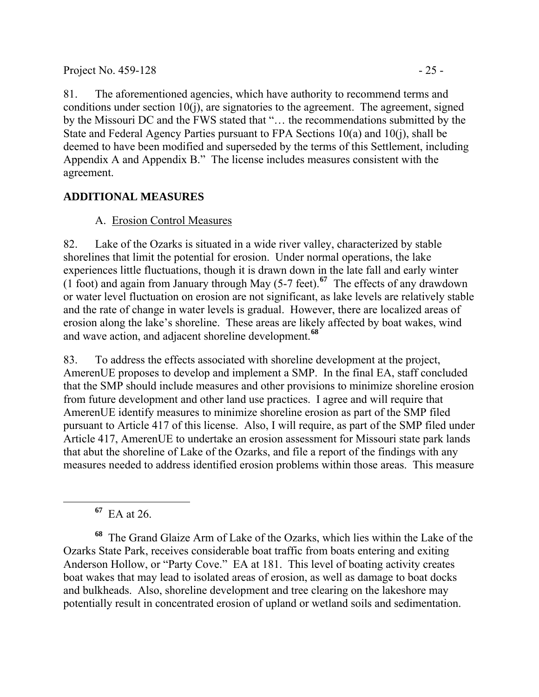81. The aforementioned agencies, which have authority to recommend terms and conditions under section  $10(i)$ , are signatories to the agreement. The agreement, signed by the Missouri DC and the FWS stated that "… the recommendations submitted by the State and Federal Agency Parties pursuant to FPA Sections 10(a) and 10(j), shall be deemed to have been modified and superseded by the terms of this Settlement, including Appendix A and Appendix B." The license includes measures consistent with the agreement.

## **ADDITIONAL MEASURES**

## A. Erosion Control Measures

82. Lake of the Ozarks is situated in a wide river valley, characterized by stable shorelines that limit the potential for erosion. Under normal operations, the lake experiences little fluctuations, though it is drawn down in the late fall and early winter (1 foot) and again from January through May (5-7 feet).**[67](#page-24-0)** The effects of any drawdown or water level fluctuation on erosion are not significant, as lake levels are relatively stable and the rate of change in water levels is gradual. However, there are localized areas of erosion along the lake's shoreline. These areas are likely affected by boat wakes, wind and wave action, and adjacent shoreline development.**[68](#page-24-1)**

83. To address the effects associated with shoreline development at the project, AmerenUE proposes to develop and implement a SMP. In the final EA, staff concluded that the SMP should include measures and other provisions to minimize shoreline erosion from future development and other land use practices. I agree and will require that AmerenUE identify measures to minimize shoreline erosion as part of the SMP filed pursuant to Article 417 of this license. Also, I will require, as part of the SMP filed under Article 417, AmerenUE to undertake an erosion assessment for Missouri state park lands that abut the shoreline of Lake of the Ozarks, and file a report of the findings with any measures needed to address identified erosion problems within those areas. This measure

**<sup>67</sup>** EA at 26.

<span id="page-24-1"></span><span id="page-24-0"></span>**<sup>68</sup>** The Grand Glaize Arm of Lake of the Ozarks, which lies within the Lake of the Ozarks State Park, receives considerable boat traffic from boats entering and exiting Anderson Hollow, or "Party Cove." EA at 181. This level of boating activity creates boat wakes that may lead to isolated areas of erosion, as well as damage to boat docks and bulkheads. Also, shoreline development and tree clearing on the lakeshore may potentially result in concentrated erosion of upland or wetland soils and sedimentation.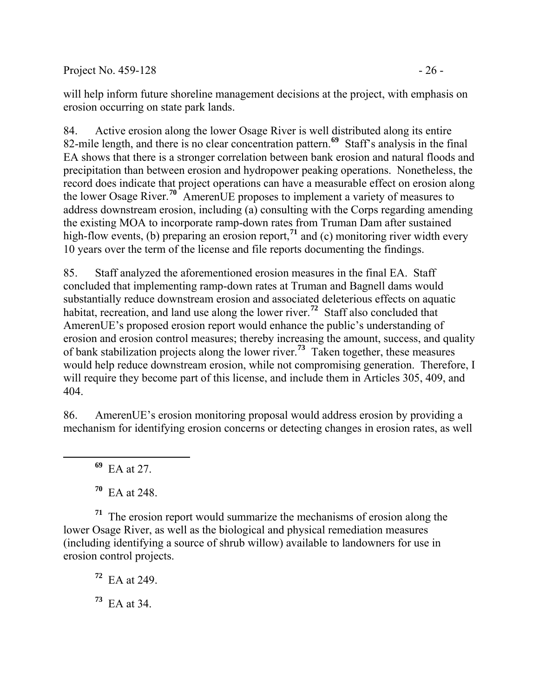Project No. 459-128 - 26 -

will help inform future shoreline management decisions at the project, with emphasis on erosion occurring on state park lands.

84. Active erosion along the lower Osage River is well distributed along its entire 82-mile length, and there is no clear concentration pattern.**[69](#page-25-0)** Staff's analysis in the final EA shows that there is a stronger correlation between bank erosion and natural floods and precipitation than between erosion and hydropower peaking operations. Nonetheless, the record does indicate that project operations can have a measurable effect on erosion along the lower Osage River.**[70](#page-25-1)** AmerenUE proposes to implement a variety of measures to address downstream erosion, including (a) consulting with the Corps regarding amending the existing MOA to incorporate ramp-down rates from Truman Dam after sustained high-flow events, (b) preparing an erosion report,<sup>[71](#page-25-2)</sup> and (c) monitoring river width every 10 years over the term of the license and file reports documenting the findings.

85. Staff analyzed the aforementioned erosion measures in the final EA. Staff concluded that implementing ramp-down rates at Truman and Bagnell dams would substantially reduce downstream erosion and associated deleterious effects on aquatic habitat, recreation, and land use along the lower river.<sup>[72](#page-25-3)</sup> Staff also concluded that AmerenUE's proposed erosion report would enhance the public's understanding of erosion and erosion control measures; thereby increasing the amount, success, and quality of bank stabilization projects along the lower river.**[73](#page-25-4)** Taken together, these measures would help reduce downstream erosion, while not compromising generation. Therefore, I will require they become part of this license, and include them in Articles 305, 409, and 404.

86. AmerenUE's erosion monitoring proposal would address erosion by providing a mechanism for identifying erosion concerns or detecting changes in erosion rates, as well

**<sup>69</sup>** EA at 27.

<span id="page-25-0"></span> $\overline{a}$ 

**<sup>70</sup>** EA at 248.

<span id="page-25-3"></span><span id="page-25-2"></span><span id="page-25-1"></span>**<sup>71</sup>** The erosion report would summarize the mechanisms of erosion along the lower Osage River, as well as the biological and physical remediation measures (including identifying a source of shrub willow) available to landowners for use in erosion control projects.

**<sup>72</sup>** EA at 249.

<span id="page-25-4"></span>**<sup>73</sup>** EA at 34.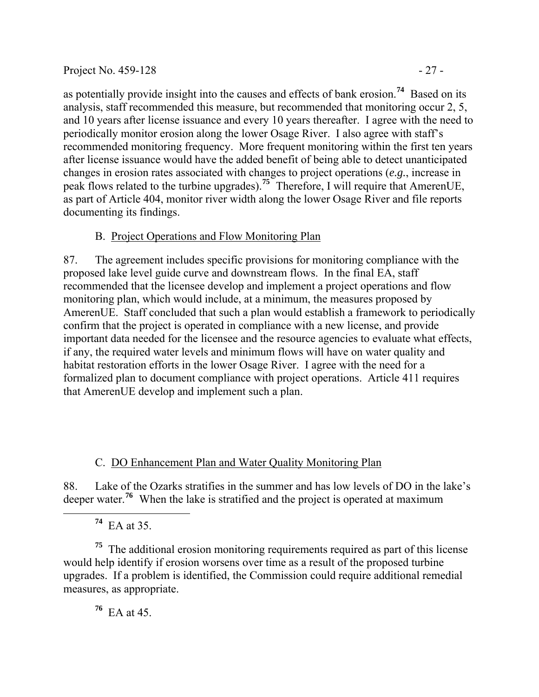#### Project No. 459-128 - 27 -

as potentially provide insight into the causes and effects of bank erosion.**[74](#page-26-0)** Based on its analysis, staff recommended this measure, but recommended that monitoring occur 2, 5, and 10 years after license issuance and every 10 years thereafter. I agree with the need to periodically monitor erosion along the lower Osage River. I also agree with staff's recommended monitoring frequency. More frequent monitoring within the first ten years after license issuance would have the added benefit of being able to detect unanticipated changes in erosion rates associated with changes to project operations (*e.g.*, increase in peak flows related to the turbine upgrades).**[75](#page-26-1)** Therefore, I will require that AmerenUE, as part of Article 404, monitor river width along the lower Osage River and file reports documenting its findings.

### B. Project Operations and Flow Monitoring Plan

87. The agreement includes specific provisions for monitoring compliance with the proposed lake level guide curve and downstream flows. In the final EA, staff recommended that the licensee develop and implement a project operations and flow monitoring plan, which would include, at a minimum, the measures proposed by AmerenUE. Staff concluded that such a plan would establish a framework to periodically confirm that the project is operated in compliance with a new license, and provide important data needed for the licensee and the resource agencies to evaluate what effects, if any, the required water levels and minimum flows will have on water quality and habitat restoration efforts in the lower Osage River. I agree with the need for a formalized plan to document compliance with project operations. Article 411 requires that AmerenUE develop and implement such a plan.

### C. DO Enhancement Plan and Water Quality Monitoring Plan

88. Lake of the Ozarks stratifies in the summer and has low levels of DO in the lake's deeper water.**[76](#page-26-2)** When the lake is stratified and the project is operated at maximum

**<sup>74</sup>** EA at 35.

<span id="page-26-2"></span><span id="page-26-1"></span><span id="page-26-0"></span>**<sup>75</sup>** The additional erosion monitoring requirements required as part of this license would help identify if erosion worsens over time as a result of the proposed turbine upgrades. If a problem is identified, the Commission could require additional remedial measures, as appropriate.

**<sup>76</sup>** EA at 45.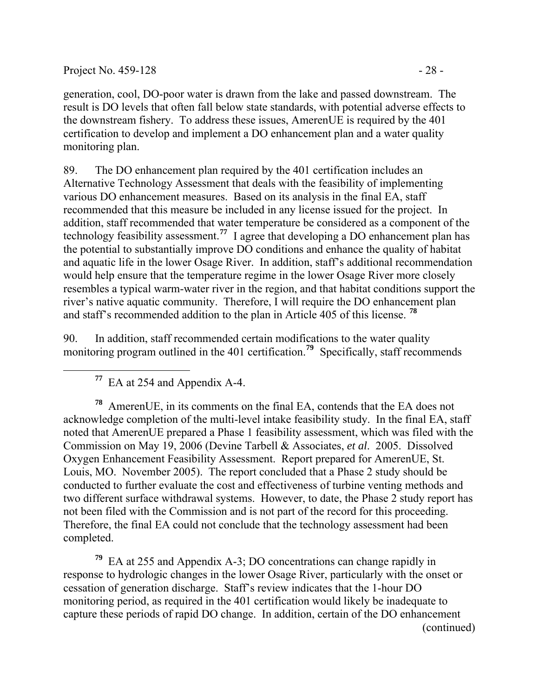Project No. 459-128 - 28 -

generation, cool, DO-poor water is drawn from the lake and passed downstream. The result is DO levels that often fall below state standards, with potential adverse effects to the downstream fishery. To address these issues, AmerenUE is required by the 401 certification to develop and implement a DO enhancement plan and a water quality monitoring plan.

89. The DO enhancement plan required by the 401 certification includes an Alternative Technology Assessment that deals with the feasibility of implementing various DO enhancement measures. Based on its analysis in the final EA, staff recommended that this measure be included in any license issued for the project. In addition, staff recommended that water temperature be considered as a component of the technology feasibility assessment.**[77](#page-27-0)** I agree that developing a DO enhancement plan has the potential to substantially improve DO conditions and enhance the quality of habitat and aquatic life in the lower Osage River. In addition, staff's additional recommendation would help ensure that the temperature regime in the lower Osage River more closely resembles a typical warm-water river in the region, and that habitat conditions support the river's native aquatic community. Therefore, I will require the DO enhancement plan and staff's recommended addition to the plan in Article 405 of this license. **[78](#page-27-1)**

90. In addition, staff recommended certain modifications to the water quality monitoring program outlined in the 401 certification.<sup>[79](#page-27-2)</sup> Specifically, staff recommends

**<sup>77</sup>** EA at 254 and Appendix A-4.

<span id="page-27-1"></span><span id="page-27-0"></span>**<sup>78</sup>** AmerenUE, in its comments on the final EA, contends that the EA does not acknowledge completion of the multi-level intake feasibility study. In the final EA, staff noted that AmerenUE prepared a Phase 1 feasibility assessment, which was filed with the Commission on May 19, 2006 (Devine Tarbell & Associates, *et al*. 2005. Dissolved Oxygen Enhancement Feasibility Assessment. Report prepared for AmerenUE, St. Louis, MO. November 2005). The report concluded that a Phase 2 study should be conducted to further evaluate the cost and effectiveness of turbine venting methods and two different surface withdrawal systems. However, to date, the Phase 2 study report has not been filed with the Commission and is not part of the record for this proceeding. Therefore, the final EA could not conclude that the technology assessment had been completed.

<span id="page-27-2"></span>(continued) **<sup>79</sup>** EA at 255 and Appendix A-3; DO concentrations can change rapidly in response to hydrologic changes in the lower Osage River, particularly with the onset or cessation of generation discharge. Staff's review indicates that the 1-hour DO monitoring period, as required in the 401 certification would likely be inadequate to capture these periods of rapid DO change. In addition, certain of the DO enhancement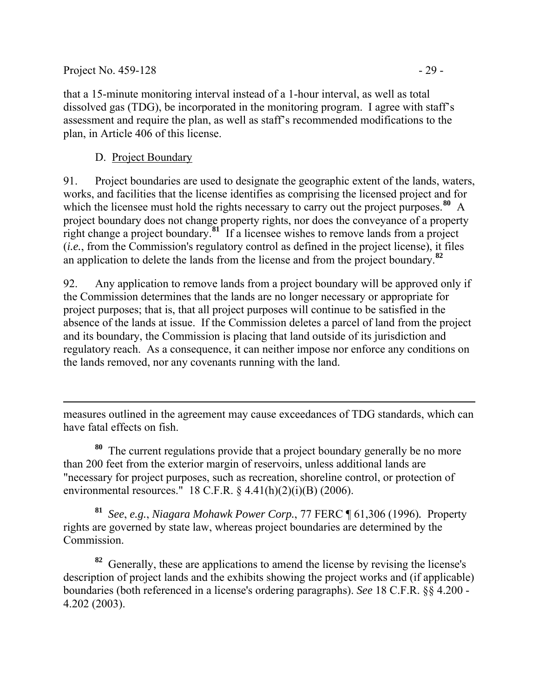that a 15-minute monitoring interval instead of a 1-hour interval, as well as total dissolved gas (TDG), be incorporated in the monitoring program. I agree with staff's assessment and require the plan, as well as staff's recommended modifications to the plan, in Article 406 of this license.

### D. Project Boundary

91. Project boundaries are used to designate the geographic extent of the lands, waters, works, and facilities that the license identifies as comprising the licensed project and for which the licensee must hold the rights necessary to carry out the project purposes.<sup>[80](#page-28-0)</sup> A project boundary does not change property rights, nor does the conveyance of a property right change a project boundary.**[81](#page-28-1)** If a licensee wishes to remove lands from a project (*i.e.*, from the Commission's regulatory control as defined in the project license), it files an application to delete the lands from the license and from the project boundary.**[82](#page-28-2)**

92. Any application to remove lands from a project boundary will be approved only if the Commission determines that the lands are no longer necessary or appropriate for project purposes; that is, that all project purposes will continue to be satisfied in the absence of the lands at issue. If the Commission deletes a parcel of land from the project and its boundary, the Commission is placing that land outside of its jurisdiction and regulatory reach. As a consequence, it can neither impose nor enforce any conditions on the lands removed, nor any covenants running with the land.

 $\overline{a}$ measures outlined in the agreement may cause exceedances of TDG standards, which can have fatal effects on fish.

<span id="page-28-0"></span>**<sup>80</sup>** The current regulations provide that a project boundary generally be no more than 200 feet from the exterior margin of reservoirs, unless additional lands are "necessary for project purposes, such as recreation, shoreline control, or protection of environmental resources." 18 C.F.R.  $\S$  4.41(h)(2)(i)(B) (2006).

<span id="page-28-1"></span>**<sup>81</sup>** *See*, *e.g.*, *Niagara Mohawk Power Corp.*, 77 FERC ¶ 61,306 (1996)*.* Property rights are governed by state law, whereas project boundaries are determined by the Commission.

<span id="page-28-2"></span>**<sup>82</sup>** Generally, these are applications to amend the license by revising the license's description of project lands and the exhibits showing the project works and (if applicable) boundaries (both referenced in a license's ordering paragraphs). *See* 18 C.F.R. §§ 4.200 - 4.202 (2003).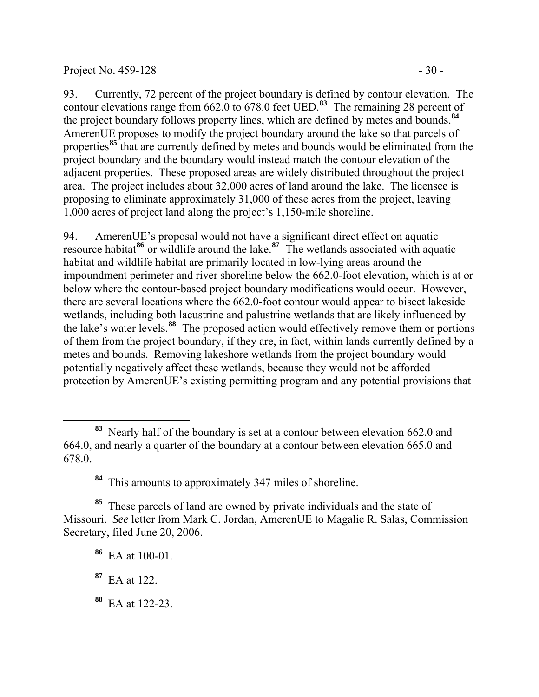#### Project No.  $459-128$  - 30 -

93. Currently, 72 percent of the project boundary is defined by contour elevation. The contour elevations range from 662.0 to 678.0 feet UED.**[83](#page-29-0)** The remaining 28 percent of the project boundary follows property lines, which are defined by metes and bounds.**[84](#page-29-1)** AmerenUE proposes to modify the project boundary around the lake so that parcels of properties**[85](#page-29-2)** that are currently defined by metes and bounds would be eliminated from the project boundary and the boundary would instead match the contour elevation of the adjacent properties. These proposed areas are widely distributed throughout the project area. The project includes about 32,000 acres of land around the lake. The licensee is proposing to eliminate approximately 31,000 of these acres from the project, leaving

94. AmerenUE's proposal would not have a significant direct effect on aquatic resource habitat**[86](#page-29-3)** or wildlife around the lake.**[87](#page-29-4)** The wetlands associated with aquatic habitat and wildlife habitat are primarily located in low-lying areas around the impoundment perimeter and river shoreline below the 662.0-foot elevation, which is at or below where the contour-based project boundary modifications would occur. However, there are several locations where the 662.0-foot contour would appear to bisect lakeside wetlands, including both lacustrine and palustrine wetlands that are likely influenced by the lake's water levels.**[88](#page-29-5)** The proposed action would effectively remove them or portions of them from the project boundary, if they are, in fact, within lands currently defined by a metes and bounds. Removing lakeshore wetlands from the project boundary would potentially negatively affect these wetlands, because they would not be afforded protection by AmerenUE's existing permitting program and any potential provisions that

1,000 acres of project land along the project's 1,150-mile shoreline.

 $\overline{a}$ 

<span id="page-29-5"></span>**<sup>88</sup>** EA at 122-23.

<span id="page-29-0"></span>**<sup>83</sup>** Nearly half of the boundary is set at a contour between elevation 662.0 and 664.0, and nearly a quarter of the boundary at a contour between elevation 665.0 and 678.0.

**<sup>84</sup>** This amounts to approximately 347 miles of shoreline.

<span id="page-29-3"></span><span id="page-29-2"></span><span id="page-29-1"></span>**<sup>85</sup>** These parcels of land are owned by private individuals and the state of Missouri. *See* letter from Mark C. Jordan, AmerenUE to Magalie R. Salas, Commission Secretary, filed June 20, 2006.

**<sup>86</sup>** EA at 100-01.

<span id="page-29-4"></span>**<sup>87</sup>** EA at 122.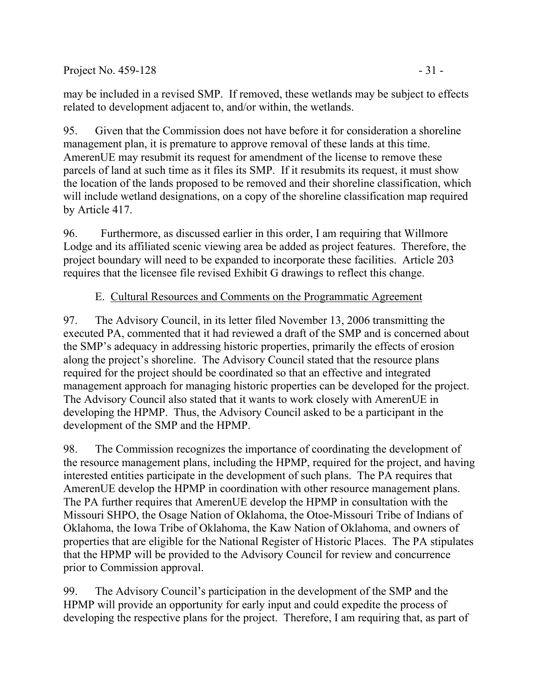Project No. 459-128 - 31

may be included in a revised SMP. If removed, these wetlands may be subject to effects related to development adjacent to, and/or within, the wetlands.

95. Given that the Commission does not have before it for consideration a shoreline management plan, it is premature to approve removal of these lands at this time. AmerenUE may resubmit its request for amendment of the license to remove these parcels of land at such time as it files its SMP. If it resubmits its request, it must show the location of the lands proposed to be removed and their shoreline classification, which will include wetland designations, on a copy of the shoreline classification map required by Article 417.

96. Furthermore, as discussed earlier in this order, I am requiring that Willmore Lodge and its affiliated scenic viewing area be added as project features. Therefore, the project boundary will need to be expanded to incorporate these facilities. Article 203 requires that the licensee file revised Exhibit G drawings to reflect this change.

### E. Cultural Resources and Comments on the Programmatic Agreement

97. The Advisory Council, in its letter filed November 13, 2006 transmitting the executed PA, commented that it had reviewed a draft of the SMP and is concerned about the SMP's adequacy in addressing historic properties, primarily the effects of erosion along the project's shoreline. The Advisory Council stated that the resource plans required for the project should be coordinated so that an effective and integrated management approach for managing historic properties can be developed for the project. The Advisory Council also stated that it wants to work closely with AmerenUE in developing the HPMP. Thus, the Advisory Council asked to be a participant in the development of the SMP and the HPMP.

98. The Commission recognizes the importance of coordinating the development of the resource management plans, including the HPMP, required for the project, and having interested entities participate in the development of such plans. The PA requires that AmerenUE develop the HPMP in coordination with other resource management plans. The PA further requires that AmerenUE develop the HPMP in consultation with the Missouri SHPO, the Osage Nation of Oklahoma, the Otoe-Missouri Tribe of Indians of Oklahoma, the Iowa Tribe of Oklahoma, the Kaw Nation of Oklahoma, and owners of properties that are eligible for the National Register of Historic Places. The PA stipulates that the HPMP will be provided to the Advisory Council for review and concurrence prior to Commission approval.

99. The Advisory Council's participation in the development of the SMP and the HPMP will provide an opportunity for early input and could expedite the process of developing the respective plans for the project. Therefore, I am requiring that, as part of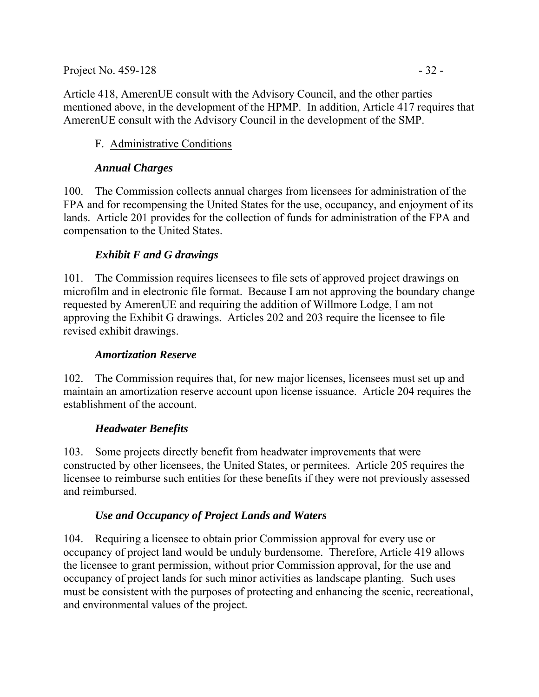Project No. 459-128 - 32 -

Article 418, AmerenUE consult with the Advisory Council, and the other parties mentioned above, in the development of the HPMP. In addition, Article 417 requires that AmerenUE consult with the Advisory Council in the development of the SMP.

## F. Administrative Conditions

### *Annual Charges*

100. The Commission collects annual charges from licensees for administration of the FPA and for recompensing the United States for the use, occupancy, and enjoyment of its lands. Article 201 provides for the collection of funds for administration of the FPA and compensation to the United States.

### *Exhibit F and G drawings*

101. The Commission requires licensees to file sets of approved project drawings on microfilm and in electronic file format. Because I am not approving the boundary change requested by AmerenUE and requiring the addition of Willmore Lodge, I am not approving the Exhibit G drawings. Articles 202 and 203 require the licensee to file revised exhibit drawings.

### *Amortization Reserve*

102. The Commission requires that, for new major licenses, licensees must set up and maintain an amortization reserve account upon license issuance. Article 204 requires the establishment of the account.

## *Headwater Benefits*

103. Some projects directly benefit from headwater improvements that were constructed by other licensees, the United States, or permitees. Article 205 requires the licensee to reimburse such entities for these benefits if they were not previously assessed and reimbursed.

## *Use and Occupancy of Project Lands and Waters*

104. Requiring a licensee to obtain prior Commission approval for every use or occupancy of project land would be unduly burdensome. Therefore, Article 419 allows the licensee to grant permission, without prior Commission approval, for the use and occupancy of project lands for such minor activities as landscape planting. Such uses must be consistent with the purposes of protecting and enhancing the scenic, recreational, and environmental values of the project.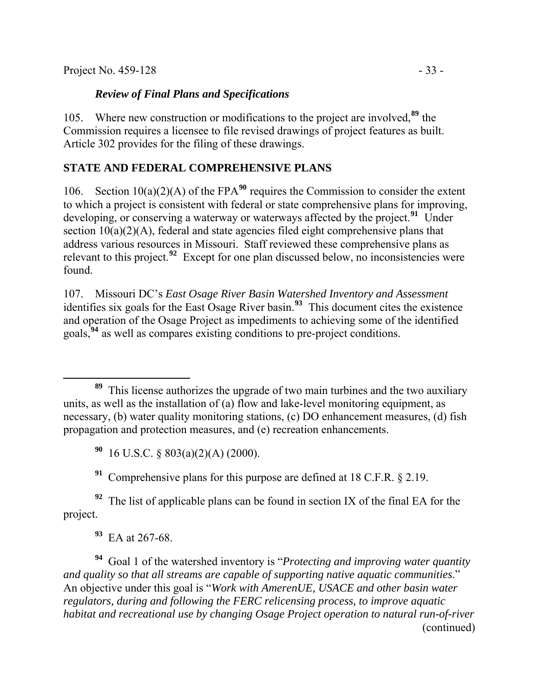Project No. 459-128 - 33

#### *Review of Final Plans and Specifications*

105. Where new construction or modifications to the project are involved,**[89](#page-32-0)** the Commission requires a licensee to file revised drawings of project features as built. Article 302 provides for the filing of these drawings.

### **STATE AND FEDERAL COMPREHENSIVE PLANS**

106. Section  $10(a)(2)(A)$  of the FPA<sup>[90](#page-32-1)</sup> requires the Commission to consider the extent to which a project is consistent with federal or state comprehensive plans for improving, developing, or conserving a waterway or waterways affected by the project.**[91](#page-32-2)** Under section  $10(a)(2)(A)$ , federal and state agencies filed eight comprehensive plans that address various resources in Missouri. Staff reviewed these comprehensive plans as relevant to this project.**[92](#page-32-3)** Except for one plan discussed below, no inconsistencies were found.

107. Missouri DC's *East Osage River Basin Watershed Inventory and Assessment* identifies six goals for the East Osage River basin.**[93](#page-32-4)** This document cites the existence and operation of the Osage Project as impediments to achieving some of the identified goals,**[94](#page-32-5)** as well as compares existing conditions to pre-project conditions.

**<sup>90</sup>** 16 U.S.C. § 803(a)(2)(A) (2000).

**<sup>91</sup>** Comprehensive plans for this purpose are defined at 18 C.F.R. § 2.19.

<span id="page-32-3"></span><span id="page-32-2"></span><span id="page-32-1"></span>**<sup>92</sup>** The list of applicable plans can be found in section IX of the final EA for the project.

<span id="page-32-5"></span><span id="page-32-4"></span>(continued) **<sup>94</sup>** Goal 1 of the watershed inventory is "*Protecting and improving water quantity and quality so that all streams are capable of supporting native aquatic communities*." An objective under this goal is "*Work with AmerenUE, USACE and other basin water regulators, during and following the FERC relicensing process, to improve aquatic habitat and recreational use by changing Osage Project operation to natural run-of-river* 

<span id="page-32-0"></span>**<sup>89</sup>** This license authorizes the upgrade of two main turbines and the two auxiliary units, as well as the installation of (a) flow and lake-level monitoring equipment, as necessary, (b) water quality monitoring stations, (c) DO enhancement measures, (d) fish propagation and protection measures, and (e) recreation enhancements.

**<sup>93</sup>** EA at 267-68.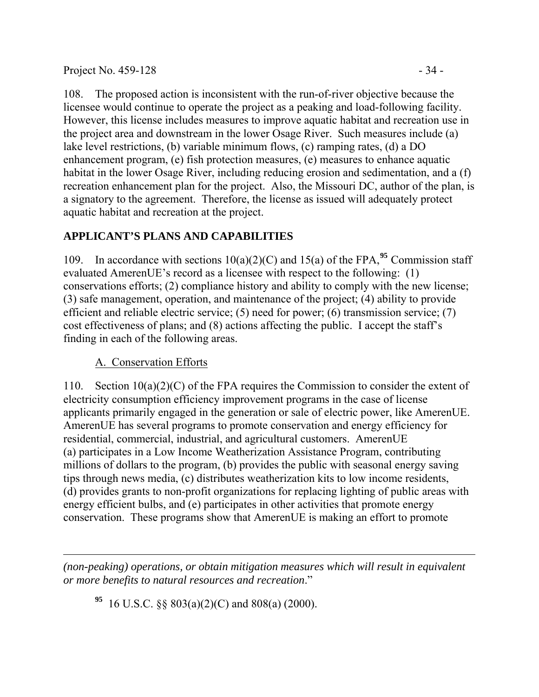Project No. 459-128 - 34

108. The proposed action is inconsistent with the run-of-river objective because the licensee would continue to operate the project as a peaking and load-following facility. However, this license includes measures to improve aquatic habitat and recreation use in the project area and downstream in the lower Osage River. Such measures include (a) lake level restrictions, (b) variable minimum flows, (c) ramping rates, (d) a DO enhancement program, (e) fish protection measures, (e) measures to enhance aquatic habitat in the lower Osage River, including reducing erosion and sedimentation, and a (f) recreation enhancement plan for the project. Also, the Missouri DC, author of the plan, is a signatory to the agreement. Therefore, the license as issued will adequately protect aquatic habitat and recreation at the project.

# **APPLICANT'S PLANS AND CAPABILITIES**

109. In accordance with sections  $10(a)(2)(C)$  and  $15(a)$  of the FPA, <sup>[95](#page-33-0)</sup> Commission staff evaluated AmerenUE's record as a licensee with respect to the following: (1) conservations efforts; (2) compliance history and ability to comply with the new license; (3) safe management, operation, and maintenance of the project; (4) ability to provide efficient and reliable electric service; (5) need for power; (6) transmission service; (7) cost effectiveness of plans; and (8) actions affecting the public. I accept the staff's finding in each of the following areas.

## A. Conservation Efforts

110. Section 10(a)(2)(C) of the FPA requires the Commission to consider the extent of electricity consumption efficiency improvement programs in the case of license applicants primarily engaged in the generation or sale of electric power, like AmerenUE. AmerenUE has several programs to promote conservation and energy efficiency for residential, commercial, industrial, and agricultural customers. AmerenUE (a) participates in a Low Income Weatherization Assistance Program, contributing millions of dollars to the program, (b) provides the public with seasonal energy saving tips through news media, (c) distributes weatherization kits to low income residents, (d) provides grants to non-profit organizations for replacing lighting of public areas with energy efficient bulbs, and (e) participates in other activities that promote energy conservation. These programs show that AmerenUE is making an effort to promote

<span id="page-33-0"></span> $\overline{a}$ *(non-peaking) operations, or obtain mitigation measures which will result in equivalent or more benefits to natural resources and recreation*."

**<sup>95</sup>** 16 U.S.C. §§ 803(a)(2)(C) and 808(a) (2000).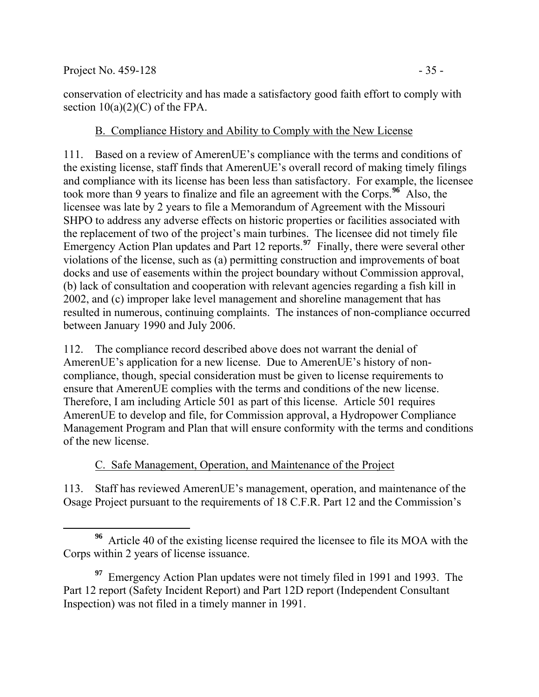conservation of electricity and has made a satisfactory good faith effort to comply with section  $10(a)(2)(C)$  of the FPA.

## B. Compliance History and Ability to Comply with the New License

111. Based on a review of AmerenUE's compliance with the terms and conditions of the existing license, staff finds that AmerenUE's overall record of making timely filings and compliance with its license has been less than satisfactory. For example, the licensee took more than 9 years to finalize and file an agreement with the Corps.**[96](#page-34-0)** Also, the licensee was late by 2 years to file a Memorandum of Agreement with the Missouri SHPO to address any adverse effects on historic properties or facilities associated with the replacement of two of the project's main turbines. The licensee did not timely file Emergency Action Plan updates and Part 12 reports.<sup>[97](#page-34-1)</sup> Finally, there were several other violations of the license, such as (a) permitting construction and improvements of boat docks and use of easements within the project boundary without Commission approval, (b) lack of consultation and cooperation with relevant agencies regarding a fish kill in 2002, and (c) improper lake level management and shoreline management that has resulted in numerous, continuing complaints. The instances of non-compliance occurred between January 1990 and July 2006.

112. The compliance record described above does not warrant the denial of AmerenUE's application for a new license. Due to AmerenUE's history of noncompliance, though, special consideration must be given to license requirements to ensure that AmerenUE complies with the terms and conditions of the new license. Therefore, I am including Article 501 as part of this license. Article 501 requires AmerenUE to develop and file, for Commission approval, a Hydropower Compliance Management Program and Plan that will ensure conformity with the terms and conditions of the new license.

## C. Safe Management, Operation, and Maintenance of the Project

113. Staff has reviewed AmerenUE's management, operation, and maintenance of the Osage Project pursuant to the requirements of 18 C.F.R. Part 12 and the Commission's

<span id="page-34-0"></span>**<sup>96</sup>** Article 40 of the existing license required the licensee to file its MOA with the Corps within 2 years of license issuance.

<span id="page-34-1"></span>**<sup>97</sup>** Emergency Action Plan updates were not timely filed in 1991 and 1993. The Part 12 report (Safety Incident Report) and Part 12D report (Independent Consultant Inspection) was not filed in a timely manner in 1991.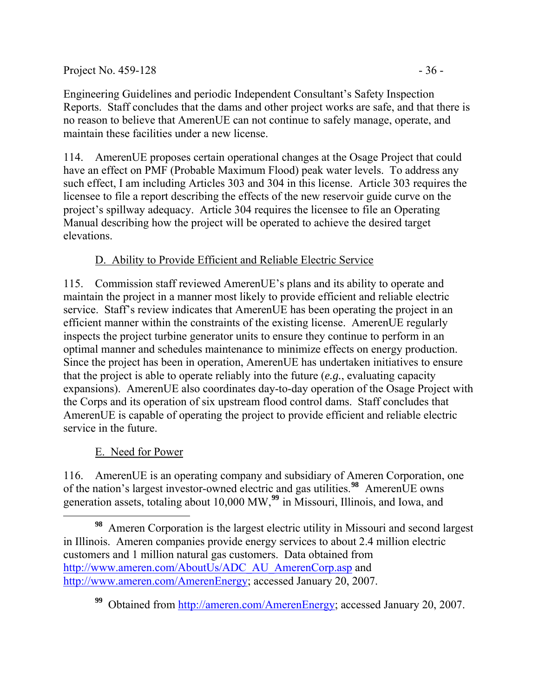Engineering Guidelines and periodic Independent Consultant's Safety Inspection Reports. Staff concludes that the dams and other project works are safe, and that there is no reason to believe that AmerenUE can not continue to safely manage, operate, and maintain these facilities under a new license.

114. AmerenUE proposes certain operational changes at the Osage Project that could have an effect on PMF (Probable Maximum Flood) peak water levels. To address any such effect, I am including Articles 303 and 304 in this license. Article 303 requires the licensee to file a report describing the effects of the new reservoir guide curve on the project's spillway adequacy. Article 304 requires the licensee to file an Operating Manual describing how the project will be operated to achieve the desired target elevations.

# D. Ability to Provide Efficient and Reliable Electric Service

115. Commission staff reviewed AmerenUE's plans and its ability to operate and maintain the project in a manner most likely to provide efficient and reliable electric service. Staff's review indicates that AmerenUE has been operating the project in an efficient manner within the constraints of the existing license. AmerenUE regularly inspects the project turbine generator units to ensure they continue to perform in an optimal manner and schedules maintenance to minimize effects on energy production. Since the project has been in operation, AmerenUE has undertaken initiatives to ensure that the project is able to operate reliably into the future (*e.g.*, evaluating capacity expansions). AmerenUE also coordinates day-to-day operation of the Osage Project with the Corps and its operation of six upstream flood control dams. Staff concludes that AmerenUE is capable of operating the project to provide efficient and reliable electric service in the future.

## E. Need for Power

116. AmerenUE is an operating company and subsidiary of Ameren Corporation, one of the nation's largest investor-owned electric and gas utilities.**[98](#page-35-0)** AmerenUE owns generation assets, totaling about 10,000 MW,**[99](#page-35-1)** in Missouri, Illinois, and Iowa, and

<span id="page-35-0"></span>**<sup>98</sup>** Ameren Corporation is the largest electric utility in Missouri and second largest in Illinois. Ameren companies provide energy services to about 2.4 million electric customers and 1 million natural gas customers. Data obtained from [http://www.ameren.com/AboutUs/ADC\\_AU\\_AmerenCorp.asp](http://www.ameren.com/AboutUs/ADC_AU_AmerenCorp.asp) and <http://www.ameren.com/AmerenEnergy>; accessed January 20, 2007.

<span id="page-35-1"></span><sup>&</sup>lt;sup>99</sup> Obtained from [http://ameren.com/AmerenEnergy;](http://ameren.com/AmerenEnergy) accessed January 20, 2007.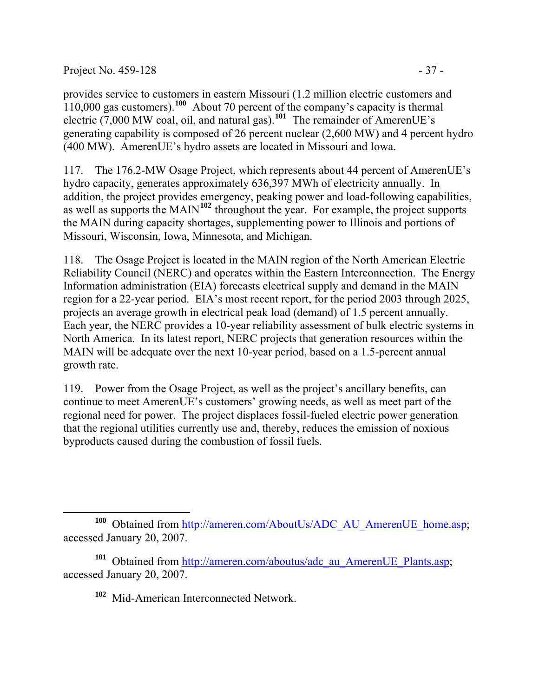Project No. 459-128  $-37 -$ 

provides service to customers in eastern Missouri (1.2 million electric customers and 110,000 gas customers).**[100](#page-36-0)** About 70 percent of the company's capacity is thermal electric (7,000 MW coal, oil, and natural gas).**[101](#page-36-1)** The remainder of AmerenUE's generating capability is composed of 26 percent nuclear (2,600 MW) and 4 percent hydro (400 MW). AmerenUE's hydro assets are located in Missouri and Iowa.

117. The 176.2-MW Osage Project, which represents about 44 percent of AmerenUE's hydro capacity, generates approximately 636,397 MWh of electricity annually. In addition, the project provides emergency, peaking power and load-following capabilities, as well as supports the MAIN**[102](#page-36-2)** throughout the year. For example, the project supports the MAIN during capacity shortages, supplementing power to Illinois and portions of Missouri, Wisconsin, Iowa, Minnesota, and Michigan.

118. The Osage Project is located in the MAIN region of the North American Electric Reliability Council (NERC) and operates within the Eastern Interconnection. The Energy Information administration (EIA) forecasts electrical supply and demand in the MAIN region for a 22-year period. EIA's most recent report, for the period 2003 through 2025, projects an average growth in electrical peak load (demand) of 1.5 percent annually. Each year, the NERC provides a 10-year reliability assessment of bulk electric systems in North America. In its latest report, NERC projects that generation resources within the MAIN will be adequate over the next 10-year period, based on a 1.5-percent annual growth rate.

119. Power from the Osage Project, as well as the project's ancillary benefits, can continue to meet AmerenUE's customers' growing needs, as well as meet part of the regional need for power. The project displaces fossil-fueled electric power generation that the regional utilities currently use and, thereby, reduces the emission of noxious byproducts caused during the combustion of fossil fuels.

**<sup>102</sup>** Mid-American Interconnected Network.

<span id="page-36-0"></span> $\overline{a}$ <sup>100</sup> Obtained from [http://ameren.com/AboutUs/ADC\\_AU\\_AmerenUE\\_home.asp](http://ameren.com/AboutUs/ADC_AU_AmerenUE_home.asp); accessed January 20, 2007.

<span id="page-36-2"></span><span id="page-36-1"></span><sup>&</sup>lt;sup>101</sup> Obtained from [http://ameren.com/aboutus/adc\\_au\\_AmerenUE\\_Plants.asp;](http://ameren.com/aboutus/adc_au_AmerenUE_Plants.asp) accessed January 20, 2007.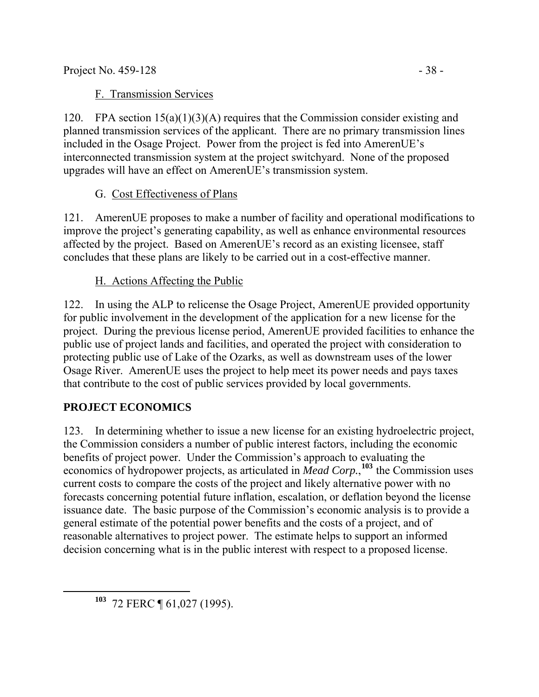## F. Transmission Services

120. FPA section 15(a)(1)(3)(A) requires that the Commission consider existing and planned transmission services of the applicant. There are no primary transmission lines included in the Osage Project. Power from the project is fed into AmerenUE's interconnected transmission system at the project switchyard. None of the proposed upgrades will have an effect on AmerenUE's transmission system.

## G. Cost Effectiveness of Plans

121. AmerenUE proposes to make a number of facility and operational modifications to improve the project's generating capability, as well as enhance environmental resources affected by the project. Based on AmerenUE's record as an existing licensee, staff concludes that these plans are likely to be carried out in a cost-effective manner.

## H. Actions Affecting the Public

122. In using the ALP to relicense the Osage Project, AmerenUE provided opportunity for public involvement in the development of the application for a new license for the project. During the previous license period, AmerenUE provided facilities to enhance the public use of project lands and facilities, and operated the project with consideration to protecting public use of Lake of the Ozarks, as well as downstream uses of the lower Osage River. AmerenUE uses the project to help meet its power needs and pays taxes that contribute to the cost of public services provided by local governments.

## **PROJECT ECONOMICS**

123. In determining whether to issue a new license for an existing hydroelectric project, the Commission considers a number of public interest factors, including the economic benefits of project power. Under the Commission's approach to evaluating the economics of hydropower projects, as articulated in *Mead Corp.*, **[103](#page-37-0)** the Commission uses current costs to compare the costs of the project and likely alternative power with no forecasts concerning potential future inflation, escalation, or deflation beyond the license issuance date. The basic purpose of the Commission's economic analysis is to provide a general estimate of the potential power benefits and the costs of a project, and of reasonable alternatives to project power. The estimate helps to support an informed decision concerning what is in the public interest with respect to a proposed license.

<span id="page-37-0"></span>**<sup>103</sup>** 72 FERC ¶ 61,027 (1995).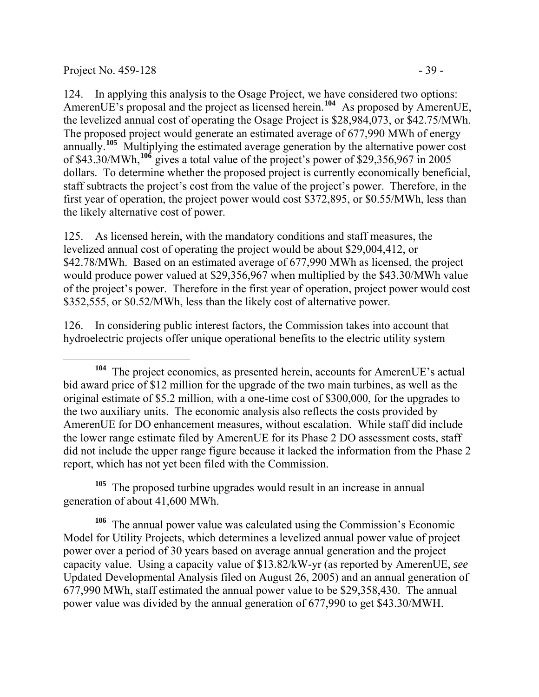### Project No.  $459-128$  - 39 -

124. In applying this analysis to the Osage Project, we have considered two options: AmerenUE's proposal and the project as licensed herein.**[104](#page-38-0)** As proposed by AmerenUE, the levelized annual cost of operating the Osage Project is \$28,984,073, or \$42.75/MWh. The proposed project would generate an estimated average of 677,990 MWh of energy annually.**[105](#page-38-1)** Multiplying the estimated average generation by the alternative power cost of \$43.30/MWh,**[106](#page-38-2)** gives a total value of the project's power of \$29,356,967 in 2005 dollars. To determine whether the proposed project is currently economically beneficial, staff subtracts the project's cost from the value of the project's power. Therefore, in the first year of operation, the project power would cost \$372,895, or \$0.55/MWh, less than the likely alternative cost of power.

125. As licensed herein, with the mandatory conditions and staff measures, the levelized annual cost of operating the project would be about \$29,004,412, or \$42.78/MWh. Based on an estimated average of 677,990 MWh as licensed, the project would produce power valued at \$29,356,967 when multiplied by the \$43.30/MWh value of the project's power. Therefore in the first year of operation, project power would cost \$352,555, or \$0.52/MWh, less than the likely cost of alternative power.

126. In considering public interest factors, the Commission takes into account that hydroelectric projects offer unique operational benefits to the electric utility system

<span id="page-38-1"></span><sup>105</sup> The proposed turbine upgrades would result in an increase in annual generation of about 41,600 MWh.

<span id="page-38-2"></span>**<sup>106</sup>** The annual power value was calculated using the Commission's Economic Model for Utility Projects, which determines a levelized annual power value of project power over a period of 30 years based on average annual generation and the project capacity value. Using a capacity value of \$13.82/kW-yr (as reported by AmerenUE, *see* Updated Developmental Analysis filed on August 26, 2005) and an annual generation of 677,990 MWh, staff estimated the annual power value to be \$29,358,430. The annual power value was divided by the annual generation of 677,990 to get \$43.30/MWH.

<span id="page-38-0"></span>**<sup>104</sup>** The project economics, as presented herein, accounts for AmerenUE's actual bid award price of \$12 million for the upgrade of the two main turbines, as well as the original estimate of \$5.2 million, with a one-time cost of \$300,000, for the upgrades to the two auxiliary units. The economic analysis also reflects the costs provided by AmerenUE for DO enhancement measures, without escalation. While staff did include the lower range estimate filed by AmerenUE for its Phase 2 DO assessment costs, staff did not include the upper range figure because it lacked the information from the Phase 2 report, which has not yet been filed with the Commission.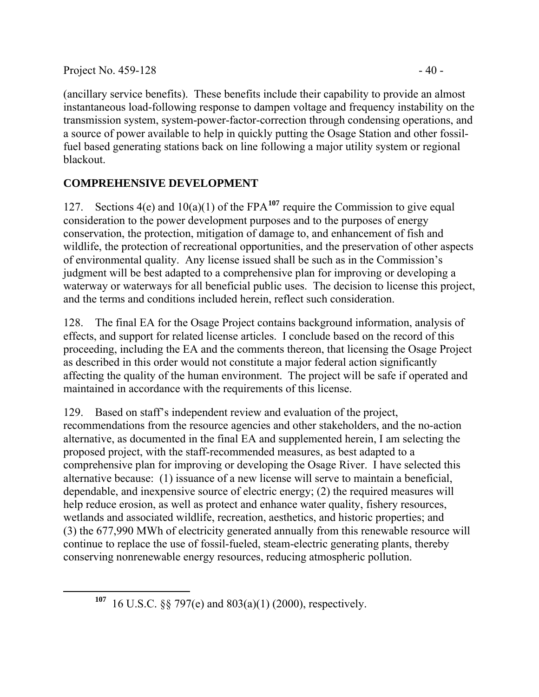<span id="page-39-0"></span> $\overline{a}$ 

(ancillary service benefits). These benefits include their capability to provide an almost instantaneous load-following response to dampen voltage and frequency instability on the transmission system, system-power-factor-correction through condensing operations, and a source of power available to help in quickly putting the Osage Station and other fossilfuel based generating stations back on line following a major utility system or regional blackout.

# **COMPREHENSIVE DEVELOPMENT**

127. Sections 4(e) and 10(a)(1) of the FPA**[107](#page-39-0)** require the Commission to give equal consideration to the power development purposes and to the purposes of energy conservation, the protection, mitigation of damage to, and enhancement of fish and wildlife, the protection of recreational opportunities, and the preservation of other aspects of environmental quality. Any license issued shall be such as in the Commission's judgment will be best adapted to a comprehensive plan for improving or developing a waterway or waterways for all beneficial public uses. The decision to license this project, and the terms and conditions included herein, reflect such consideration.

128. The final EA for the Osage Project contains background information, analysis of effects, and support for related license articles. I conclude based on the record of this proceeding, including the EA and the comments thereon, that licensing the Osage Project as described in this order would not constitute a major federal action significantly affecting the quality of the human environment. The project will be safe if operated and maintained in accordance with the requirements of this license.

129. Based on staff's independent review and evaluation of the project, recommendations from the resource agencies and other stakeholders, and the no-action alternative, as documented in the final EA and supplemented herein, I am selecting the proposed project, with the staff-recommended measures, as best adapted to a comprehensive plan for improving or developing the Osage River. I have selected this alternative because: (1) issuance of a new license will serve to maintain a beneficial, dependable, and inexpensive source of electric energy; (2) the required measures will help reduce erosion, as well as protect and enhance water quality, fishery resources, wetlands and associated wildlife, recreation, aesthetics, and historic properties; and (3) the 677,990 MWh of electricity generated annually from this renewable resource will continue to replace the use of fossil-fueled, steam-electric generating plants, thereby conserving nonrenewable energy resources, reducing atmospheric pollution.

**<sup>107</sup>** 16 U.S.C. §§ 797(e) and 803(a)(1) (2000), respectively.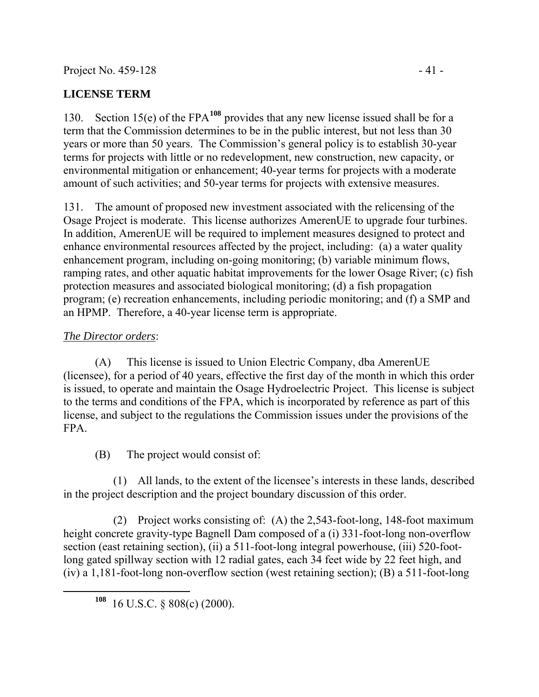## **LICENSE TERM**

130. Section 15(e) of the FPA**[108](#page-40-0)** provides that any new license issued shall be for a term that the Commission determines to be in the public interest, but not less than 30 years or more than 50 years. The Commission's general policy is to establish 30-year terms for projects with little or no redevelopment, new construction, new capacity, or environmental mitigation or enhancement; 40-year terms for projects with a moderate amount of such activities; and 50-year terms for projects with extensive measures.

131. The amount of proposed new investment associated with the relicensing of the Osage Project is moderate. This license authorizes AmerenUE to upgrade four turbines. In addition, AmerenUE will be required to implement measures designed to protect and enhance environmental resources affected by the project, including: (a) a water quality enhancement program, including on-going monitoring; (b) variable minimum flows, ramping rates, and other aquatic habitat improvements for the lower Osage River; (c) fish protection measures and associated biological monitoring; (d) a fish propagation program; (e) recreation enhancements, including periodic monitoring; and (f) a SMP and an HPMP. Therefore, a 40-year license term is appropriate.

## *The Director orders*:

(A) This license is issued to Union Electric Company, dba AmerenUE (licensee), for a period of 40 years, effective the first day of the month in which this order is issued, to operate and maintain the Osage Hydroelectric Project. This license is subject to the terms and conditions of the FPA, which is incorporated by reference as part of this license, and subject to the regulations the Commission issues under the provisions of the FPA.

(B) The project would consist of:

(1) All lands, to the extent of the licensee's interests in these lands, described in the project description and the project boundary discussion of this order.

(2) Project works consisting of: (A) the 2,543-foot-long, 148-foot maximum height concrete gravity-type Bagnell Dam composed of a (i) 331-foot-long non-overflow section (east retaining section), (ii) a 511-foot-long integral powerhouse, (iii) 520-footlong gated spillway section with 12 radial gates, each 34 feet wide by 22 feet high, and (iv) a 1,181-foot-long non-overflow section (west retaining section); (B) a 511-foot-long

<span id="page-40-0"></span>**<sup>108</sup>** 16 U.S.C. § 808(c) (2000).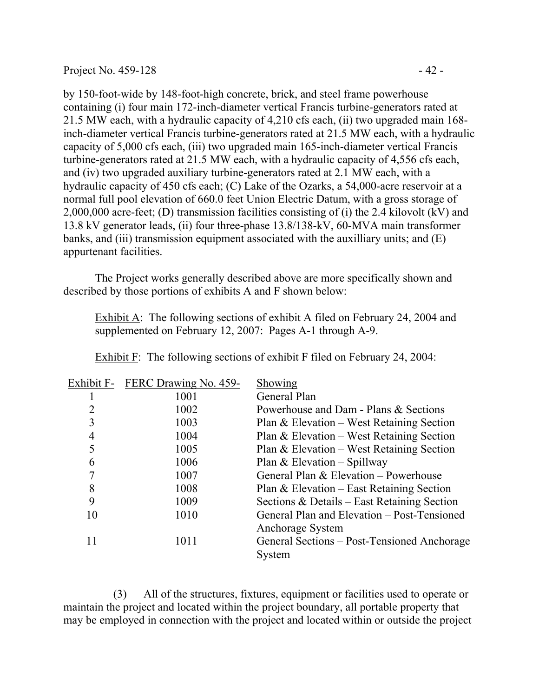by 150-foot-wide by 148-foot-high concrete, brick, and steel frame powerhouse containing (i) four main 172-inch-diameter vertical Francis turbine-generators rated at 21.5 MW each, with a hydraulic capacity of 4,210 cfs each, (ii) two upgraded main 168 inch-diameter vertical Francis turbine-generators rated at 21.5 MW each, with a hydraulic capacity of 5,000 cfs each, (iii) two upgraded main 165-inch-diameter vertical Francis turbine-generators rated at 21.5 MW each, with a hydraulic capacity of 4,556 cfs each, and (iv) two upgraded auxiliary turbine-generators rated at 2.1 MW each, with a hydraulic capacity of 450 cfs each; (C) Lake of the Ozarks, a 54,000-acre reservoir at a normal full pool elevation of 660.0 feet Union Electric Datum, with a gross storage of 2,000,000 acre-feet; (D) transmission facilities consisting of (i) the 2.4 kilovolt (kV) and 13.8 kV generator leads, (ii) four three-phase 13.8/138-kV, 60-MVA main transformer banks, and (iii) transmission equipment associated with the auxilliary units; and (E) appurtenant facilities.

The Project works generally described above are more specifically shown and described by those portions of exhibits A and F shown below:

Exhibit A: The following sections of exhibit A filed on February 24, 2004 and supplemented on February 12, 2007: Pages A-1 through A-9.

|    | Exhibit F- FERC Drawing No. 459- | Showing                                     |
|----|----------------------------------|---------------------------------------------|
|    | 1001                             | General Plan                                |
| 2  | 1002                             | Powerhouse and Dam - Plans & Sections       |
| 3  | 1003                             | Plan & Elevation – West Retaining Section   |
| 4  | 1004                             | Plan & Elevation – West Retaining Section   |
| 5  | 1005                             | Plan & Elevation – West Retaining Section   |
| 6  | 1006                             | Plan & Elevation - Spillway                 |
|    | 1007                             | General Plan & Elevation – Powerhouse       |
| 8  | 1008                             | Plan & Elevation – East Retaining Section   |
| 9  | 1009                             | Sections & Details – East Retaining Section |
| 10 | 1010                             | General Plan and Elevation – Post-Tensioned |
|    |                                  | Anchorage System                            |
| 11 | 1011                             | General Sections – Post-Tensioned Anchorage |
|    |                                  | System                                      |
|    |                                  |                                             |

Exhibit F: The following sections of exhibit F filed on February 24, 2004:

(3) All of the structures, fixtures, equipment or facilities used to operate or maintain the project and located within the project boundary, all portable property that may be employed in connection with the project and located within or outside the project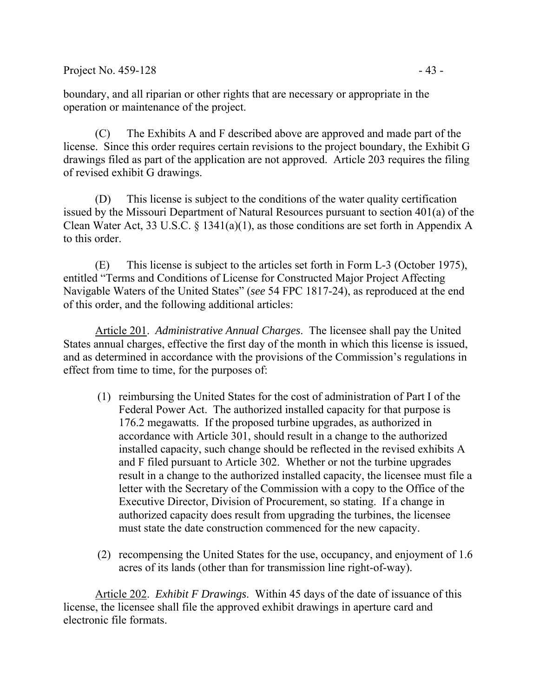boundary, and all riparian or other rights that are necessary or appropriate in the operation or maintenance of the project.

(C) The Exhibits A and F described above are approved and made part of the license. Since this order requires certain revisions to the project boundary, the Exhibit G drawings filed as part of the application are not approved. Article 203 requires the filing of revised exhibit G drawings.

(D) This license is subject to the conditions of the water quality certification issued by the Missouri Department of Natural Resources pursuant to section 401(a) of the Clean Water Act, 33 U.S.C. § 1341(a)(1), as those conditions are set forth in Appendix A to this order.

(E) This license is subject to the articles set forth in Form L-3 (October 1975), entitled "Terms and Conditions of License for Constructed Major Project Affecting Navigable Waters of the United States" (*see* 54 FPC 1817-24), as reproduced at the end of this order, and the following additional articles:

Article 201. *Administrative Annual Charges*. The licensee shall pay the United States annual charges, effective the first day of the month in which this license is issued, and as determined in accordance with the provisions of the Commission's regulations in effect from time to time, for the purposes of:

- (1) reimbursing the United States for the cost of administration of Part I of the Federal Power Act. The authorized installed capacity for that purpose is 176.2 megawatts. If the proposed turbine upgrades, as authorized in accordance with Article 301, should result in a change to the authorized installed capacity, such change should be reflected in the revised exhibits A and F filed pursuant to Article 302. Whether or not the turbine upgrades result in a change to the authorized installed capacity, the licensee must file a letter with the Secretary of the Commission with a copy to the Office of the Executive Director, Division of Procurement, so stating. If a change in authorized capacity does result from upgrading the turbines, the licensee must state the date construction commenced for the new capacity.
- (2) recompensing the United States for the use, occupancy, and enjoyment of 1.6 acres of its lands (other than for transmission line right-of-way).

Article 202. *Exhibit F Drawings*. Within 45 days of the date of issuance of this license, the licensee shall file the approved exhibit drawings in aperture card and electronic file formats.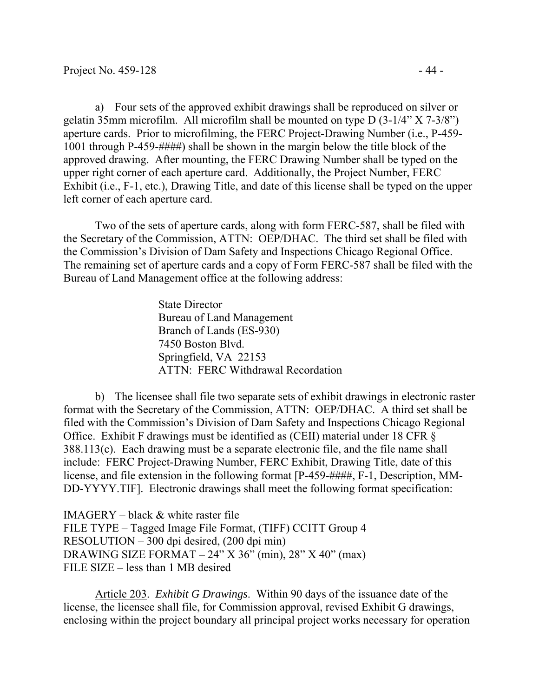a) Four sets of the approved exhibit drawings shall be reproduced on silver or gelatin 35mm microfilm. All microfilm shall be mounted on type D (3-1/4" X 7-3/8") aperture cards. Prior to microfilming, the FERC Project-Drawing Number (i.e., P-459- 1001 through P-459-####) shall be shown in the margin below the title block of the approved drawing. After mounting, the FERC Drawing Number shall be typed on the upper right corner of each aperture card. Additionally, the Project Number, FERC Exhibit (i.e., F-1, etc.), Drawing Title, and date of this license shall be typed on the upper left corner of each aperture card.

Two of the sets of aperture cards, along with form FERC-587, shall be filed with the Secretary of the Commission, ATTN: OEP/DHAC. The third set shall be filed with the Commission's Division of Dam Safety and Inspections Chicago Regional Office. The remaining set of aperture cards and a copy of Form FERC-587 shall be filed with the Bureau of Land Management office at the following address:

> State Director Bureau of Land Management Branch of Lands (ES-930) 7450 Boston Blvd. Springfield, VA 22153 ATTN: FERC Withdrawal Recordation

b) The licensee shall file two separate sets of exhibit drawings in electronic raster format with the Secretary of the Commission, ATTN: OEP/DHAC. A third set shall be filed with the Commission's Division of Dam Safety and Inspections Chicago Regional Office. Exhibit F drawings must be identified as (CEII) material under 18 CFR § 388.113(c). Each drawing must be a separate electronic file, and the file name shall include: FERC Project-Drawing Number, FERC Exhibit, Drawing Title, date of this license, and file extension in the following format [P-459-####, F-1, Description, MM-DD-YYYY.TIF]. Electronic drawings shall meet the following format specification:

IMAGERY – black  $&$  white raster file FILE TYPE – Tagged Image File Format, (TIFF) CCITT Group 4 RESOLUTION – 300 dpi desired, (200 dpi min) DRAWING SIZE FORMAT –  $24$ " X  $36$ " (min),  $28$ " X  $40$ " (max) FILE SIZE – less than 1 MB desired

Article 203. *Exhibit G Drawings*. Within 90 days of the issuance date of the license, the licensee shall file, for Commission approval, revised Exhibit G drawings, enclosing within the project boundary all principal project works necessary for operation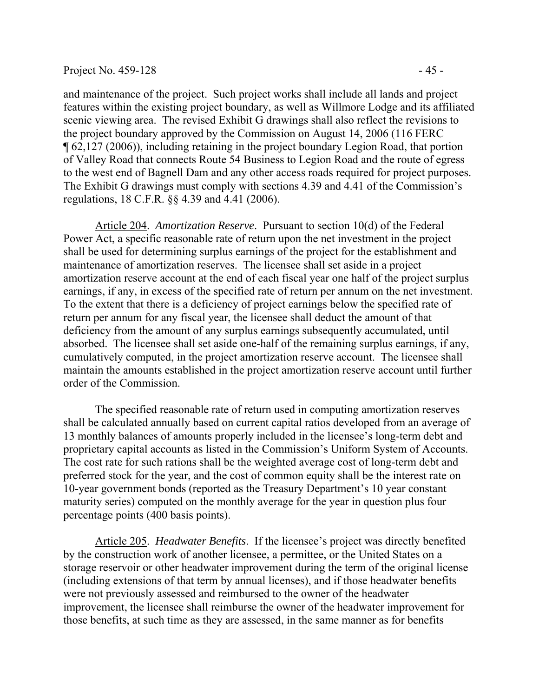#### Project No.  $459-128$  -  $45-$

and maintenance of the project. Such project works shall include all lands and project features within the existing project boundary, as well as Willmore Lodge and its affiliated scenic viewing area. The revised Exhibit G drawings shall also reflect the revisions to the project boundary approved by the Commission on August 14, 2006 (116 FERC ¶ 62,127 (2006)), including retaining in the project boundary Legion Road, that portion of Valley Road that connects Route 54 Business to Legion Road and the route of egress to the west end of Bagnell Dam and any other access roads required for project purposes. The Exhibit G drawings must comply with sections 4.39 and 4.41 of the Commission's regulations, 18 C.F.R. §§ 4.39 and 4.41 (2006).

Article 204. *Amortization Reserve*. Pursuant to section 10(d) of the Federal Power Act, a specific reasonable rate of return upon the net investment in the project shall be used for determining surplus earnings of the project for the establishment and maintenance of amortization reserves. The licensee shall set aside in a project amortization reserve account at the end of each fiscal year one half of the project surplus earnings, if any, in excess of the specified rate of return per annum on the net investment. To the extent that there is a deficiency of project earnings below the specified rate of return per annum for any fiscal year, the licensee shall deduct the amount of that deficiency from the amount of any surplus earnings subsequently accumulated, until absorbed. The licensee shall set aside one-half of the remaining surplus earnings, if any, cumulatively computed, in the project amortization reserve account. The licensee shall maintain the amounts established in the project amortization reserve account until further order of the Commission.

 The specified reasonable rate of return used in computing amortization reserves shall be calculated annually based on current capital ratios developed from an average of 13 monthly balances of amounts properly included in the licensee's long-term debt and proprietary capital accounts as listed in the Commission's Uniform System of Accounts. The cost rate for such rations shall be the weighted average cost of long-term debt and preferred stock for the year, and the cost of common equity shall be the interest rate on 10-year government bonds (reported as the Treasury Department's 10 year constant maturity series) computed on the monthly average for the year in question plus four percentage points (400 basis points).

Article 205. *Headwater Benefits*. If the licensee's project was directly benefited by the construction work of another licensee, a permittee, or the United States on a storage reservoir or other headwater improvement during the term of the original license (including extensions of that term by annual licenses), and if those headwater benefits were not previously assessed and reimbursed to the owner of the headwater improvement, the licensee shall reimburse the owner of the headwater improvement for those benefits, at such time as they are assessed, in the same manner as for benefits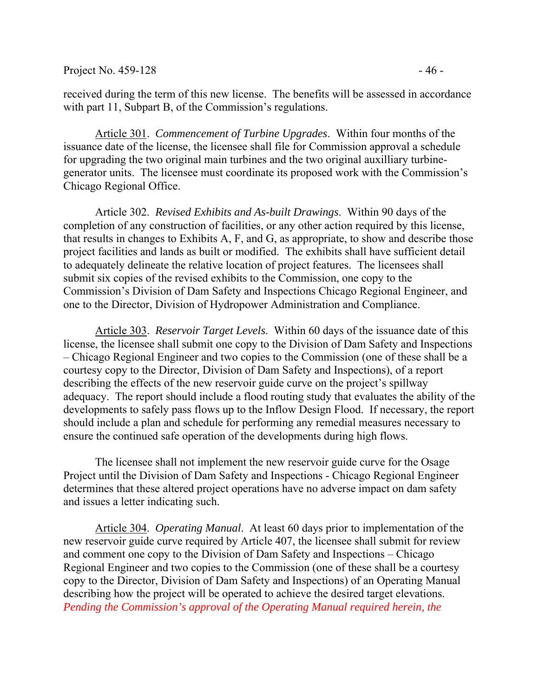Project No.  $459-128$  - 46 -

received during the term of this new license. The benefits will be assessed in accordance with part 11, Subpart B, of the Commission's regulations.

Article 301. *Commencement of Turbine Upgrades*. Within four months of the issuance date of the license, the licensee shall file for Commission approval a schedule for upgrading the two original main turbines and the two original auxilliary turbinegenerator units. The licensee must coordinate its proposed work with the Commission's Chicago Regional Office.

 Article 302. *Revised Exhibits and As-built Drawings*. Within 90 days of the completion of any construction of facilities, or any other action required by this license, that results in changes to Exhibits A, F, and G, as appropriate, to show and describe those project facilities and lands as built or modified. The exhibits shall have sufficient detail to adequately delineate the relative location of project features. The licensees shall submit six copies of the revised exhibits to the Commission, one copy to the Commission's Division of Dam Safety and Inspections Chicago Regional Engineer, and one to the Director, Division of Hydropower Administration and Compliance.

Article 303. *Reservoir Target Levels*. Within 60 days of the issuance date of this license, the licensee shall submit one copy to the Division of Dam Safety and Inspections – Chicago Regional Engineer and two copies to the Commission (one of these shall be a courtesy copy to the Director, Division of Dam Safety and Inspections), of a report describing the effects of the new reservoir guide curve on the project's spillway adequacy. The report should include a flood routing study that evaluates the ability of the developments to safely pass flows up to the Inflow Design Flood. If necessary, the report should include a plan and schedule for performing any remedial measures necessary to ensure the continued safe operation of the developments during high flows.

The licensee shall not implement the new reservoir guide curve for the Osage Project until the Division of Dam Safety and Inspections - Chicago Regional Engineer determines that these altered project operations have no adverse impact on dam safety and issues a letter indicating such.

Article 304. *Operating Manual*. At least 60 days prior to implementation of the new reservoir guide curve required by Article 407, the licensee shall submit for review and comment one copy to the Division of Dam Safety and Inspections – Chicago Regional Engineer and two copies to the Commission (one of these shall be a courtesy copy to the Director, Division of Dam Safety and Inspections) of an Operating Manual describing how the project will be operated to achieve the desired target elevations. *Pending the Commission's approval of the Operating Manual required herein, the*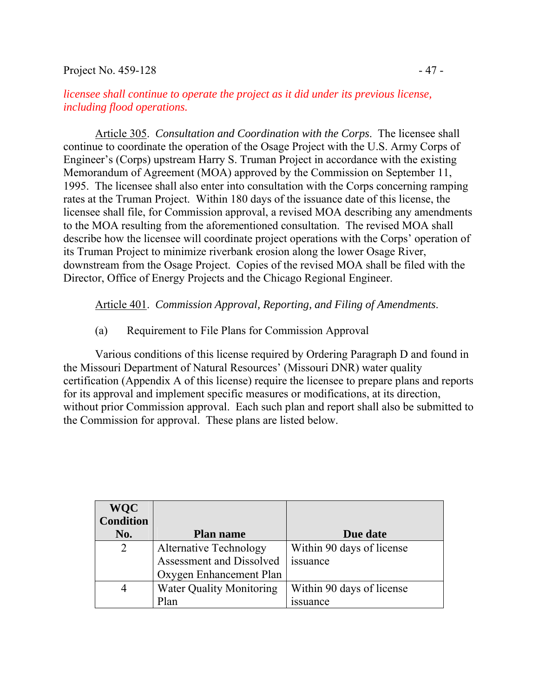### Project No.  $459-128$  -  $47-$

### *licensee shall continue to operate the project as it did under its previous license, including flood operations.*

Article 305. *Consultation and Coordination with the Corps*. The licensee shall continue to coordinate the operation of the Osage Project with the U.S. Army Corps of Engineer's (Corps) upstream Harry S. Truman Project in accordance with the existing Memorandum of Agreement (MOA) approved by the Commission on September 11, 1995. The licensee shall also enter into consultation with the Corps concerning ramping rates at the Truman Project. Within 180 days of the issuance date of this license, the licensee shall file, for Commission approval, a revised MOA describing any amendments to the MOA resulting from the aforementioned consultation. The revised MOA shall describe how the licensee will coordinate project operations with the Corps' operation of its Truman Project to minimize riverbank erosion along the lower Osage River, downstream from the Osage Project. Copies of the revised MOA shall be filed with the Director, Office of Energy Projects and the Chicago Regional Engineer.

Article 401. *Commission Approval, Reporting, and Filing of Amendments*.

(a) Requirement to File Plans for Commission Approval

Various conditions of this license required by Ordering Paragraph D and found in the Missouri Department of Natural Resources' (Missouri DNR) water quality certification (Appendix A of this license) require the licensee to prepare plans and reports for its approval and implement specific measures or modifications, at its direction, without prior Commission approval. Each such plan and report shall also be submitted to the Commission for approval. These plans are listed below.

| <b>WQC</b>       |                                 |                           |
|------------------|---------------------------------|---------------------------|
| <b>Condition</b> |                                 |                           |
| No.              | <b>Plan name</b>                | Due date                  |
| $\overline{2}$   | <b>Alternative Technology</b>   | Within 90 days of license |
|                  | Assessment and Dissolved        | issuance                  |
|                  | Oxygen Enhancement Plan         |                           |
| 4                | <b>Water Quality Monitoring</b> | Within 90 days of license |
|                  | Plan                            | <i>ssuance</i>            |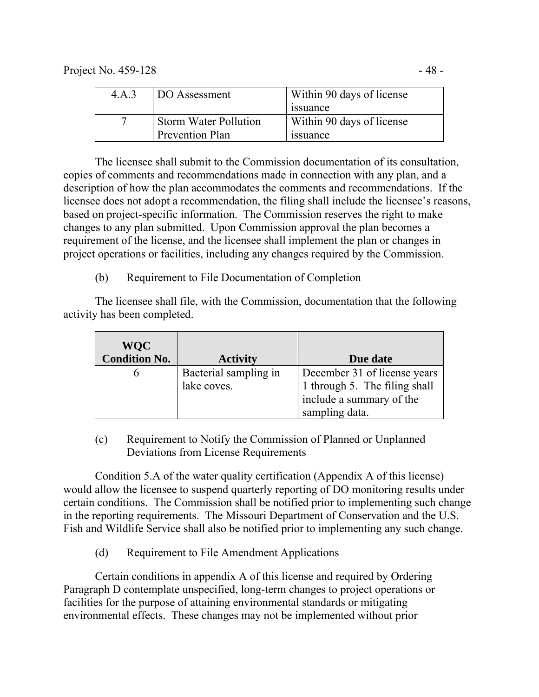| 4.A.3 | DO Assessment                | Within 90 days of license |
|-------|------------------------------|---------------------------|
|       |                              | <i>s</i> suance           |
|       | <b>Storm Water Pollution</b> | Within 90 days of license |
|       | Prevention Plan              | <i>s</i> suance           |

The licensee shall submit to the Commission documentation of its consultation, copies of comments and recommendations made in connection with any plan, and a description of how the plan accommodates the comments and recommendations. If the licensee does not adopt a recommendation, the filing shall include the licensee's reasons, based on project-specific information. The Commission reserves the right to make changes to any plan submitted. Upon Commission approval the plan becomes a requirement of the license, and the licensee shall implement the plan or changes in project operations or facilities, including any changes required by the Commission.

(b) Requirement to File Documentation of Completion

 The licensee shall file, with the Commission, documentation that the following activity has been completed.

| <b>WQC</b>           |                       |                               |
|----------------------|-----------------------|-------------------------------|
| <b>Condition No.</b> | <b>Activity</b>       | Due date                      |
|                      | Bacterial sampling in | December 31 of license years  |
|                      | lake coves.           | 1 through 5. The filing shall |
|                      |                       | include a summary of the      |
|                      |                       | sampling data.                |

(c) Requirement to Notify the Commission of Planned or Unplanned Deviations from License Requirements

 Condition 5.A of the water quality certification (Appendix A of this license) would allow the licensee to suspend quarterly reporting of DO monitoring results under certain conditions. The Commission shall be notified prior to implementing such change in the reporting requirements. The Missouri Department of Conservation and the U.S. Fish and Wildlife Service shall also be notified prior to implementing any such change.

(d) Requirement to File Amendment Applications

Certain conditions in appendix A of this license and required by Ordering Paragraph D contemplate unspecified, long-term changes to project operations or facilities for the purpose of attaining environmental standards or mitigating environmental effects. These changes may not be implemented without prior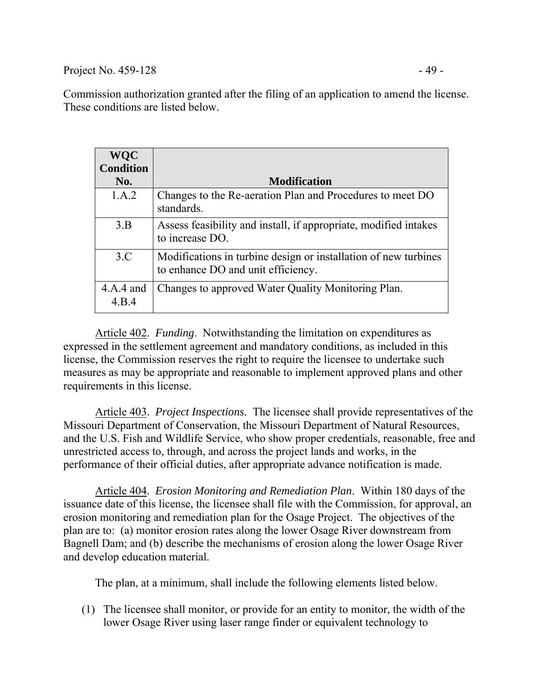Project No.  $459-128$  - 49 -

Commission authorization granted after the filing of an application to amend the license. These conditions are listed below.

| <b>WQC</b><br><b>Condition</b> |                                                                                                       |
|--------------------------------|-------------------------------------------------------------------------------------------------------|
| No.                            | <b>Modification</b>                                                                                   |
| 1.A.2                          | Changes to the Re-aeration Plan and Procedures to meet DO<br>standards.                               |
| 3.B                            | Assess feasibility and install, if appropriate, modified intakes<br>to increase DO.                   |
| 3.C                            | Modifications in turbine design or installation of new turbines<br>to enhance DO and unit efficiency. |
| $4.A.4$ and<br>4.B.4           | Changes to approved Water Quality Monitoring Plan.                                                    |

Article 402. *Funding*. Notwithstanding the limitation on expenditures as expressed in the settlement agreement and mandatory conditions, as included in this license, the Commission reserves the right to require the licensee to undertake such measures as may be appropriate and reasonable to implement approved plans and other requirements in this license.

Article 403. *Project Inspections*. The licensee shall provide representatives of the Missouri Department of Conservation, the Missouri Department of Natural Resources, and the U.S. Fish and Wildlife Service, who show proper credentials, reasonable, free and unrestricted access to, through, and across the project lands and works, in the performance of their official duties, after appropriate advance notification is made.

Article 404. *Erosion Monitoring and Remediation Plan*. Within 180 days of the issuance date of this license, the licensee shall file with the Commission, for approval, an erosion monitoring and remediation plan for the Osage Project. The objectives of the plan are to: (a) monitor erosion rates along the lower Osage River downstream from Bagnell Dam; and (b) describe the mechanisms of erosion along the lower Osage River and develop education material.

The plan, at a minimum, shall include the following elements listed below.

(1) The licensee shall monitor, or provide for an entity to monitor, the width of the lower Osage River using laser range finder or equivalent technology to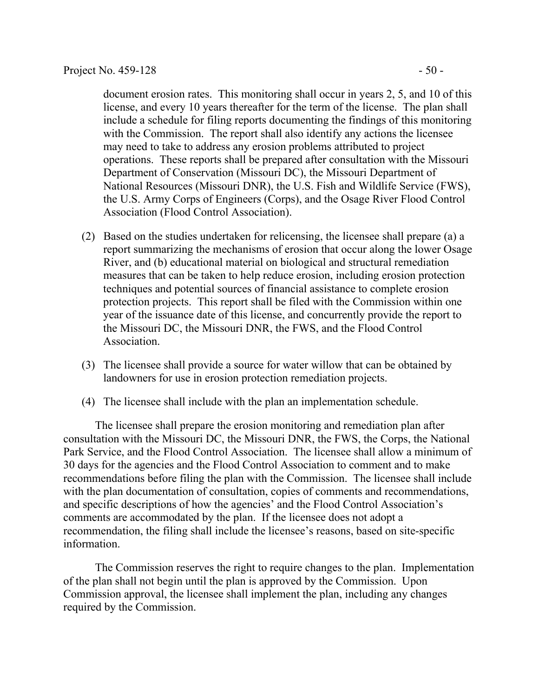document erosion rates. This monitoring shall occur in years 2, 5, and 10 of this license, and every 10 years thereafter for the term of the license. The plan shall include a schedule for filing reports documenting the findings of this monitoring with the Commission. The report shall also identify any actions the licensee may need to take to address any erosion problems attributed to project operations. These reports shall be prepared after consultation with the Missouri Department of Conservation (Missouri DC), the Missouri Department of National Resources (Missouri DNR), the U.S. Fish and Wildlife Service (FWS), the U.S. Army Corps of Engineers (Corps), and the Osage River Flood Control Association (Flood Control Association).

- (2) Based on the studies undertaken for relicensing, the licensee shall prepare (a) a report summarizing the mechanisms of erosion that occur along the lower Osage River, and (b) educational material on biological and structural remediation measures that can be taken to help reduce erosion, including erosion protection techniques and potential sources of financial assistance to complete erosion protection projects. This report shall be filed with the Commission within one year of the issuance date of this license, and concurrently provide the report to the Missouri DC, the Missouri DNR, the FWS, and the Flood Control Association.
- (3) The licensee shall provide a source for water willow that can be obtained by landowners for use in erosion protection remediation projects.
- (4) The licensee shall include with the plan an implementation schedule.

The licensee shall prepare the erosion monitoring and remediation plan after consultation with the Missouri DC, the Missouri DNR, the FWS, the Corps, the National Park Service, and the Flood Control Association. The licensee shall allow a minimum of 30 days for the agencies and the Flood Control Association to comment and to make recommendations before filing the plan with the Commission. The licensee shall include with the plan documentation of consultation, copies of comments and recommendations, and specific descriptions of how the agencies' and the Flood Control Association's comments are accommodated by the plan. If the licensee does not adopt a recommendation, the filing shall include the licensee's reasons, based on site-specific information.

The Commission reserves the right to require changes to the plan. Implementation of the plan shall not begin until the plan is approved by the Commission. Upon Commission approval, the licensee shall implement the plan, including any changes required by the Commission.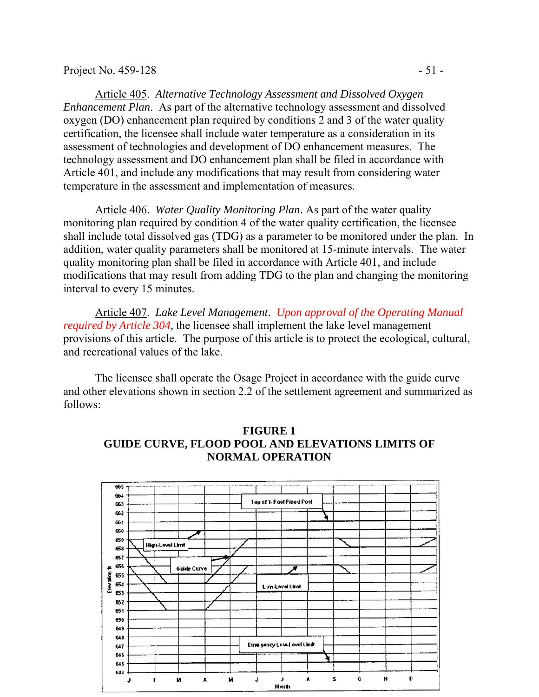Article 405. *Alternative Technology Assessment and Dissolved Oxygen Enhancement Plan*. As part of the alternative technology assessment and dissolved oxygen (DO) enhancement plan required by conditions 2 and 3 of the water quality certification, the licensee shall include water temperature as a consideration in its assessment of technologies and development of DO enhancement measures. The technology assessment and DO enhancement plan shall be filed in accordance with Article 401, and include any modifications that may result from considering water temperature in the assessment and implementation of measures.

Article 406. *Water Quality Monitoring Plan*. As part of the water quality monitoring plan required by condition 4 of the water quality certification, the licensee shall include total dissolved gas (TDG) as a parameter to be monitored under the plan. In addition, water quality parameters shall be monitored at 15-minute intervals. The water quality monitoring plan shall be filed in accordance with Article 401, and include modifications that may result from adding TDG to the plan and changing the monitoring interval to every 15 minutes.

Article 407. *Lake Level Management*. *Upon approval of the Operating Manual required by Article 304*, the licensee shall implement the lake level management provisions of this article. The purpose of this article is to protect the ecological, cultural, and recreational values of the lake.

The licensee shall operate the Osage Project in accordance with the guide curve and other elevations shown in section 2.2 of the settlement agreement and summarized as follows:



## **FIGURE 1 GUIDE CURVE, FLOOD POOL AND ELEVATIONS LIMITS OF NORMAL OPERATION**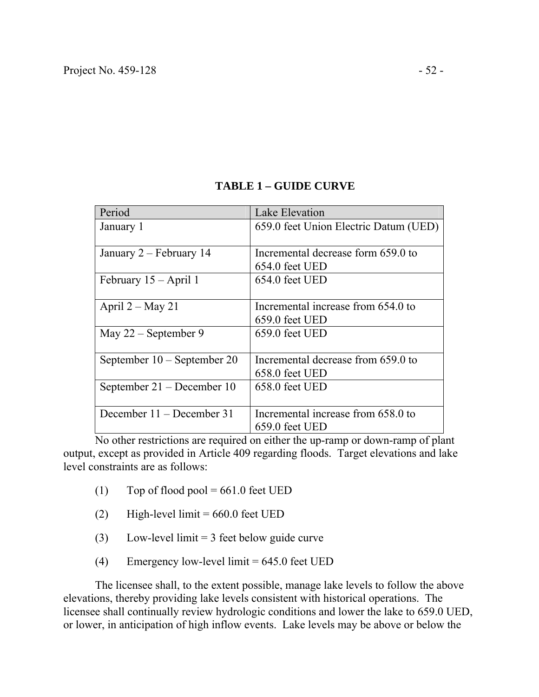| Period                        | Lake Elevation                        |
|-------------------------------|---------------------------------------|
| January 1                     | 659.0 feet Union Electric Datum (UED) |
|                               |                                       |
| January 2 – February 14       | Incremental decrease form 659.0 to    |
|                               | 654.0 feet UED                        |
| February 15 – April 1         | 654.0 feet UED                        |
|                               |                                       |
| April $2 - May 21$            | Incremental increase from 654.0 to    |
|                               | 659.0 feet UED                        |
| May $22$ – September 9        | 659.0 feet UED                        |
|                               |                                       |
| September $10 -$ September 20 | Incremental decrease from 659.0 to    |
|                               | 658.0 feet UED                        |
| September 21 – December 10    | 658.0 feet UED                        |
|                               |                                       |
| December 11 – December 31     | Incremental increase from 658.0 to    |
|                               | 659.0 feet UED                        |

## **TABLE 1 – GUIDE CURVE**

No other restrictions are required on either the up-ramp or down-ramp of plant output, except as provided in Article 409 regarding floods. Target elevations and lake level constraints are as follows:

- (1) Top of flood pool =  $661.0$  feet UED
- (2) High-level limit  $= 660.0$  feet UED
- (3) Low-level limit = 3 feet below guide curve
- (4) Emergency low-level limit  $= 645.0$  feet UED

The licensee shall, to the extent possible, manage lake levels to follow the above elevations, thereby providing lake levels consistent with historical operations. The licensee shall continually review hydrologic conditions and lower the lake to 659.0 UED, or lower, in anticipation of high inflow events. Lake levels may be above or below the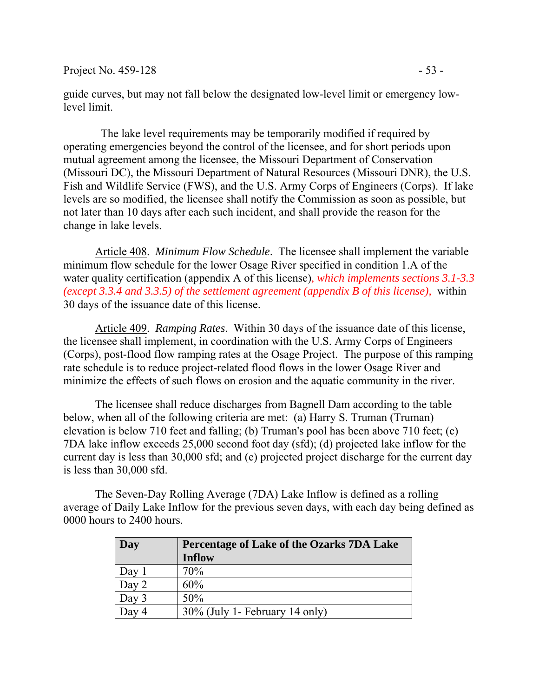Project No. 459-128 - 53 -

guide curves, but may not fall below the designated low-level limit or emergency lowlevel limit.

 The lake level requirements may be temporarily modified if required by operating emergencies beyond the control of the licensee, and for short periods upon mutual agreement among the licensee, the Missouri Department of Conservation (Missouri DC), the Missouri Department of Natural Resources (Missouri DNR), the U.S. Fish and Wildlife Service (FWS), and the U.S. Army Corps of Engineers (Corps). If lake levels are so modified, the licensee shall notify the Commission as soon as possible, but not later than 10 days after each such incident, and shall provide the reason for the change in lake levels.

Article 408. *Minimum Flow Schedule*. The licensee shall implement the variable minimum flow schedule for the lower Osage River specified in condition 1.A of the water quality certification (appendix A of this license)*, which implements sections 3.1-3.3 (except 3.3.4 and 3.3.5) of the settlement agreement (appendix B of this license),* within 30 days of the issuance date of this license.

Article 409. *Ramping Rates*. Within 30 days of the issuance date of this license, the licensee shall implement, in coordination with the U.S. Army Corps of Engineers (Corps), post-flood flow ramping rates at the Osage Project. The purpose of this ramping rate schedule is to reduce project-related flood flows in the lower Osage River and minimize the effects of such flows on erosion and the aquatic community in the river.

The licensee shall reduce discharges from Bagnell Dam according to the table below, when all of the following criteria are met: (a) Harry S. Truman (Truman) elevation is below 710 feet and falling; (b) Truman's pool has been above 710 feet; (c) 7DA lake inflow exceeds 25,000 second foot day (sfd); (d) projected lake inflow for the current day is less than 30,000 sfd; and (e) projected project discharge for the current day is less than 30,000 sfd.

The Seven-Day Rolling Average (7DA) Lake Inflow is defined as a rolling average of Daily Lake Inflow for the previous seven days, with each day being defined as 0000 hours to 2400 hours.

| Day         | Percentage of Lake of the Ozarks 7DA Lake |  |
|-------------|-------------------------------------------|--|
|             | <b>Inflow</b>                             |  |
| Day         | 70%                                       |  |
| Day 2       | 60%                                       |  |
| Day $3$     | 50%                                       |  |
| $\Delta$ av | 30% (July 1- February 14 only)            |  |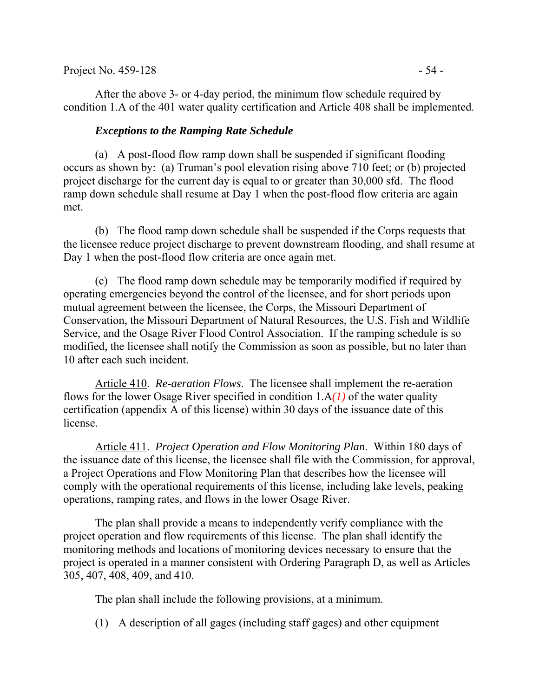After the above 3- or 4-day period, the minimum flow schedule required by condition 1.A of the 401 water quality certification and Article 408 shall be implemented.

### *Exceptions to the Ramping Rate Schedule*

(a) A post-flood flow ramp down shall be suspended if significant flooding occurs as shown by: (a) Truman's pool elevation rising above 710 feet; or (b) projected project discharge for the current day is equal to or greater than 30,000 sfd. The flood ramp down schedule shall resume at Day 1 when the post-flood flow criteria are again met.

(b) The flood ramp down schedule shall be suspended if the Corps requests that the licensee reduce project discharge to prevent downstream flooding, and shall resume at Day 1 when the post-flood flow criteria are once again met.

(c) The flood ramp down schedule may be temporarily modified if required by operating emergencies beyond the control of the licensee, and for short periods upon mutual agreement between the licensee, the Corps, the Missouri Department of Conservation, the Missouri Department of Natural Resources, the U.S. Fish and Wildlife Service, and the Osage River Flood Control Association. If the ramping schedule is so modified, the licensee shall notify the Commission as soon as possible, but no later than 10 after each such incident.

Article 410. *Re-aeration Flows*. The licensee shall implement the re-aeration flows for the lower Osage River specified in condition 1.A*(1)* of the water quality certification (appendix A of this license) within 30 days of the issuance date of this license.

Article 411. *Project Operation and Flow Monitoring Plan*. Within 180 days of the issuance date of this license, the licensee shall file with the Commission, for approval, a Project Operations and Flow Monitoring Plan that describes how the licensee will comply with the operational requirements of this license, including lake levels, peaking operations, ramping rates, and flows in the lower Osage River.

The plan shall provide a means to independently verify compliance with the project operation and flow requirements of this license. The plan shall identify the monitoring methods and locations of monitoring devices necessary to ensure that the project is operated in a manner consistent with Ordering Paragraph D, as well as Articles 305, 407, 408, 409, and 410.

The plan shall include the following provisions, at a minimum.

(1) A description of all gages (including staff gages) and other equipment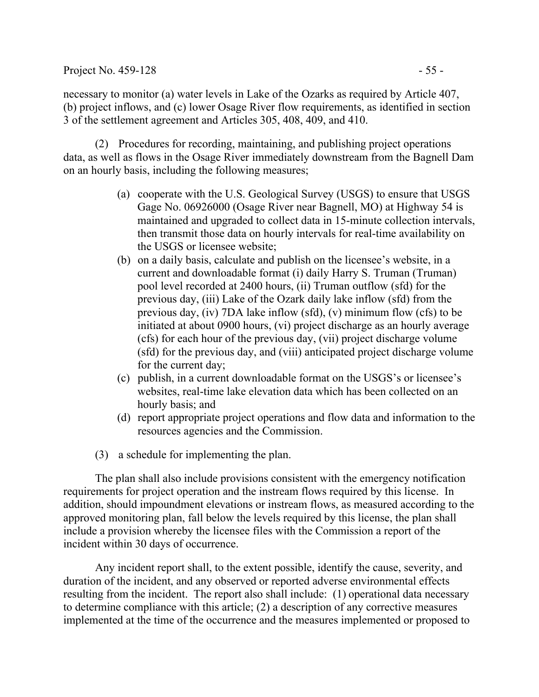### Project No. 459-128 - 55 -

necessary to monitor (a) water levels in Lake of the Ozarks as required by Article 407, (b) project inflows, and (c) lower Osage River flow requirements, as identified in section 3 of the settlement agreement and Articles 305, 408, 409, and 410.

(2) Procedures for recording, maintaining, and publishing project operations data, as well as flows in the Osage River immediately downstream from the Bagnell Dam on an hourly basis, including the following measures;

- (a) cooperate with the U.S. Geological Survey (USGS) to ensure that USGS Gage No. 06926000 (Osage River near Bagnell, MO) at Highway 54 is maintained and upgraded to collect data in 15-minute collection intervals, then transmit those data on hourly intervals for real-time availability on the USGS or licensee website;
- (b) on a daily basis, calculate and publish on the licensee's website, in a current and downloadable format (i) daily Harry S. Truman (Truman) pool level recorded at 2400 hours, (ii) Truman outflow (sfd) for the previous day, (iii) Lake of the Ozark daily lake inflow (sfd) from the previous day, (iv) 7DA lake inflow (sfd), (v) minimum flow (cfs) to be initiated at about 0900 hours, (vi) project discharge as an hourly average (cfs) for each hour of the previous day, (vii) project discharge volume (sfd) for the previous day, and (viii) anticipated project discharge volume for the current day;
- (c) publish, in a current downloadable format on the USGS's or licensee's websites, real-time lake elevation data which has been collected on an hourly basis; and
- (d) report appropriate project operations and flow data and information to the resources agencies and the Commission.
- (3) a schedule for implementing the plan.

The plan shall also include provisions consistent with the emergency notification requirements for project operation and the instream flows required by this license. In addition, should impoundment elevations or instream flows, as measured according to the approved monitoring plan, fall below the levels required by this license, the plan shall include a provision whereby the licensee files with the Commission a report of the incident within 30 days of occurrence.

Any incident report shall, to the extent possible, identify the cause, severity, and duration of the incident, and any observed or reported adverse environmental effects resulting from the incident. The report also shall include: (1) operational data necessary to determine compliance with this article; (2) a description of any corrective measures implemented at the time of the occurrence and the measures implemented or proposed to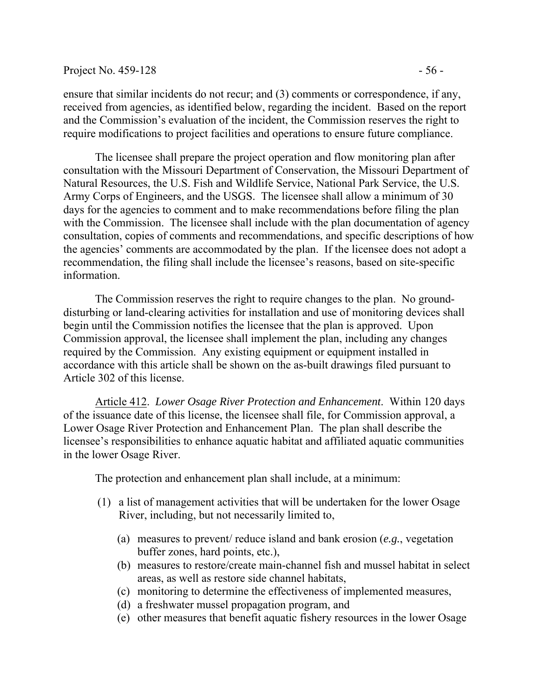#### Project No.  $459-128$  - 56 -

ensure that similar incidents do not recur; and (3) comments or correspondence, if any, received from agencies, as identified below, regarding the incident. Based on the report and the Commission's evaluation of the incident, the Commission reserves the right to require modifications to project facilities and operations to ensure future compliance.

The licensee shall prepare the project operation and flow monitoring plan after consultation with the Missouri Department of Conservation, the Missouri Department of Natural Resources, the U.S. Fish and Wildlife Service, National Park Service, the U.S. Army Corps of Engineers, and the USGS. The licensee shall allow a minimum of 30 days for the agencies to comment and to make recommendations before filing the plan with the Commission. The licensee shall include with the plan documentation of agency consultation, copies of comments and recommendations, and specific descriptions of how the agencies' comments are accommodated by the plan. If the licensee does not adopt a recommendation, the filing shall include the licensee's reasons, based on site-specific information.

The Commission reserves the right to require changes to the plan. No grounddisturbing or land-clearing activities for installation and use of monitoring devices shall begin until the Commission notifies the licensee that the plan is approved. Upon Commission approval, the licensee shall implement the plan, including any changes required by the Commission. Any existing equipment or equipment installed in accordance with this article shall be shown on the as-built drawings filed pursuant to Article 302 of this license.

Article 412. *Lower Osage River Protection and Enhancement*. Within 120 days of the issuance date of this license, the licensee shall file, for Commission approval, a Lower Osage River Protection and Enhancement Plan. The plan shall describe the licensee's responsibilities to enhance aquatic habitat and affiliated aquatic communities in the lower Osage River.

The protection and enhancement plan shall include, at a minimum:

- (1) a list of management activities that will be undertaken for the lower Osage River, including, but not necessarily limited to,
	- (a) measures to prevent/ reduce island and bank erosion (*e.g.*, vegetation buffer zones, hard points, etc.),
	- (b) measures to restore/create main-channel fish and mussel habitat in select areas, as well as restore side channel habitats,
	- (c) monitoring to determine the effectiveness of implemented measures,
	- (d) a freshwater mussel propagation program, and
	- (e) other measures that benefit aquatic fishery resources in the lower Osage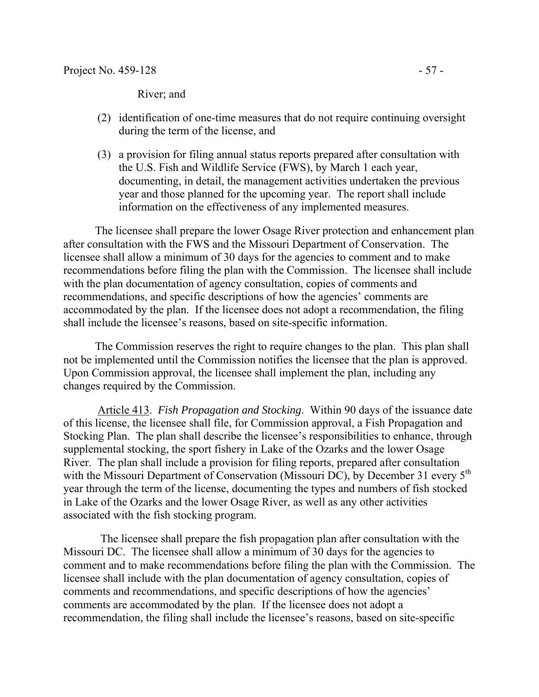River; and

- (2) identification of one-time measures that do not require continuing oversight during the term of the license, and
- (3) a provision for filing annual status reports prepared after consultation with the U.S. Fish and Wildlife Service (FWS), by March 1 each year, documenting, in detail, the management activities undertaken the previous year and those planned for the upcoming year. The report shall include information on the effectiveness of any implemented measures.

The licensee shall prepare the lower Osage River protection and enhancement plan after consultation with the FWS and the Missouri Department of Conservation. The licensee shall allow a minimum of 30 days for the agencies to comment and to make recommendations before filing the plan with the Commission. The licensee shall include with the plan documentation of agency consultation, copies of comments and recommendations, and specific descriptions of how the agencies' comments are accommodated by the plan. If the licensee does not adopt a recommendation, the filing shall include the licensee's reasons, based on site-specific information.

The Commission reserves the right to require changes to the plan. This plan shall not be implemented until the Commission notifies the licensee that the plan is approved. Upon Commission approval, the licensee shall implement the plan, including any changes required by the Commission.

Article 413. *Fish Propagation and Stocking*. Within 90 days of the issuance date of this license, the licensee shall file, for Commission approval, a Fish Propagation and Stocking Plan. The plan shall describe the licensee's responsibilities to enhance, through supplemental stocking, the sport fishery in Lake of the Ozarks and the lower Osage River. The plan shall include a provision for filing reports, prepared after consultation with the Missouri Department of Conservation (Missouri DC), by December 31 every 5<sup>th</sup> year through the term of the license, documenting the types and numbers of fish stocked in Lake of the Ozarks and the lower Osage River, as well as any other activities associated with the fish stocking program.

 The licensee shall prepare the fish propagation plan after consultation with the Missouri DC. The licensee shall allow a minimum of 30 days for the agencies to comment and to make recommendations before filing the plan with the Commission. The licensee shall include with the plan documentation of agency consultation, copies of comments and recommendations, and specific descriptions of how the agencies' comments are accommodated by the plan. If the licensee does not adopt a recommendation, the filing shall include the licensee's reasons, based on site-specific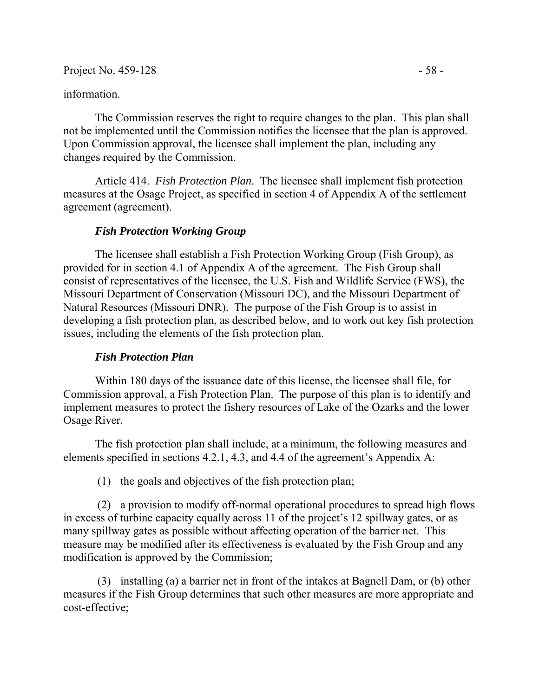Project No. 459-128 - 58 -

### information.

The Commission reserves the right to require changes to the plan. This plan shall not be implemented until the Commission notifies the licensee that the plan is approved. Upon Commission approval, the licensee shall implement the plan, including any changes required by the Commission.

Article 414. *Fish Protection Plan*. The licensee shall implement fish protection measures at the Osage Project, as specified in section 4 of Appendix A of the settlement agreement (agreement).

### *Fish Protection Working Group*

The licensee shall establish a Fish Protection Working Group (Fish Group), as provided for in section 4.1 of Appendix A of the agreement. The Fish Group shall consist of representatives of the licensee, the U.S. Fish and Wildlife Service (FWS), the Missouri Department of Conservation (Missouri DC), and the Missouri Department of Natural Resources (Missouri DNR). The purpose of the Fish Group is to assist in developing a fish protection plan, as described below, and to work out key fish protection issues, including the elements of the fish protection plan.

### *Fish Protection Plan*

Within 180 days of the issuance date of this license, the licensee shall file, for Commission approval, a Fish Protection Plan. The purpose of this plan is to identify and implement measures to protect the fishery resources of Lake of the Ozarks and the lower Osage River.

The fish protection plan shall include, at a minimum, the following measures and elements specified in sections 4.2.1, 4.3, and 4.4 of the agreement's Appendix A:

(1) the goals and objectives of the fish protection plan;

(2) a provision to modify off-normal operational procedures to spread high flows in excess of turbine capacity equally across 11 of the project's 12 spillway gates, or as many spillway gates as possible without affecting operation of the barrier net. This measure may be modified after its effectiveness is evaluated by the Fish Group and any modification is approved by the Commission;

(3) installing (a) a barrier net in front of the intakes at Bagnell Dam, or (b) other measures if the Fish Group determines that such other measures are more appropriate and cost-effective;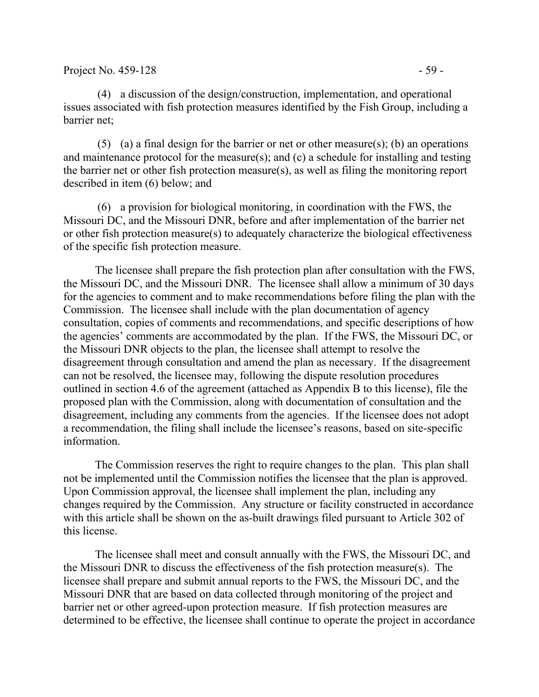(4) a discussion of the design/construction, implementation, and operational issues associated with fish protection measures identified by the Fish Group, including a barrier net;

(5) (a) a final design for the barrier or net or other measure(s); (b) an operations and maintenance protocol for the measure(s); and (c) a schedule for installing and testing the barrier net or other fish protection measure(s), as well as filing the monitoring report described in item (6) below; and

(6) a provision for biological monitoring, in coordination with the FWS, the Missouri DC, and the Missouri DNR, before and after implementation of the barrier net or other fish protection measure(s) to adequately characterize the biological effectiveness of the specific fish protection measure.

The licensee shall prepare the fish protection plan after consultation with the FWS, the Missouri DC, and the Missouri DNR. The licensee shall allow a minimum of 30 days for the agencies to comment and to make recommendations before filing the plan with the Commission. The licensee shall include with the plan documentation of agency consultation, copies of comments and recommendations, and specific descriptions of how the agencies' comments are accommodated by the plan. If the FWS, the Missouri DC, or the Missouri DNR objects to the plan, the licensee shall attempt to resolve the disagreement through consultation and amend the plan as necessary. If the disagreement can not be resolved, the licensee may, following the dispute resolution procedures outlined in section 4.6 of the agreement (attached as Appendix B to this license), file the proposed plan with the Commission, along with documentation of consultation and the disagreement, including any comments from the agencies. If the licensee does not adopt a recommendation, the filing shall include the licensee's reasons, based on site-specific information.

The Commission reserves the right to require changes to the plan. This plan shall not be implemented until the Commission notifies the licensee that the plan is approved. Upon Commission approval, the licensee shall implement the plan, including any changes required by the Commission. Any structure or facility constructed in accordance with this article shall be shown on the as-built drawings filed pursuant to Article 302 of this license.

The licensee shall meet and consult annually with the FWS, the Missouri DC, and the Missouri DNR to discuss the effectiveness of the fish protection measure(s). The licensee shall prepare and submit annual reports to the FWS, the Missouri DC, and the Missouri DNR that are based on data collected through monitoring of the project and barrier net or other agreed-upon protection measure. If fish protection measures are determined to be effective, the licensee shall continue to operate the project in accordance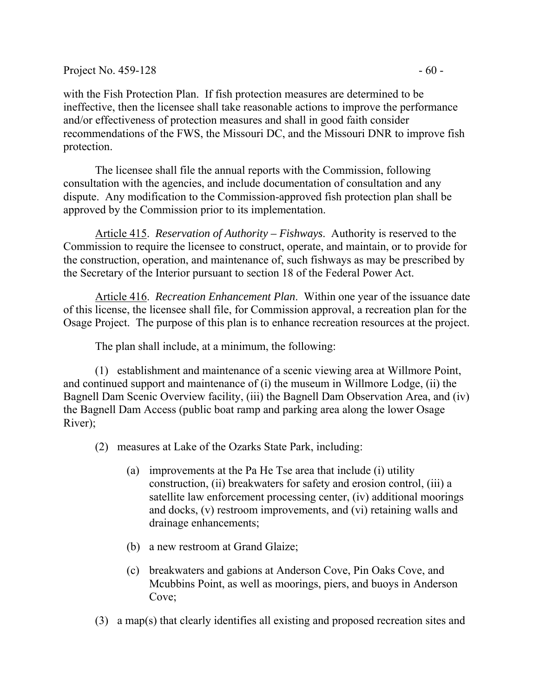with the Fish Protection Plan. If fish protection measures are determined to be ineffective, then the licensee shall take reasonable actions to improve the performance and/or effectiveness of protection measures and shall in good faith consider recommendations of the FWS, the Missouri DC, and the Missouri DNR to improve fish protection.

The licensee shall file the annual reports with the Commission, following consultation with the agencies, and include documentation of consultation and any dispute. Any modification to the Commission-approved fish protection plan shall be approved by the Commission prior to its implementation.

Article 415. *Reservation of Authority – Fishways*. Authority is reserved to the Commission to require the licensee to construct, operate, and maintain, or to provide for the construction, operation, and maintenance of, such fishways as may be prescribed by the Secretary of the Interior pursuant to section 18 of the Federal Power Act.

Article 416. *Recreation Enhancement Plan*. Within one year of the issuance date of this license, the licensee shall file, for Commission approval, a recreation plan for the Osage Project. The purpose of this plan is to enhance recreation resources at the project.

The plan shall include, at a minimum, the following:

(1) establishment and maintenance of a scenic viewing area at Willmore Point, and continued support and maintenance of (i) the museum in Willmore Lodge, (ii) the Bagnell Dam Scenic Overview facility, (iii) the Bagnell Dam Observation Area, and (iv) the Bagnell Dam Access (public boat ramp and parking area along the lower Osage River);

- (2) measures at Lake of the Ozarks State Park, including:
	- (a) improvements at the Pa He Tse area that include (i) utility construction, (ii) breakwaters for safety and erosion control, (iii) a satellite law enforcement processing center, (iv) additional moorings and docks, (v) restroom improvements, and (vi) retaining walls and drainage enhancements;
	- (b) a new restroom at Grand Glaize;
	- (c) breakwaters and gabions at Anderson Cove, Pin Oaks Cove, and Mcubbins Point, as well as moorings, piers, and buoys in Anderson Cove;
- (3) a map(s) that clearly identifies all existing and proposed recreation sites and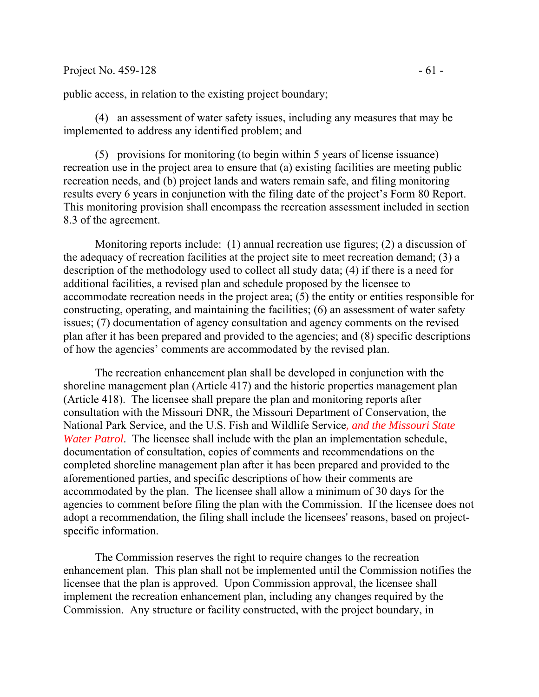### Project No. 459-128 - 61 -

public access, in relation to the existing project boundary;

(4) an assessment of water safety issues, including any measures that may be implemented to address any identified problem; and

(5) provisions for monitoring (to begin within 5 years of license issuance) recreation use in the project area to ensure that (a) existing facilities are meeting public recreation needs, and (b) project lands and waters remain safe, and filing monitoring results every 6 years in conjunction with the filing date of the project's Form 80 Report. This monitoring provision shall encompass the recreation assessment included in section 8.3 of the agreement.

 Monitoring reports include: (1) annual recreation use figures; (2) a discussion of the adequacy of recreation facilities at the project site to meet recreation demand; (3) a description of the methodology used to collect all study data; (4) if there is a need for additional facilities, a revised plan and schedule proposed by the licensee to accommodate recreation needs in the project area; (5) the entity or entities responsible for constructing, operating, and maintaining the facilities; (6) an assessment of water safety issues; (7) documentation of agency consultation and agency comments on the revised plan after it has been prepared and provided to the agencies; and (8) specific descriptions of how the agencies' comments are accommodated by the revised plan.

The recreation enhancement plan shall be developed in conjunction with the shoreline management plan (Article 417) and the historic properties management plan (Article 418). The licensee shall prepare the plan and monitoring reports after consultation with the Missouri DNR, the Missouri Department of Conservation, the National Park Service, and the U.S. Fish and Wildlife Service*, and the Missouri State Water Patrol*. The licensee shall include with the plan an implementation schedule, documentation of consultation, copies of comments and recommendations on the completed shoreline management plan after it has been prepared and provided to the aforementioned parties, and specific descriptions of how their comments are accommodated by the plan. The licensee shall allow a minimum of 30 days for the agencies to comment before filing the plan with the Commission. If the licensee does not adopt a recommendation, the filing shall include the licensees' reasons, based on projectspecific information.

The Commission reserves the right to require changes to the recreation enhancement plan. This plan shall not be implemented until the Commission notifies the licensee that the plan is approved. Upon Commission approval, the licensee shall implement the recreation enhancement plan, including any changes required by the Commission. Any structure or facility constructed, with the project boundary, in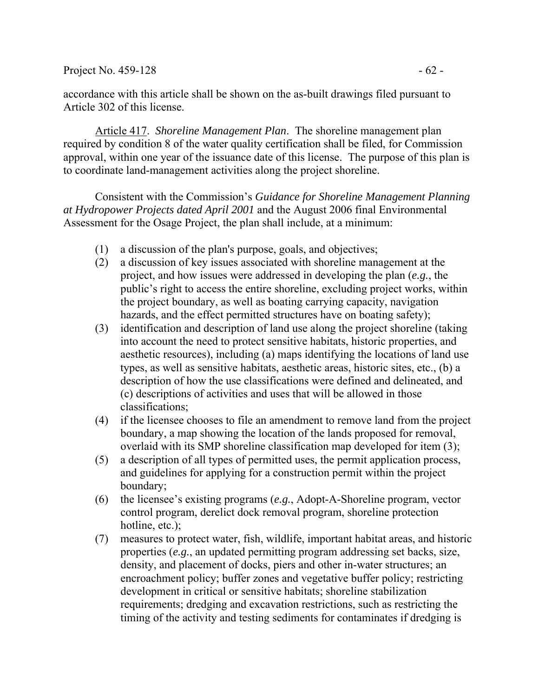### Project No. 459-128  $-62$  -

accordance with this article shall be shown on the as-built drawings filed pursuant to Article 302 of this license.

Article 417. *Shoreline Management Plan*. The shoreline management plan required by condition 8 of the water quality certification shall be filed, for Commission approval, within one year of the issuance date of this license. The purpose of this plan is to coordinate land-management activities along the project shoreline.

Consistent with the Commission's *Guidance for Shoreline Management Planning at Hydropower Projects dated April 2001* and the August 2006 final Environmental Assessment for the Osage Project, the plan shall include, at a minimum:

- (1) a discussion of the plan's purpose, goals, and objectives;
- (2) a discussion of key issues associated with shoreline management at the project, and how issues were addressed in developing the plan (*e.g.*, the public's right to access the entire shoreline, excluding project works, within the project boundary, as well as boating carrying capacity, navigation hazards, and the effect permitted structures have on boating safety);
- (3) identification and description of land use along the project shoreline (taking into account the need to protect sensitive habitats, historic properties, and aesthetic resources), including (a) maps identifying the locations of land use types, as well as sensitive habitats, aesthetic areas, historic sites, etc., (b) a description of how the use classifications were defined and delineated, and (c) descriptions of activities and uses that will be allowed in those classifications;
- (4) if the licensee chooses to file an amendment to remove land from the project boundary, a map showing the location of the lands proposed for removal, overlaid with its SMP shoreline classification map developed for item (3);
- (5) a description of all types of permitted uses, the permit application process, and guidelines for applying for a construction permit within the project boundary;
- (6) the licensee's existing programs (*e.g.*, Adopt-A-Shoreline program, vector control program, derelict dock removal program, shoreline protection hotline, etc.);
- (7) measures to protect water, fish, wildlife, important habitat areas, and historic properties (*e.g.*, an updated permitting program addressing set backs, size, density, and placement of docks, piers and other in-water structures; an encroachment policy; buffer zones and vegetative buffer policy; restricting development in critical or sensitive habitats; shoreline stabilization requirements; dredging and excavation restrictions, such as restricting the timing of the activity and testing sediments for contaminates if dredging is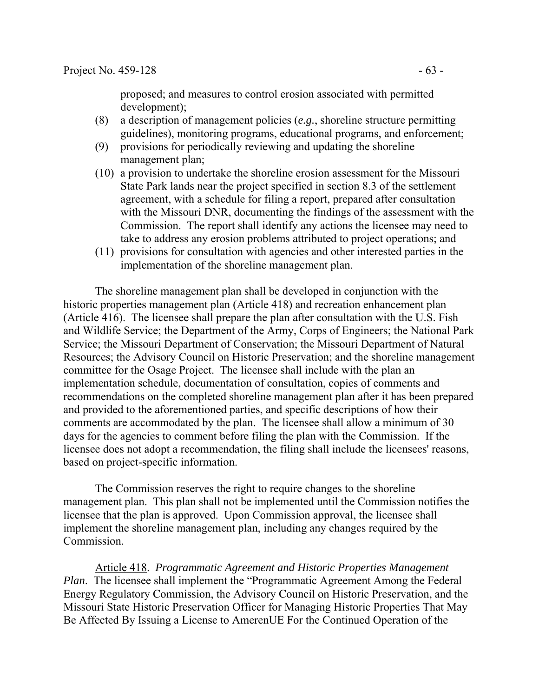proposed; and measures to control erosion associated with permitted development);

- (8) a description of management policies (*e.g.*, shoreline structure permitting guidelines), monitoring programs, educational programs, and enforcement;
- (9) provisions for periodically reviewing and updating the shoreline management plan;
- (10) a provision to undertake the shoreline erosion assessment for the Missouri State Park lands near the project specified in section 8.3 of the settlement agreement, with a schedule for filing a report, prepared after consultation with the Missouri DNR, documenting the findings of the assessment with the Commission. The report shall identify any actions the licensee may need to take to address any erosion problems attributed to project operations; and
- (11) provisions for consultation with agencies and other interested parties in the implementation of the shoreline management plan.

The shoreline management plan shall be developed in conjunction with the historic properties management plan (Article 418) and recreation enhancement plan (Article 416). The licensee shall prepare the plan after consultation with the U.S. Fish and Wildlife Service; the Department of the Army, Corps of Engineers; the National Park Service; the Missouri Department of Conservation; the Missouri Department of Natural Resources; the Advisory Council on Historic Preservation; and the shoreline management committee for the Osage Project. The licensee shall include with the plan an implementation schedule, documentation of consultation, copies of comments and recommendations on the completed shoreline management plan after it has been prepared and provided to the aforementioned parties, and specific descriptions of how their comments are accommodated by the plan. The licensee shall allow a minimum of 30 days for the agencies to comment before filing the plan with the Commission. If the licensee does not adopt a recommendation, the filing shall include the licensees' reasons, based on project-specific information.

The Commission reserves the right to require changes to the shoreline management plan. This plan shall not be implemented until the Commission notifies the licensee that the plan is approved. Upon Commission approval, the licensee shall implement the shoreline management plan, including any changes required by the Commission.

Article 418. *Programmatic Agreement and Historic Properties Management Plan*. The licensee shall implement the "Programmatic Agreement Among the Federal Energy Regulatory Commission, the Advisory Council on Historic Preservation, and the Missouri State Historic Preservation Officer for Managing Historic Properties That May Be Affected By Issuing a License to AmerenUE For the Continued Operation of the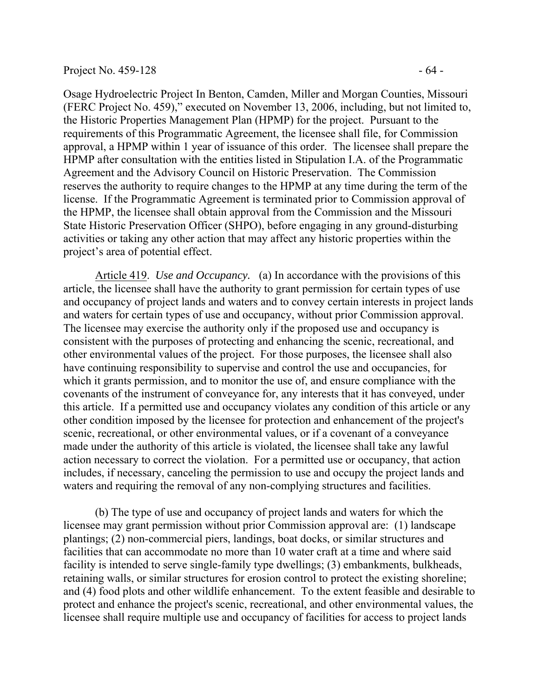Osage Hydroelectric Project In Benton, Camden, Miller and Morgan Counties, Missouri (FERC Project No. 459)," executed on November 13, 2006, including, but not limited to, the Historic Properties Management Plan (HPMP) for the project. Pursuant to the requirements of this Programmatic Agreement, the licensee shall file, for Commission approval, a HPMP within 1 year of issuance of this order. The licensee shall prepare the HPMP after consultation with the entities listed in Stipulation I.A. of the Programmatic Agreement and the Advisory Council on Historic Preservation. The Commission reserves the authority to require changes to the HPMP at any time during the term of the license. If the Programmatic Agreement is terminated prior to Commission approval of the HPMP, the licensee shall obtain approval from the Commission and the Missouri State Historic Preservation Officer (SHPO), before engaging in any ground-disturbing activities or taking any other action that may affect any historic properties within the project's area of potential effect.

Article 419. *Use and Occupancy.* (a) In accordance with the provisions of this article, the licensee shall have the authority to grant permission for certain types of use and occupancy of project lands and waters and to convey certain interests in project lands and waters for certain types of use and occupancy, without prior Commission approval. The licensee may exercise the authority only if the proposed use and occupancy is consistent with the purposes of protecting and enhancing the scenic, recreational, and other environmental values of the project. For those purposes, the licensee shall also have continuing responsibility to supervise and control the use and occupancies, for which it grants permission, and to monitor the use of, and ensure compliance with the covenants of the instrument of conveyance for, any interests that it has conveyed, under this article. If a permitted use and occupancy violates any condition of this article or any other condition imposed by the licensee for protection and enhancement of the project's scenic, recreational, or other environmental values, or if a covenant of a conveyance made under the authority of this article is violated, the licensee shall take any lawful action necessary to correct the violation. For a permitted use or occupancy, that action includes, if necessary, canceling the permission to use and occupy the project lands and waters and requiring the removal of any non-complying structures and facilities.

 (b) The type of use and occupancy of project lands and waters for which the licensee may grant permission without prior Commission approval are: (1) landscape plantings; (2) non-commercial piers, landings, boat docks, or similar structures and facilities that can accommodate no more than 10 water craft at a time and where said facility is intended to serve single-family type dwellings; (3) embankments, bulkheads, retaining walls, or similar structures for erosion control to protect the existing shoreline; and (4) food plots and other wildlife enhancement. To the extent feasible and desirable to protect and enhance the project's scenic, recreational, and other environmental values, the licensee shall require multiple use and occupancy of facilities for access to project lands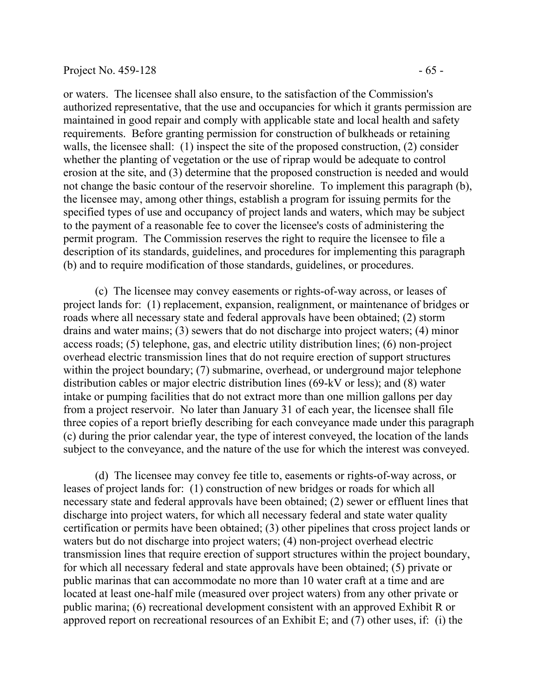or waters. The licensee shall also ensure, to the satisfaction of the Commission's authorized representative, that the use and occupancies for which it grants permission are maintained in good repair and comply with applicable state and local health and safety requirements. Before granting permission for construction of bulkheads or retaining walls, the licensee shall: (1) inspect the site of the proposed construction, (2) consider whether the planting of vegetation or the use of riprap would be adequate to control erosion at the site, and (3) determine that the proposed construction is needed and would not change the basic contour of the reservoir shoreline. To implement this paragraph (b), the licensee may, among other things, establish a program for issuing permits for the specified types of use and occupancy of project lands and waters, which may be subject to the payment of a reasonable fee to cover the licensee's costs of administering the permit program. The Commission reserves the right to require the licensee to file a description of its standards, guidelines, and procedures for implementing this paragraph (b) and to require modification of those standards, guidelines, or procedures.

 (c) The licensee may convey easements or rights-of-way across, or leases of project lands for: (1) replacement, expansion, realignment, or maintenance of bridges or roads where all necessary state and federal approvals have been obtained; (2) storm drains and water mains; (3) sewers that do not discharge into project waters; (4) minor access roads; (5) telephone, gas, and electric utility distribution lines; (6) non-project overhead electric transmission lines that do not require erection of support structures within the project boundary; (7) submarine, overhead, or underground major telephone distribution cables or major electric distribution lines (69-kV or less); and (8) water intake or pumping facilities that do not extract more than one million gallons per day from a project reservoir. No later than January 31 of each year, the licensee shall file three copies of a report briefly describing for each conveyance made under this paragraph (c) during the prior calendar year, the type of interest conveyed, the location of the lands subject to the conveyance, and the nature of the use for which the interest was conveyed.

 (d) The licensee may convey fee title to, easements or rights-of-way across, or leases of project lands for: (1) construction of new bridges or roads for which all necessary state and federal approvals have been obtained; (2) sewer or effluent lines that discharge into project waters, for which all necessary federal and state water quality certification or permits have been obtained; (3) other pipelines that cross project lands or waters but do not discharge into project waters; (4) non-project overhead electric transmission lines that require erection of support structures within the project boundary, for which all necessary federal and state approvals have been obtained; (5) private or public marinas that can accommodate no more than 10 water craft at a time and are located at least one-half mile (measured over project waters) from any other private or public marina; (6) recreational development consistent with an approved Exhibit R or approved report on recreational resources of an Exhibit E; and (7) other uses, if: (i) the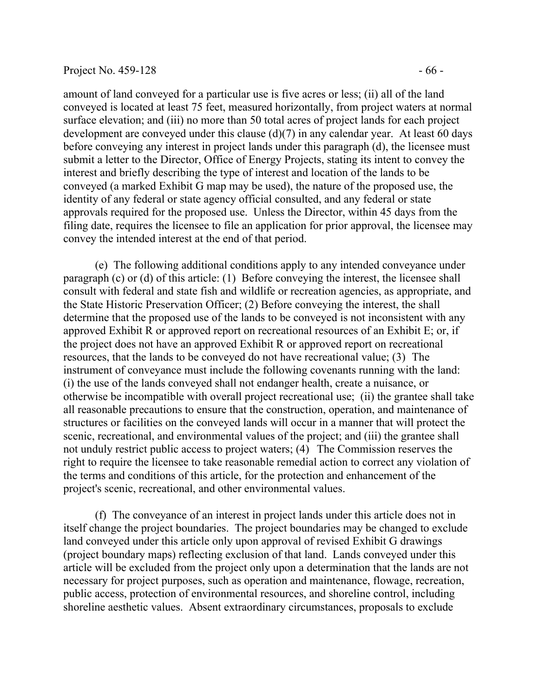#### Project No.  $459-128$  - 66 -

amount of land conveyed for a particular use is five acres or less; (ii) all of the land conveyed is located at least 75 feet, measured horizontally, from project waters at normal surface elevation; and (iii) no more than 50 total acres of project lands for each project development are conveyed under this clause (d)(7) in any calendar year. At least 60 days before conveying any interest in project lands under this paragraph (d), the licensee must submit a letter to the Director, Office of Energy Projects, stating its intent to convey the interest and briefly describing the type of interest and location of the lands to be conveyed (a marked Exhibit G map may be used), the nature of the proposed use, the identity of any federal or state agency official consulted, and any federal or state approvals required for the proposed use. Unless the Director, within 45 days from the filing date, requires the licensee to file an application for prior approval, the licensee may convey the intended interest at the end of that period.

 (e) The following additional conditions apply to any intended conveyance under paragraph (c) or (d) of this article: (1) Before conveying the interest, the licensee shall consult with federal and state fish and wildlife or recreation agencies, as appropriate, and the State Historic Preservation Officer; (2) Before conveying the interest, the shall determine that the proposed use of the lands to be conveyed is not inconsistent with any approved Exhibit R or approved report on recreational resources of an Exhibit E; or, if the project does not have an approved Exhibit R or approved report on recreational resources, that the lands to be conveyed do not have recreational value; (3) The instrument of conveyance must include the following covenants running with the land: (i) the use of the lands conveyed shall not endanger health, create a nuisance, or otherwise be incompatible with overall project recreational use; (ii) the grantee shall take all reasonable precautions to ensure that the construction, operation, and maintenance of structures or facilities on the conveyed lands will occur in a manner that will protect the scenic, recreational, and environmental values of the project; and (iii) the grantee shall not unduly restrict public access to project waters; (4) The Commission reserves the right to require the licensee to take reasonable remedial action to correct any violation of the terms and conditions of this article, for the protection and enhancement of the project's scenic, recreational, and other environmental values.

 (f) The conveyance of an interest in project lands under this article does not in itself change the project boundaries. The project boundaries may be changed to exclude land conveyed under this article only upon approval of revised Exhibit G drawings (project boundary maps) reflecting exclusion of that land. Lands conveyed under this article will be excluded from the project only upon a determination that the lands are not necessary for project purposes, such as operation and maintenance, flowage, recreation, public access, protection of environmental resources, and shoreline control, including shoreline aesthetic values. Absent extraordinary circumstances, proposals to exclude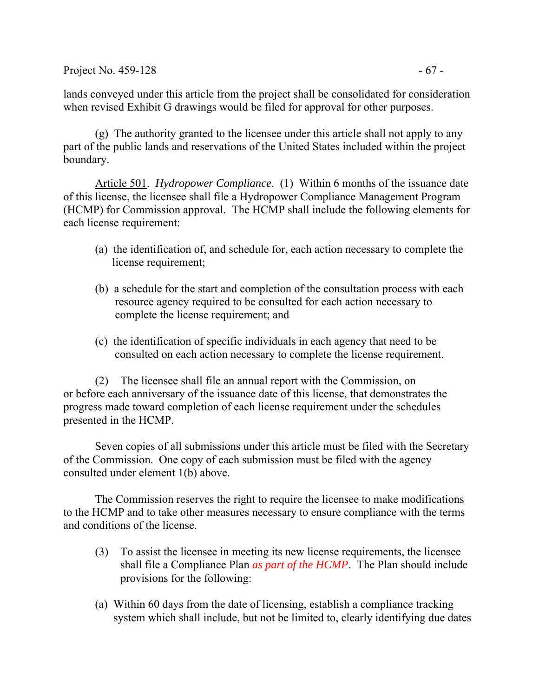Project No.  $459-128$  - 67 -

lands conveyed under this article from the project shall be consolidated for consideration when revised Exhibit G drawings would be filed for approval for other purposes.

(g) The authority granted to the licensee under this article shall not apply to any part of the public lands and reservations of the United States included within the project boundary.

Article 501. *Hydropower Compliance*. (1) Within 6 months of the issuance date of this license, the licensee shall file a Hydropower Compliance Management Program (HCMP) for Commission approval. The HCMP shall include the following elements for each license requirement:

- (a) the identification of, and schedule for, each action necessary to complete the license requirement;
- (b) a schedule for the start and completion of the consultation process with each resource agency required to be consulted for each action necessary to complete the license requirement; and
- (c) the identification of specific individuals in each agency that need to be consulted on each action necessary to complete the license requirement.

(2) The licensee shall file an annual report with the Commission, on or before each anniversary of the issuance date of this license, that demonstrates the progress made toward completion of each license requirement under the schedules presented in the HCMP.

 Seven copies of all submissions under this article must be filed with the Secretary of the Commission. One copy of each submission must be filed with the agency consulted under element 1(b) above.

 The Commission reserves the right to require the licensee to make modifications to the HCMP and to take other measures necessary to ensure compliance with the terms and conditions of the license.

- (3) To assist the licensee in meeting its new license requirements, the licensee shall file a Compliance Plan *as part of the HCMP*. The Plan should include provisions for the following:
- (a) Within 60 days from the date of licensing, establish a compliance tracking system which shall include, but not be limited to, clearly identifying due dates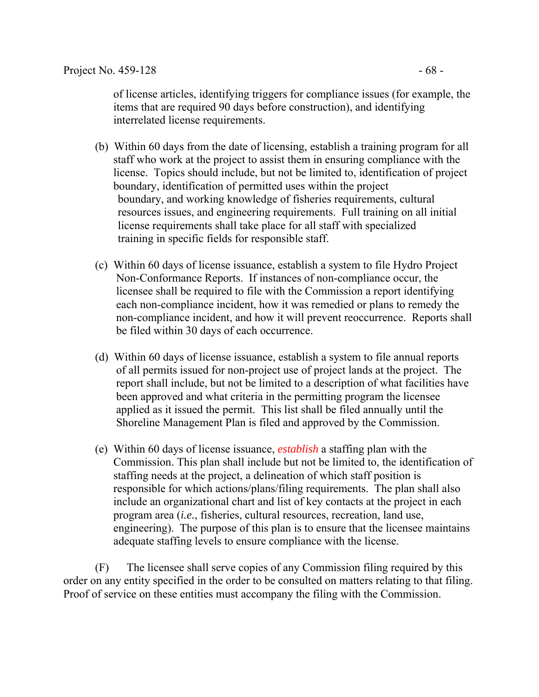of license articles, identifying triggers for compliance issues (for example, the items that are required 90 days before construction), and identifying interrelated license requirements.

- (b) Within 60 days from the date of licensing, establish a training program for all staff who work at the project to assist them in ensuring compliance with the license. Topics should include, but not be limited to, identification of project boundary, identification of permitted uses within the project boundary, and working knowledge of fisheries requirements, cultural resources issues, and engineering requirements. Full training on all initial license requirements shall take place for all staff with specialized training in specific fields for responsible staff.
- (c) Within 60 days of license issuance, establish a system to file Hydro Project Non-Conformance Reports. If instances of non-compliance occur, the licensee shall be required to file with the Commission a report identifying each non-compliance incident, how it was remedied or plans to remedy the non-compliance incident, and how it will prevent reoccurrence. Reports shall be filed within 30 days of each occurrence.
- (d) Within 60 days of license issuance, establish a system to file annual reports of all permits issued for non-project use of project lands at the project. The report shall include, but not be limited to a description of what facilities have been approved and what criteria in the permitting program the licensee applied as it issued the permit. This list shall be filed annually until the Shoreline Management Plan is filed and approved by the Commission.
- (e) Within 60 days of license issuance, *establish* a staffing plan with the Commission. This plan shall include but not be limited to, the identification of staffing needs at the project, a delineation of which staff position is responsible for which actions/plans/filing requirements. The plan shall also include an organizational chart and list of key contacts at the project in each program area (*i.e.*, fisheries, cultural resources, recreation, land use, engineering). The purpose of this plan is to ensure that the licensee maintains adequate staffing levels to ensure compliance with the license.

 (F) The licensee shall serve copies of any Commission filing required by this order on any entity specified in the order to be consulted on matters relating to that filing. Proof of service on these entities must accompany the filing with the Commission.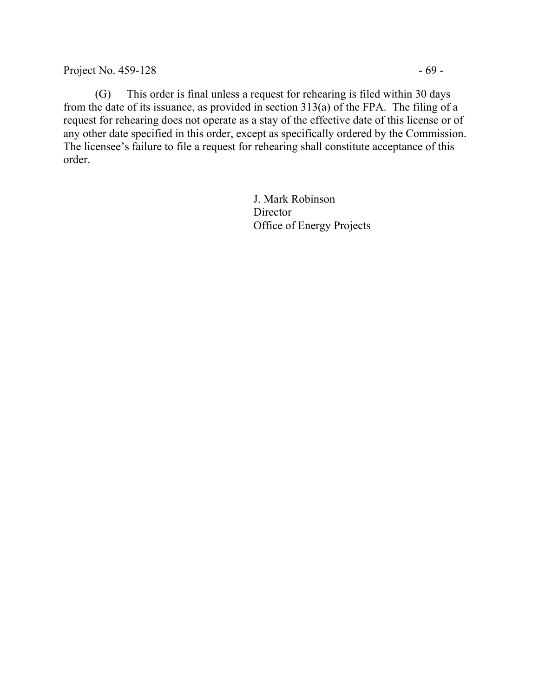Project No. 459-128 - 69 -

 (G) This order is final unless a request for rehearing is filed within 30 days from the date of its issuance, as provided in section 313(a) of the FPA. The filing of a request for rehearing does not operate as a stay of the effective date of this license or of any other date specified in this order, except as specifically ordered by the Commission. The licensee's failure to file a request for rehearing shall constitute acceptance of this order.

> J. Mark Robinson Director Office of Energy Projects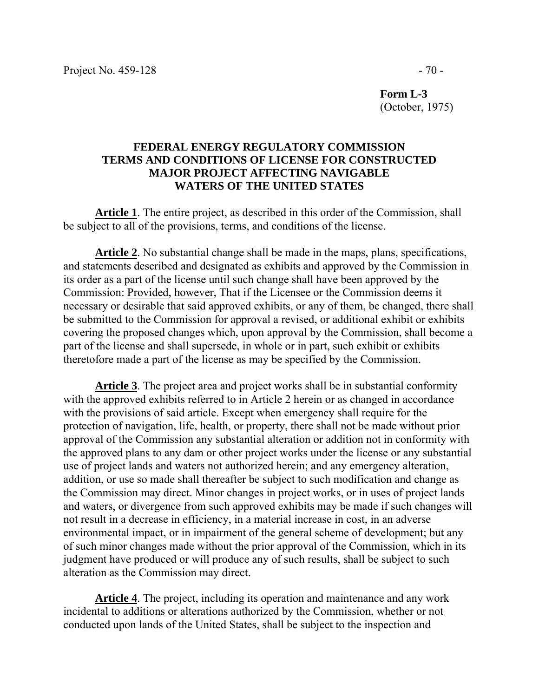**Form L-3**  (October, 1975)

### **FEDERAL ENERGY REGULATORY COMMISSION TERMS AND CONDITIONS OF LICENSE FOR CONSTRUCTED MAJOR PROJECT AFFECTING NAVIGABLE WATERS OF THE UNITED STATES**

**Article 1**. The entire project, as described in this order of the Commission, shall be subject to all of the provisions, terms, and conditions of the license.

**Article 2**. No substantial change shall be made in the maps, plans, specifications, and statements described and designated as exhibits and approved by the Commission in its order as a part of the license until such change shall have been approved by the Commission: Provided, however, That if the Licensee or the Commission deems it necessary or desirable that said approved exhibits, or any of them, be changed, there shall be submitted to the Commission for approval a revised, or additional exhibit or exhibits covering the proposed changes which, upon approval by the Commission, shall become a part of the license and shall supersede, in whole or in part, such exhibit or exhibits theretofore made a part of the license as may be specified by the Commission.

**Article 3**. The project area and project works shall be in substantial conformity with the approved exhibits referred to in Article 2 herein or as changed in accordance with the provisions of said article. Except when emergency shall require for the protection of navigation, life, health, or property, there shall not be made without prior approval of the Commission any substantial alteration or addition not in conformity with the approved plans to any dam or other project works under the license or any substantial use of project lands and waters not authorized herein; and any emergency alteration, addition, or use so made shall thereafter be subject to such modification and change as the Commission may direct. Minor changes in project works, or in uses of project lands and waters, or divergence from such approved exhibits may be made if such changes will not result in a decrease in efficiency, in a material increase in cost, in an adverse environmental impact, or in impairment of the general scheme of development; but any of such minor changes made without the prior approval of the Commission, which in its judgment have produced or will produce any of such results, shall be subject to such alteration as the Commission may direct.

**Article 4**. The project, including its operation and maintenance and any work incidental to additions or alterations authorized by the Commission, whether or not conducted upon lands of the United States, shall be subject to the inspection and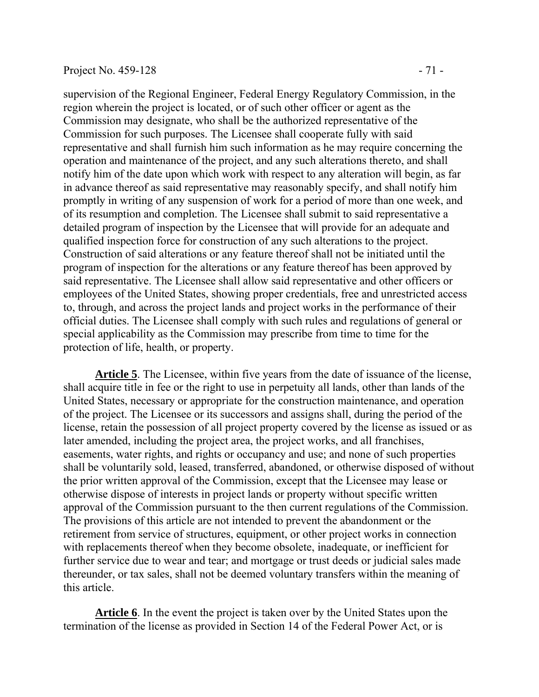### Project No. 459-128 - 71 -

supervision of the Regional Engineer, Federal Energy Regulatory Commission, in the region wherein the project is located, or of such other officer or agent as the Commission may designate, who shall be the authorized representative of the Commission for such purposes. The Licensee shall cooperate fully with said representative and shall furnish him such information as he may require concerning the operation and maintenance of the project, and any such alterations thereto, and shall notify him of the date upon which work with respect to any alteration will begin, as far in advance thereof as said representative may reasonably specify, and shall notify him promptly in writing of any suspension of work for a period of more than one week, and of its resumption and completion. The Licensee shall submit to said representative a detailed program of inspection by the Licensee that will provide for an adequate and qualified inspection force for construction of any such alterations to the project. Construction of said alterations or any feature thereof shall not be initiated until the program of inspection for the alterations or any feature thereof has been approved by said representative. The Licensee shall allow said representative and other officers or employees of the United States, showing proper credentials, free and unrestricted access to, through, and across the project lands and project works in the performance of their official duties. The Licensee shall comply with such rules and regulations of general or special applicability as the Commission may prescribe from time to time for the protection of life, health, or property.

**Article 5**. The Licensee, within five years from the date of issuance of the license, shall acquire title in fee or the right to use in perpetuity all lands, other than lands of the United States, necessary or appropriate for the construction maintenance, and operation of the project. The Licensee or its successors and assigns shall, during the period of the license, retain the possession of all project property covered by the license as issued or as later amended, including the project area, the project works, and all franchises, easements, water rights, and rights or occupancy and use; and none of such properties shall be voluntarily sold, leased, transferred, abandoned, or otherwise disposed of without the prior written approval of the Commission, except that the Licensee may lease or otherwise dispose of interests in project lands or property without specific written approval of the Commission pursuant to the then current regulations of the Commission. The provisions of this article are not intended to prevent the abandonment or the retirement from service of structures, equipment, or other project works in connection with replacements thereof when they become obsolete, inadequate, or inefficient for further service due to wear and tear; and mortgage or trust deeds or judicial sales made thereunder, or tax sales, shall not be deemed voluntary transfers within the meaning of this article.

**Article 6**. In the event the project is taken over by the United States upon the termination of the license as provided in Section 14 of the Federal Power Act, or is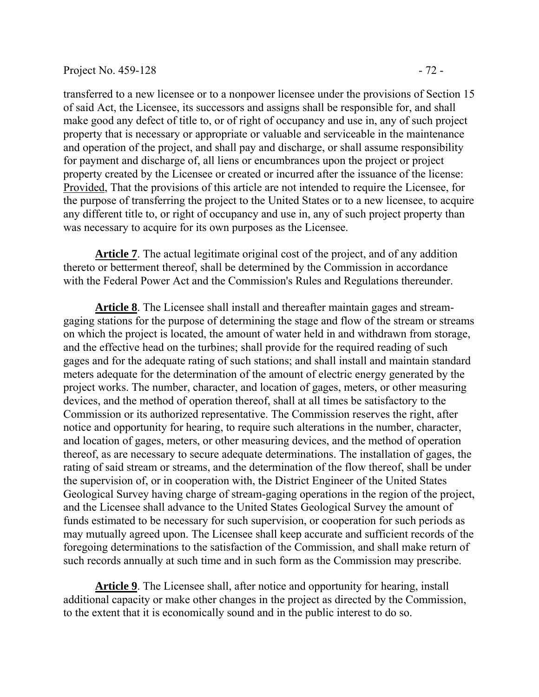transferred to a new licensee or to a nonpower licensee under the provisions of Section 15 of said Act, the Licensee, its successors and assigns shall be responsible for, and shall make good any defect of title to, or of right of occupancy and use in, any of such project property that is necessary or appropriate or valuable and serviceable in the maintenance and operation of the project, and shall pay and discharge, or shall assume responsibility for payment and discharge of, all liens or encumbrances upon the project or project property created by the Licensee or created or incurred after the issuance of the license: Provided, That the provisions of this article are not intended to require the Licensee, for the purpose of transferring the project to the United States or to a new licensee, to acquire any different title to, or right of occupancy and use in, any of such project property than was necessary to acquire for its own purposes as the Licensee.

**Article 7**. The actual legitimate original cost of the project, and of any addition thereto or betterment thereof, shall be determined by the Commission in accordance with the Federal Power Act and the Commission's Rules and Regulations thereunder.

**Article 8**. The Licensee shall install and thereafter maintain gages and streamgaging stations for the purpose of determining the stage and flow of the stream or streams on which the project is located, the amount of water held in and withdrawn from storage, and the effective head on the turbines; shall provide for the required reading of such gages and for the adequate rating of such stations; and shall install and maintain standard meters adequate for the determination of the amount of electric energy generated by the project works. The number, character, and location of gages, meters, or other measuring devices, and the method of operation thereof, shall at all times be satisfactory to the Commission or its authorized representative. The Commission reserves the right, after notice and opportunity for hearing, to require such alterations in the number, character, and location of gages, meters, or other measuring devices, and the method of operation thereof, as are necessary to secure adequate determinations. The installation of gages, the rating of said stream or streams, and the determination of the flow thereof, shall be under the supervision of, or in cooperation with, the District Engineer of the United States Geological Survey having charge of stream-gaging operations in the region of the project, and the Licensee shall advance to the United States Geological Survey the amount of funds estimated to be necessary for such supervision, or cooperation for such periods as may mutually agreed upon. The Licensee shall keep accurate and sufficient records of the foregoing determinations to the satisfaction of the Commission, and shall make return of such records annually at such time and in such form as the Commission may prescribe.

**Article 9**. The Licensee shall, after notice and opportunity for hearing, install additional capacity or make other changes in the project as directed by the Commission, to the extent that it is economically sound and in the public interest to do so.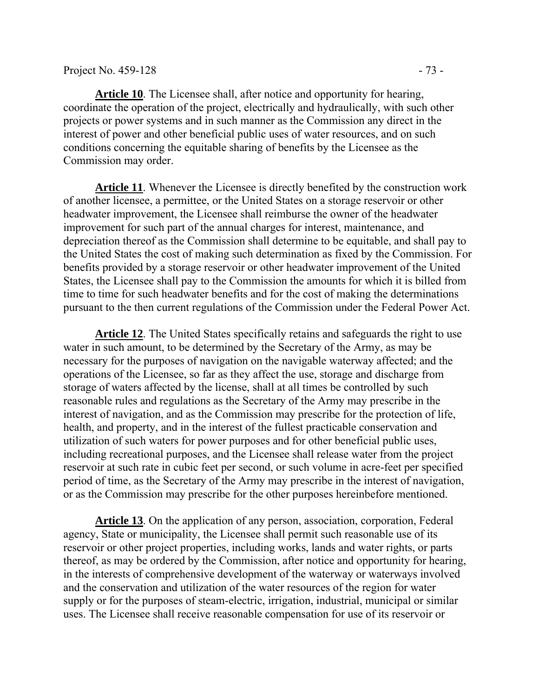**Article 10**. The Licensee shall, after notice and opportunity for hearing, coordinate the operation of the project, electrically and hydraulically, with such other projects or power systems and in such manner as the Commission any direct in the interest of power and other beneficial public uses of water resources, and on such conditions concerning the equitable sharing of benefits by the Licensee as the Commission may order.

**Article 11**. Whenever the Licensee is directly benefited by the construction work of another licensee, a permittee, or the United States on a storage reservoir or other headwater improvement, the Licensee shall reimburse the owner of the headwater improvement for such part of the annual charges for interest, maintenance, and depreciation thereof as the Commission shall determine to be equitable, and shall pay to the United States the cost of making such determination as fixed by the Commission. For benefits provided by a storage reservoir or other headwater improvement of the United States, the Licensee shall pay to the Commission the amounts for which it is billed from time to time for such headwater benefits and for the cost of making the determinations pursuant to the then current regulations of the Commission under the Federal Power Act.

**Article 12**. The United States specifically retains and safeguards the right to use water in such amount, to be determined by the Secretary of the Army, as may be necessary for the purposes of navigation on the navigable waterway affected; and the operations of the Licensee, so far as they affect the use, storage and discharge from storage of waters affected by the license, shall at all times be controlled by such reasonable rules and regulations as the Secretary of the Army may prescribe in the interest of navigation, and as the Commission may prescribe for the protection of life, health, and property, and in the interest of the fullest practicable conservation and utilization of such waters for power purposes and for other beneficial public uses, including recreational purposes, and the Licensee shall release water from the project reservoir at such rate in cubic feet per second, or such volume in acre-feet per specified period of time, as the Secretary of the Army may prescribe in the interest of navigation, or as the Commission may prescribe for the other purposes hereinbefore mentioned.

**Article 13**. On the application of any person, association, corporation, Federal agency, State or municipality, the Licensee shall permit such reasonable use of its reservoir or other project properties, including works, lands and water rights, or parts thereof, as may be ordered by the Commission, after notice and opportunity for hearing, in the interests of comprehensive development of the waterway or waterways involved and the conservation and utilization of the water resources of the region for water supply or for the purposes of steam-electric, irrigation, industrial, municipal or similar uses. The Licensee shall receive reasonable compensation for use of its reservoir or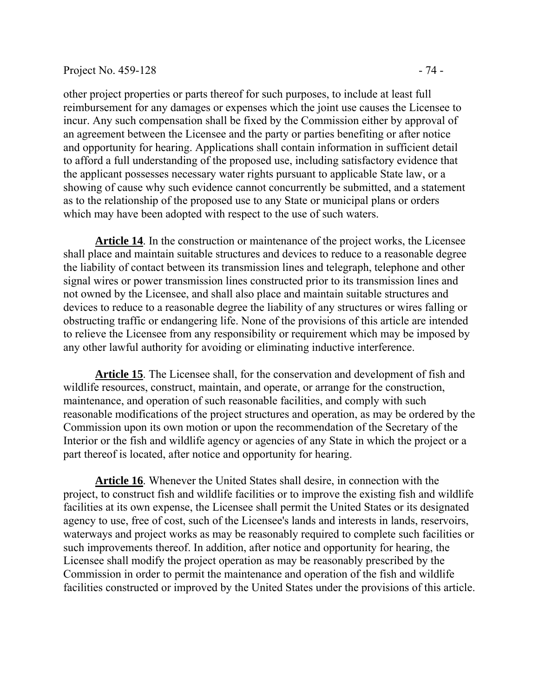#### Project No. 459-128 - 74

other project properties or parts thereof for such purposes, to include at least full reimbursement for any damages or expenses which the joint use causes the Licensee to incur. Any such compensation shall be fixed by the Commission either by approval of an agreement between the Licensee and the party or parties benefiting or after notice and opportunity for hearing. Applications shall contain information in sufficient detail to afford a full understanding of the proposed use, including satisfactory evidence that the applicant possesses necessary water rights pursuant to applicable State law, or a showing of cause why such evidence cannot concurrently be submitted, and a statement as to the relationship of the proposed use to any State or municipal plans or orders which may have been adopted with respect to the use of such waters.

**Article 14**. In the construction or maintenance of the project works, the Licensee shall place and maintain suitable structures and devices to reduce to a reasonable degree the liability of contact between its transmission lines and telegraph, telephone and other signal wires or power transmission lines constructed prior to its transmission lines and not owned by the Licensee, and shall also place and maintain suitable structures and devices to reduce to a reasonable degree the liability of any structures or wires falling or obstructing traffic or endangering life. None of the provisions of this article are intended to relieve the Licensee from any responsibility or requirement which may be imposed by any other lawful authority for avoiding or eliminating inductive interference.

**Article 15**. The Licensee shall, for the conservation and development of fish and wildlife resources, construct, maintain, and operate, or arrange for the construction, maintenance, and operation of such reasonable facilities, and comply with such reasonable modifications of the project structures and operation, as may be ordered by the Commission upon its own motion or upon the recommendation of the Secretary of the Interior or the fish and wildlife agency or agencies of any State in which the project or a part thereof is located, after notice and opportunity for hearing.

**Article 16**. Whenever the United States shall desire, in connection with the project, to construct fish and wildlife facilities or to improve the existing fish and wildlife facilities at its own expense, the Licensee shall permit the United States or its designated agency to use, free of cost, such of the Licensee's lands and interests in lands, reservoirs, waterways and project works as may be reasonably required to complete such facilities or such improvements thereof. In addition, after notice and opportunity for hearing, the Licensee shall modify the project operation as may be reasonably prescribed by the Commission in order to permit the maintenance and operation of the fish and wildlife facilities constructed or improved by the United States under the provisions of this article.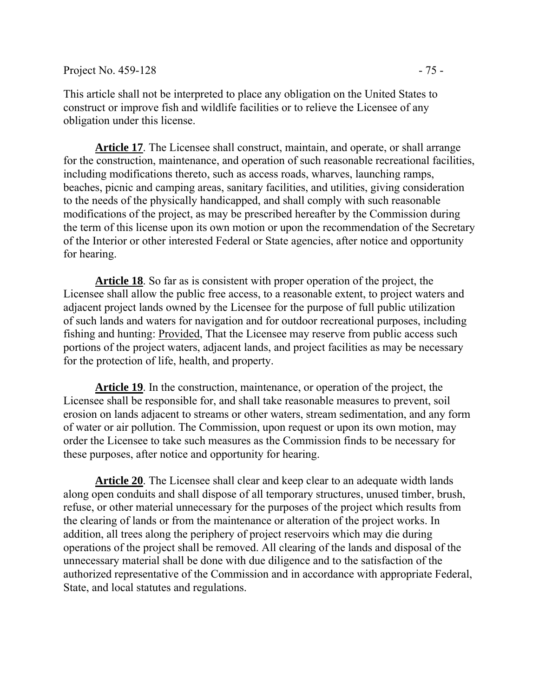This article shall not be interpreted to place any obligation on the United States to construct or improve fish and wildlife facilities or to relieve the Licensee of any obligation under this license.

**Article 17**. The Licensee shall construct, maintain, and operate, or shall arrange for the construction, maintenance, and operation of such reasonable recreational facilities, including modifications thereto, such as access roads, wharves, launching ramps, beaches, picnic and camping areas, sanitary facilities, and utilities, giving consideration to the needs of the physically handicapped, and shall comply with such reasonable modifications of the project, as may be prescribed hereafter by the Commission during the term of this license upon its own motion or upon the recommendation of the Secretary of the Interior or other interested Federal or State agencies, after notice and opportunity for hearing.

**Article 18**. So far as is consistent with proper operation of the project, the Licensee shall allow the public free access, to a reasonable extent, to project waters and adjacent project lands owned by the Licensee for the purpose of full public utilization of such lands and waters for navigation and for outdoor recreational purposes, including fishing and hunting: Provided, That the Licensee may reserve from public access such portions of the project waters, adjacent lands, and project facilities as may be necessary for the protection of life, health, and property.

**Article 19**. In the construction, maintenance, or operation of the project, the Licensee shall be responsible for, and shall take reasonable measures to prevent, soil erosion on lands adjacent to streams or other waters, stream sedimentation, and any form of water or air pollution. The Commission, upon request or upon its own motion, may order the Licensee to take such measures as the Commission finds to be necessary for these purposes, after notice and opportunity for hearing.

**Article 20**. The Licensee shall clear and keep clear to an adequate width lands along open conduits and shall dispose of all temporary structures, unused timber, brush, refuse, or other material unnecessary for the purposes of the project which results from the clearing of lands or from the maintenance or alteration of the project works. In addition, all trees along the periphery of project reservoirs which may die during operations of the project shall be removed. All clearing of the lands and disposal of the unnecessary material shall be done with due diligence and to the satisfaction of the authorized representative of the Commission and in accordance with appropriate Federal, State, and local statutes and regulations.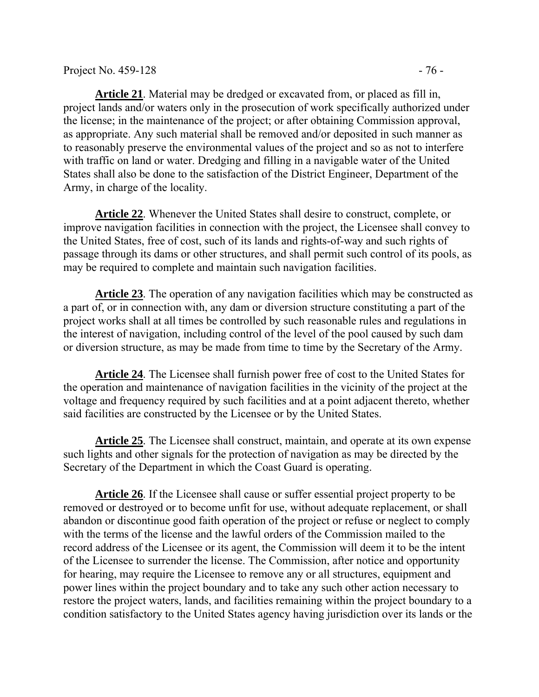**Article 21**. Material may be dredged or excavated from, or placed as fill in, project lands and/or waters only in the prosecution of work specifically authorized under the license; in the maintenance of the project; or after obtaining Commission approval, as appropriate. Any such material shall be removed and/or deposited in such manner as to reasonably preserve the environmental values of the project and so as not to interfere with traffic on land or water. Dredging and filling in a navigable water of the United States shall also be done to the satisfaction of the District Engineer, Department of the Army, in charge of the locality.

**Article 22**. Whenever the United States shall desire to construct, complete, or improve navigation facilities in connection with the project, the Licensee shall convey to the United States, free of cost, such of its lands and rights-of-way and such rights of passage through its dams or other structures, and shall permit such control of its pools, as may be required to complete and maintain such navigation facilities.

**Article 23**. The operation of any navigation facilities which may be constructed as a part of, or in connection with, any dam or diversion structure constituting a part of the project works shall at all times be controlled by such reasonable rules and regulations in the interest of navigation, including control of the level of the pool caused by such dam or diversion structure, as may be made from time to time by the Secretary of the Army.

**Article 24**. The Licensee shall furnish power free of cost to the United States for the operation and maintenance of navigation facilities in the vicinity of the project at the voltage and frequency required by such facilities and at a point adjacent thereto, whether said facilities are constructed by the Licensee or by the United States.

**Article 25**. The Licensee shall construct, maintain, and operate at its own expense such lights and other signals for the protection of navigation as may be directed by the Secretary of the Department in which the Coast Guard is operating.

**Article 26**. If the Licensee shall cause or suffer essential project property to be removed or destroyed or to become unfit for use, without adequate replacement, or shall abandon or discontinue good faith operation of the project or refuse or neglect to comply with the terms of the license and the lawful orders of the Commission mailed to the record address of the Licensee or its agent, the Commission will deem it to be the intent of the Licensee to surrender the license. The Commission, after notice and opportunity for hearing, may require the Licensee to remove any or all structures, equipment and power lines within the project boundary and to take any such other action necessary to restore the project waters, lands, and facilities remaining within the project boundary to a condition satisfactory to the United States agency having jurisdiction over its lands or the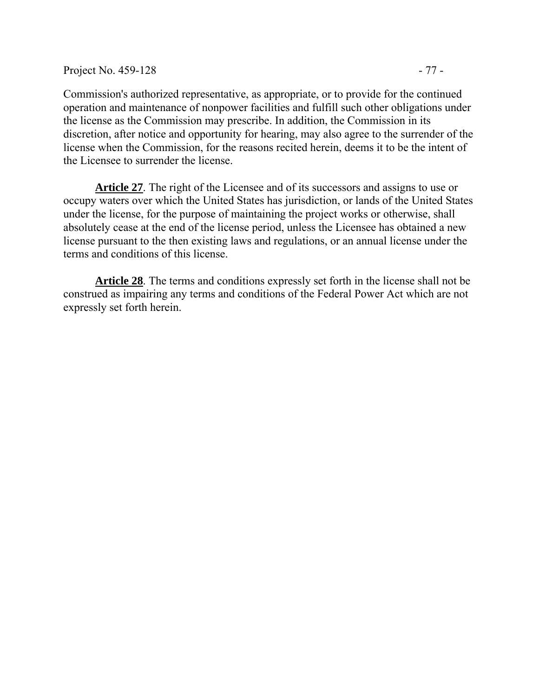discretion, after notice and opportunity for hearing, may also agree to the surrender of the license when the Commission, for the reasons recited herein, deems it to be the intent of the Licensee to surrender the license.

**Article 27**. The right of the Licensee and of its successors and assigns to use or occupy waters over which the United States has jurisdiction, or lands of the United States under the license, for the purpose of maintaining the project works or otherwise, shall absolutely cease at the end of the license period, unless the Licensee has obtained a new license pursuant to the then existing laws and regulations, or an annual license under the terms and conditions of this license.

**Article 28**. The terms and conditions expressly set forth in the license shall not be construed as impairing any terms and conditions of the Federal Power Act which are not expressly set forth herein.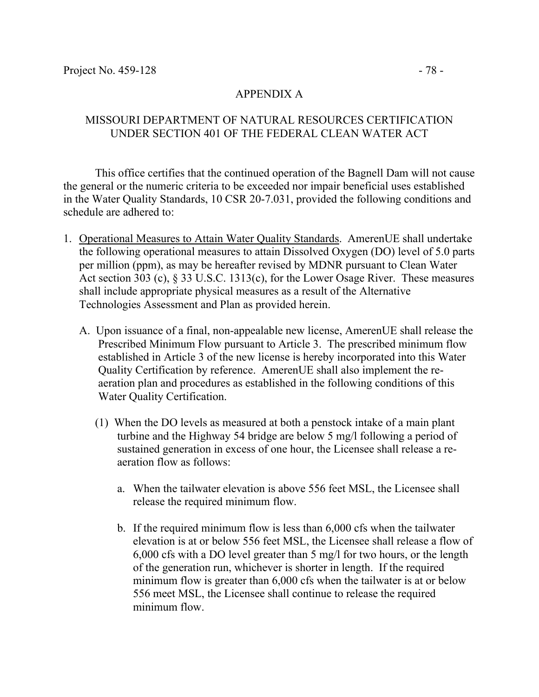#### MISSOURI DEPARTMENT OF NATURAL RESOURCES CERTIFICATION UNDER SECTION 401 OF THE FEDERAL CLEAN WATER ACT

 This office certifies that the continued operation of the Bagnell Dam will not cause the general or the numeric criteria to be exceeded nor impair beneficial uses established in the Water Quality Standards, 10 CSR 20-7.031, provided the following conditions and schedule are adhered to:

- 1. Operational Measures to Attain Water Quality Standards. AmerenUE shall undertake the following operational measures to attain Dissolved Oxygen (DO) level of 5.0 parts per million (ppm), as may be hereafter revised by MDNR pursuant to Clean Water Act section 303 (c), § 33 U.S.C. 1313(c), for the Lower Osage River. These measures shall include appropriate physical measures as a result of the Alternative Technologies Assessment and Plan as provided herein.
	- A. Upon issuance of a final, non-appealable new license, AmerenUE shall release the Prescribed Minimum Flow pursuant to Article 3. The prescribed minimum flow established in Article 3 of the new license is hereby incorporated into this Water Quality Certification by reference. AmerenUE shall also implement the reaeration plan and procedures as established in the following conditions of this Water Quality Certification.
		- (1) When the DO levels as measured at both a penstock intake of a main plant turbine and the Highway 54 bridge are below 5 mg/l following a period of sustained generation in excess of one hour, the Licensee shall release a reaeration flow as follows:
			- a. When the tailwater elevation is above 556 feet MSL, the Licensee shall release the required minimum flow.
			- b. If the required minimum flow is less than 6,000 cfs when the tailwater elevation is at or below 556 feet MSL, the Licensee shall release a flow of 6,000 cfs with a DO level greater than 5 mg/l for two hours, or the length of the generation run, whichever is shorter in length. If the required minimum flow is greater than 6,000 cfs when the tailwater is at or below 556 meet MSL, the Licensee shall continue to release the required minimum flow.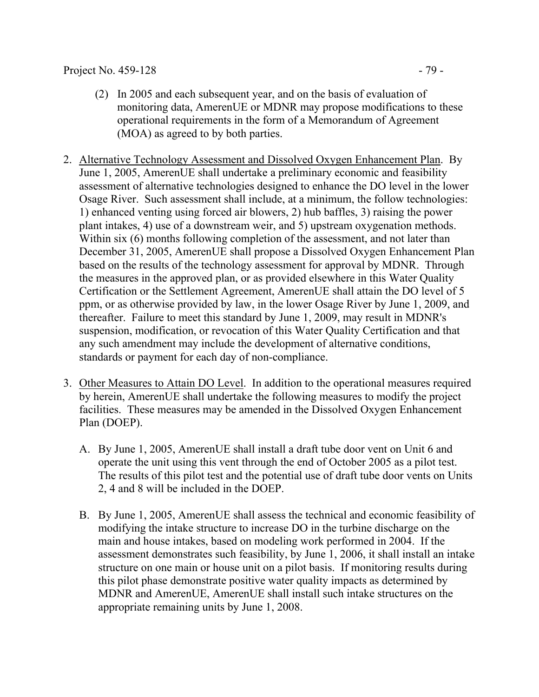#### Project No. 459-128 - 79 -

- (2) In 2005 and each subsequent year, and on the basis of evaluation of monitoring data, AmerenUE or MDNR may propose modifications to these operational requirements in the form of a Memorandum of Agreement (MOA) as agreed to by both parties.
- 2. Alternative Technology Assessment and Dissolved Oxygen Enhancement Plan. By June 1, 2005, AmerenUE shall undertake a preliminary economic and feasibility assessment of alternative technologies designed to enhance the DO level in the lower Osage River. Such assessment shall include, at a minimum, the follow technologies: 1) enhanced venting using forced air blowers, 2) hub baffles, 3) raising the power plant intakes, 4) use of a downstream weir, and 5) upstream oxygenation methods. Within six (6) months following completion of the assessment, and not later than December 31, 2005, AmerenUE shall propose a Dissolved Oxygen Enhancement Plan based on the results of the technology assessment for approval by MDNR. Through the measures in the approved plan, or as provided elsewhere in this Water Quality Certification or the Settlement Agreement, AmerenUE shall attain the DO level of 5 ppm, or as otherwise provided by law, in the lower Osage River by June 1, 2009, and thereafter. Failure to meet this standard by June 1, 2009, may result in MDNR's suspension, modification, or revocation of this Water Quality Certification and that any such amendment may include the development of alternative conditions, standards or payment for each day of non-compliance.
- 3. Other Measures to Attain DO Level. In addition to the operational measures required by herein, AmerenUE shall undertake the following measures to modify the project facilities. These measures may be amended in the Dissolved Oxygen Enhancement Plan (DOEP).
	- A. By June 1, 2005, AmerenUE shall install a draft tube door vent on Unit 6 and operate the unit using this vent through the end of October 2005 as a pilot test. The results of this pilot test and the potential use of draft tube door vents on Units 2, 4 and 8 will be included in the DOEP.
	- B. By June 1, 2005, AmerenUE shall assess the technical and economic feasibility of modifying the intake structure to increase DO in the turbine discharge on the main and house intakes, based on modeling work performed in 2004. If the assessment demonstrates such feasibility, by June 1, 2006, it shall install an intake structure on one main or house unit on a pilot basis. If monitoring results during this pilot phase demonstrate positive water quality impacts as determined by MDNR and AmerenUE, AmerenUE shall install such intake structures on the appropriate remaining units by June 1, 2008.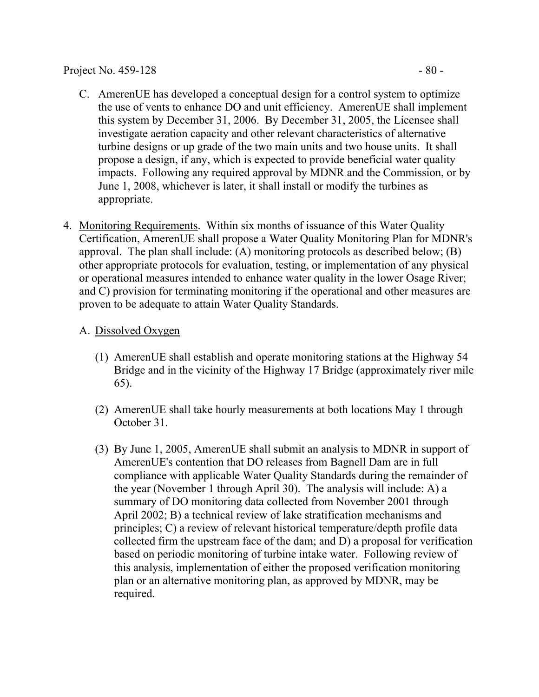- this system by December 31, 2006. By December 31, 2005, the Licensee shall investigate aeration capacity and other relevant characteristics of alternative turbine designs or up grade of the two main units and two house units. It shall propose a design, if any, which is expected to provide beneficial water quality impacts. Following any required approval by MDNR and the Commission, or by June 1, 2008, whichever is later, it shall install or modify the turbines as appropriate.
- 4. Monitoring Requirements. Within six months of issuance of this Water Quality Certification, AmerenUE shall propose a Water Quality Monitoring Plan for MDNR's approval. The plan shall include: (A) monitoring protocols as described below; (B) other appropriate protocols for evaluation, testing, or implementation of any physical or operational measures intended to enhance water quality in the lower Osage River; and C) provision for terminating monitoring if the operational and other measures are proven to be adequate to attain Water Quality Standards.

# A. Dissolved Oxygen

- (1) AmerenUE shall establish and operate monitoring stations at the Highway 54 Bridge and in the vicinity of the Highway 17 Bridge (approximately river mile 65).
- (2) AmerenUE shall take hourly measurements at both locations May 1 through October 31.
- (3) By June 1, 2005, AmerenUE shall submit an analysis to MDNR in support of AmerenUE's contention that DO releases from Bagnell Dam are in full compliance with applicable Water Quality Standards during the remainder of the year (November 1 through April 30). The analysis will include: A) a summary of DO monitoring data collected from November 2001 through April 2002; B) a technical review of lake stratification mechanisms and principles; C) a review of relevant historical temperature/depth profile data collected firm the upstream face of the dam; and D) a proposal for verification based on periodic monitoring of turbine intake water. Following review of this analysis, implementation of either the proposed verification monitoring plan or an alternative monitoring plan, as approved by MDNR, may be required.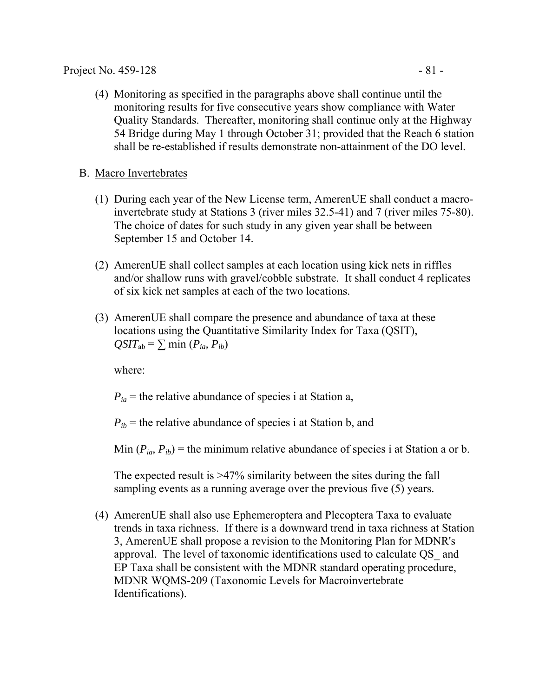(4) Monitoring as specified in the paragraphs above shall continue until the monitoring results for five consecutive years show compliance with Water Quality Standards. Thereafter, monitoring shall continue only at the Highway 54 Bridge during May 1 through October 31; provided that the Reach 6 station shall be re-established if results demonstrate non-attainment of the DO level.

### B. Macro Invertebrates

- (1) During each year of the New License term, AmerenUE shall conduct a macroinvertebrate study at Stations 3 (river miles 32.5-41) and 7 (river miles 75-80). The choice of dates for such study in any given year shall be between September 15 and October 14.
- (2) AmerenUE shall collect samples at each location using kick nets in riffles and/or shallow runs with gravel/cobble substrate. It shall conduct 4 replicates of six kick net samples at each of the two locations.
- (3) AmerenUE shall compare the presence and abundance of taxa at these locations using the Quantitative Similarity Index for Taxa (QSIT),  $QSIT_{ab} = \sum \min (P_{ia}, P_{ib})$

where:

 $P_{ia}$  = the relative abundance of species i at Station a,

 $P_{ib}$  = the relative abundance of species i at Station b, and

Min  $(P_{ia}, P_{ib})$  = the minimum relative abundance of species i at Station a or b.

The expected result is >47% similarity between the sites during the fall sampling events as a running average over the previous five (5) years.

(4) AmerenUE shall also use Ephemeroptera and Plecoptera Taxa to evaluate trends in taxa richness. If there is a downward trend in taxa richness at Station 3, AmerenUE shall propose a revision to the Monitoring Plan for MDNR's approval. The level of taxonomic identifications used to calculate QS\_ and EP Taxa shall be consistent with the MDNR standard operating procedure, MDNR WQMS-209 (Taxonomic Levels for Macroinvertebrate Identifications).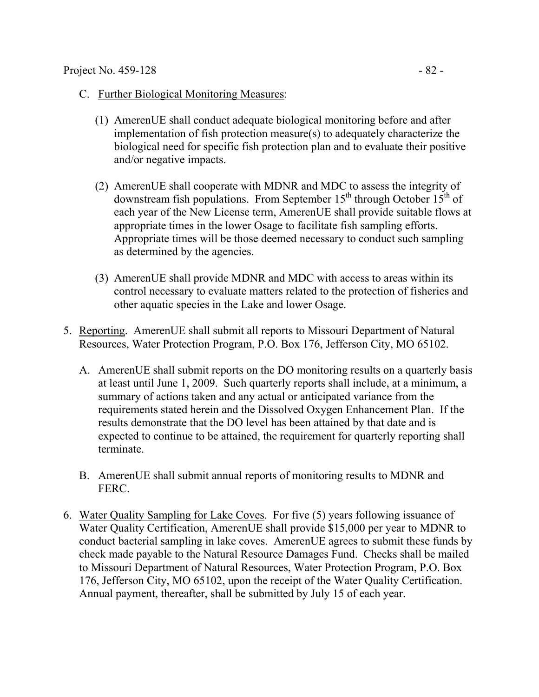- C. Further Biological Monitoring Measures:
	- (1) AmerenUE shall conduct adequate biological monitoring before and after implementation of fish protection measure(s) to adequately characterize the biological need for specific fish protection plan and to evaluate their positive and/or negative impacts.
	- (2) AmerenUE shall cooperate with MDNR and MDC to assess the integrity of downstream fish populations. From September  $15<sup>th</sup>$  through October  $15<sup>th</sup>$  of each year of the New License term, AmerenUE shall provide suitable flows at appropriate times in the lower Osage to facilitate fish sampling efforts. Appropriate times will be those deemed necessary to conduct such sampling as determined by the agencies.
	- (3) AmerenUE shall provide MDNR and MDC with access to areas within its control necessary to evaluate matters related to the protection of fisheries and other aquatic species in the Lake and lower Osage.
- 5. Reporting. AmerenUE shall submit all reports to Missouri Department of Natural Resources, Water Protection Program, P.O. Box 176, Jefferson City, MO 65102.
	- A. AmerenUE shall submit reports on the DO monitoring results on a quarterly basis at least until June 1, 2009. Such quarterly reports shall include, at a minimum, a summary of actions taken and any actual or anticipated variance from the requirements stated herein and the Dissolved Oxygen Enhancement Plan. If the results demonstrate that the DO level has been attained by that date and is expected to continue to be attained, the requirement for quarterly reporting shall terminate.
	- B. AmerenUE shall submit annual reports of monitoring results to MDNR and FERC.
- 6. Water Quality Sampling for Lake Coves. For five (5) years following issuance of Water Quality Certification, AmerenUE shall provide \$15,000 per year to MDNR to conduct bacterial sampling in lake coves. AmerenUE agrees to submit these funds by check made payable to the Natural Resource Damages Fund. Checks shall be mailed to Missouri Department of Natural Resources, Water Protection Program, P.O. Box 176, Jefferson City, MO 65102, upon the receipt of the Water Quality Certification. Annual payment, thereafter, shall be submitted by July 15 of each year.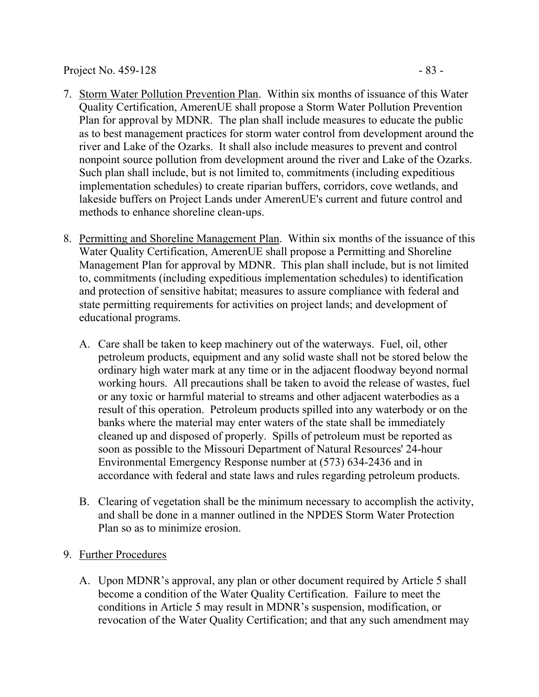#### Project No. 459-128 - 83

- 7. Storm Water Pollution Prevention Plan. Within six months of issuance of this Water Quality Certification, AmerenUE shall propose a Storm Water Pollution Prevention Plan for approval by MDNR. The plan shall include measures to educate the public as to best management practices for storm water control from development around the river and Lake of the Ozarks. It shall also include measures to prevent and control nonpoint source pollution from development around the river and Lake of the Ozarks. Such plan shall include, but is not limited to, commitments (including expeditious implementation schedules) to create riparian buffers, corridors, cove wetlands, and lakeside buffers on Project Lands under AmerenUE's current and future control and methods to enhance shoreline clean-ups.
- 8. Permitting and Shoreline Management Plan. Within six months of the issuance of this Water Quality Certification, AmerenUE shall propose a Permitting and Shoreline Management Plan for approval by MDNR. This plan shall include, but is not limited to, commitments (including expeditious implementation schedules) to identification and protection of sensitive habitat; measures to assure compliance with federal and state permitting requirements for activities on project lands; and development of educational programs.
	- A. Care shall be taken to keep machinery out of the waterways. Fuel, oil, other petroleum products, equipment and any solid waste shall not be stored below the ordinary high water mark at any time or in the adjacent floodway beyond normal working hours. All precautions shall be taken to avoid the release of wastes, fuel or any toxic or harmful material to streams and other adjacent waterbodies as a result of this operation. Petroleum products spilled into any waterbody or on the banks where the material may enter waters of the state shall be immediately cleaned up and disposed of properly. Spills of petroleum must be reported as soon as possible to the Missouri Department of Natural Resources' 24-hour Environmental Emergency Response number at (573) 634-2436 and in accordance with federal and state laws and rules regarding petroleum products.
	- B. Clearing of vegetation shall be the minimum necessary to accomplish the activity, and shall be done in a manner outlined in the NPDES Storm Water Protection Plan so as to minimize erosion.
- 9. Further Procedures
	- A. Upon MDNR's approval, any plan or other document required by Article 5 shall become a condition of the Water Quality Certification. Failure to meet the conditions in Article 5 may result in MDNR's suspension, modification, or revocation of the Water Quality Certification; and that any such amendment may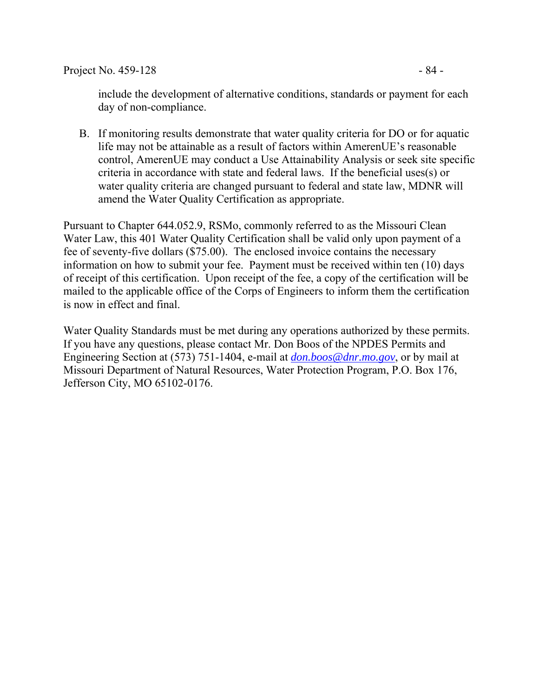include the development of alternative conditions, standards or payment for each day of non-compliance.

B. If monitoring results demonstrate that water quality criteria for DO or for aquatic life may not be attainable as a result of factors within AmerenUE's reasonable control, AmerenUE may conduct a Use Attainability Analysis or seek site specific criteria in accordance with state and federal laws. If the beneficial uses(s) or water quality criteria are changed pursuant to federal and state law, MDNR will amend the Water Quality Certification as appropriate.

Pursuant to Chapter 644.052.9, RSMo, commonly referred to as the Missouri Clean Water Law, this 401 Water Quality Certification shall be valid only upon payment of a fee of seventy-five dollars (\$75.00). The enclosed invoice contains the necessary information on how to submit your fee. Payment must be received within ten (10) days of receipt of this certification. Upon receipt of the fee, a copy of the certification will be mailed to the applicable office of the Corps of Engineers to inform them the certification is now in effect and final.

Water Quality Standards must be met during any operations authorized by these permits. If you have any questions, please contact Mr. Don Boos of the NPDES Permits and Engineering Section at (573) 751-1404, e-mail at *[don.boos@dnr.mo.gov](mailto:don.boos@dnr.mo.gov)*, or by mail at Missouri Department of Natural Resources, Water Protection Program, P.O. Box 176, Jefferson City, MO 65102-0176.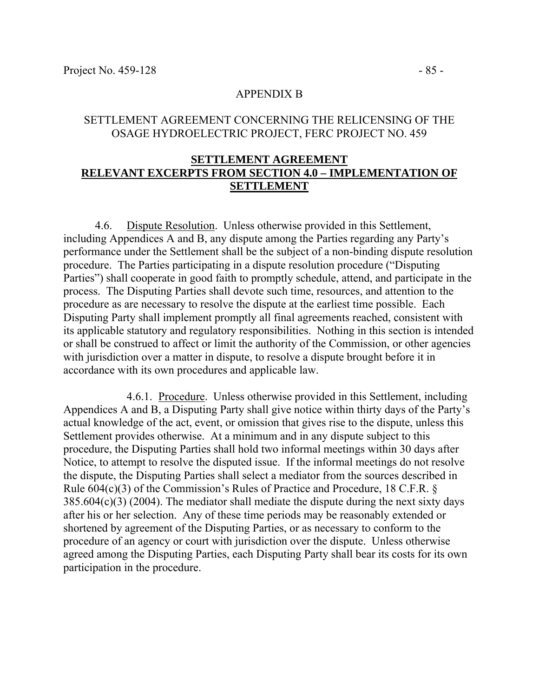#### APPENDIX B

#### SETTLEMENT AGREEMENT CONCERNING THE RELICENSING OF THE OSAGE HYDROELECTRIC PROJECT, FERC PROJECT NO. 459

### **SETTLEMENT AGREEMENT RELEVANT EXCERPTS FROM SECTION 4.0 – IMPLEMENTATION OF SETTLEMENT**

4.6. Dispute Resolution. Unless otherwise provided in this Settlement, including Appendices A and B, any dispute among the Parties regarding any Party's performance under the Settlement shall be the subject of a non-binding dispute resolution procedure. The Parties participating in a dispute resolution procedure ("Disputing Parties") shall cooperate in good faith to promptly schedule, attend, and participate in the process. The Disputing Parties shall devote such time, resources, and attention to the procedure as are necessary to resolve the dispute at the earliest time possible. Each Disputing Party shall implement promptly all final agreements reached, consistent with its applicable statutory and regulatory responsibilities. Nothing in this section is intended or shall be construed to affect or limit the authority of the Commission, or other agencies with jurisdiction over a matter in dispute, to resolve a dispute brought before it in accordance with its own procedures and applicable law.

4.6.1. Procedure. Unless otherwise provided in this Settlement, including Appendices A and B, a Disputing Party shall give notice within thirty days of the Party's actual knowledge of the act, event, or omission that gives rise to the dispute, unless this Settlement provides otherwise. At a minimum and in any dispute subject to this procedure, the Disputing Parties shall hold two informal meetings within 30 days after Notice, to attempt to resolve the disputed issue. If the informal meetings do not resolve the dispute, the Disputing Parties shall select a mediator from the sources described in Rule 604(c)(3) of the Commission's Rules of Practice and Procedure, 18 C.F.R. §  $385.604(c)(3)$  (2004). The mediator shall mediate the dispute during the next sixty days after his or her selection. Any of these time periods may be reasonably extended or shortened by agreement of the Disputing Parties, or as necessary to conform to the procedure of an agency or court with jurisdiction over the dispute. Unless otherwise agreed among the Disputing Parties, each Disputing Party shall bear its costs for its own participation in the procedure.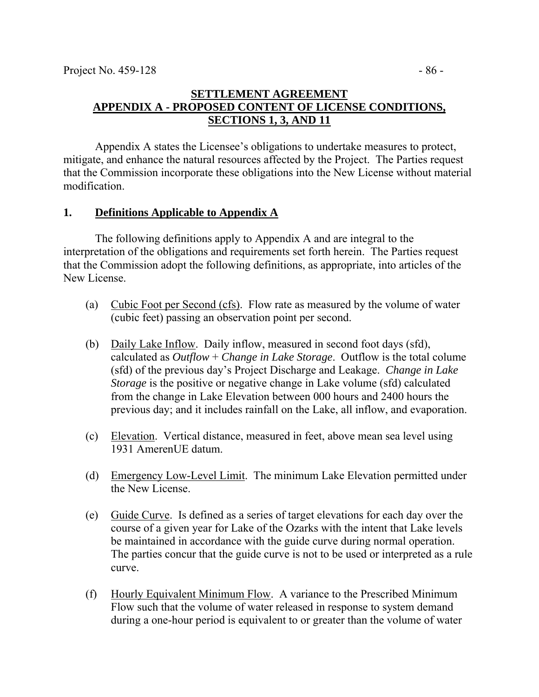# **SETTLEMENT AGREEMENT APPENDIX A - PROPOSED CONTENT OF LICENSE CONDITIONS, SECTIONS 1, 3, AND 11**

 Appendix A states the Licensee's obligations to undertake measures to protect, mitigate, and enhance the natural resources affected by the Project. The Parties request that the Commission incorporate these obligations into the New License without material modification.

### **1. Definitions Applicable to Appendix A**

The following definitions apply to Appendix A and are integral to the interpretation of the obligations and requirements set forth herein. The Parties request that the Commission adopt the following definitions, as appropriate, into articles of the New License.

- (a) Cubic Foot per Second (cfs). Flow rate as measured by the volume of water (cubic feet) passing an observation point per second.
- (b) Daily Lake Inflow. Daily inflow, measured in second foot days (sfd), calculated as *Outflow* + *Change in Lake Storage*. Outflow is the total colume (sfd) of the previous day's Project Discharge and Leakage. *Change in Lake Storage* is the positive or negative change in Lake volume (sfd) calculated from the change in Lake Elevation between 000 hours and 2400 hours the previous day; and it includes rainfall on the Lake, all inflow, and evaporation.
- (c) Elevation. Vertical distance, measured in feet, above mean sea level using 1931 AmerenUE datum.
- (d) Emergency Low-Level Limit. The minimum Lake Elevation permitted under the New License.
- (e) Guide Curve. Is defined as a series of target elevations for each day over the course of a given year for Lake of the Ozarks with the intent that Lake levels be maintained in accordance with the guide curve during normal operation. The parties concur that the guide curve is not to be used or interpreted as a rule curve.
- (f) Hourly Equivalent Minimum Flow. A variance to the Prescribed Minimum Flow such that the volume of water released in response to system demand during a one-hour period is equivalent to or greater than the volume of water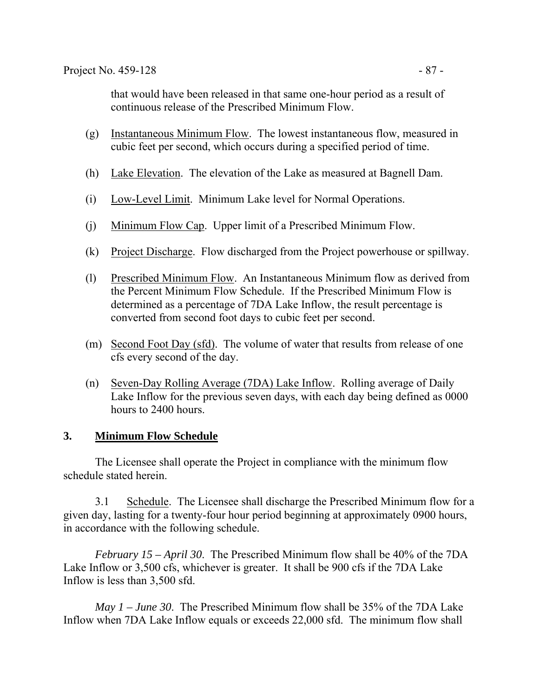that would have been released in that same one-hour period as a result of continuous release of the Prescribed Minimum Flow.

- (g) Instantaneous Minimum Flow. The lowest instantaneous flow, measured in cubic feet per second, which occurs during a specified period of time.
- (h) Lake Elevation. The elevation of the Lake as measured at Bagnell Dam.
- (i) Low-Level Limit. Minimum Lake level for Normal Operations.
- (j) Minimum Flow Cap. Upper limit of a Prescribed Minimum Flow.
- (k) Project Discharge. Flow discharged from the Project powerhouse or spillway.
- (l) Prescribed Minimum Flow. An Instantaneous Minimum flow as derived from the Percent Minimum Flow Schedule. If the Prescribed Minimum Flow is determined as a percentage of 7DA Lake Inflow, the result percentage is converted from second foot days to cubic feet per second.
- (m) Second Foot Day (sfd). The volume of water that results from release of one cfs every second of the day.
- (n) Seven-Day Rolling Average (7DA) Lake Inflow. Rolling average of Daily Lake Inflow for the previous seven days, with each day being defined as 0000 hours to 2400 hours.

### **3. Minimum Flow Schedule**

 The Licensee shall operate the Project in compliance with the minimum flow schedule stated herein.

 3.1 Schedule. The Licensee shall discharge the Prescribed Minimum flow for a given day, lasting for a twenty-four hour period beginning at approximately 0900 hours, in accordance with the following schedule.

*February 15 – April 30*. The Prescribed Minimum flow shall be 40% of the 7DA Lake Inflow or 3,500 cfs, whichever is greater. It shall be 900 cfs if the 7DA Lake Inflow is less than 3,500 sfd.

*May 1 – June 30*. The Prescribed Minimum flow shall be 35% of the 7DA Lake Inflow when 7DA Lake Inflow equals or exceeds 22,000 sfd. The minimum flow shall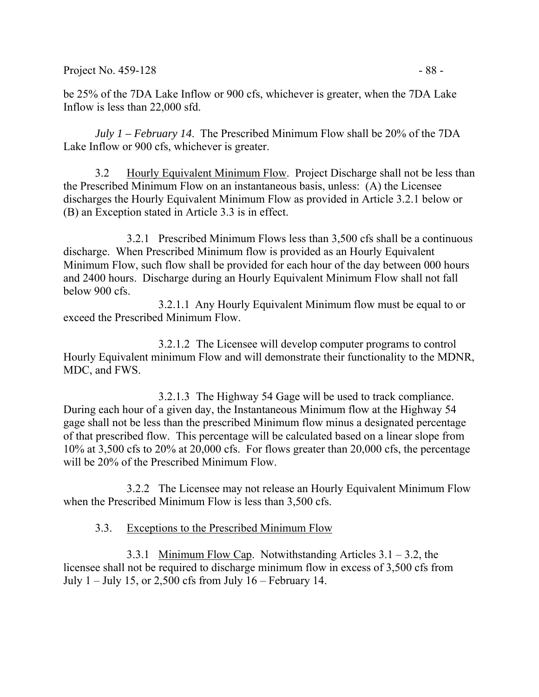Project No. 459-128 - 88 -

be 25% of the 7DA Lake Inflow or 900 cfs, whichever is greater, when the 7DA Lake Inflow is less than 22,000 sfd.

*July 1 – February 14*. The Prescribed Minimum Flow shall be 20% of the 7DA Lake Inflow or 900 cfs, whichever is greater.

 3.2 Hourly Equivalent Minimum Flow. Project Discharge shall not be less than the Prescribed Minimum Flow on an instantaneous basis, unless: (A) the Licensee discharges the Hourly Equivalent Minimum Flow as provided in Article 3.2.1 below or (B) an Exception stated in Article 3.3 is in effect.

 3.2.1 Prescribed Minimum Flows less than 3,500 cfs shall be a continuous discharge. When Prescribed Minimum flow is provided as an Hourly Equivalent Minimum Flow, such flow shall be provided for each hour of the day between 000 hours and 2400 hours. Discharge during an Hourly Equivalent Minimum Flow shall not fall below 900 cfs.

3.2.1.1 Any Hourly Equivalent Minimum flow must be equal to or exceed the Prescribed Minimum Flow.

3.2.1.2 The Licensee will develop computer programs to control Hourly Equivalent minimum Flow and will demonstrate their functionality to the MDNR, MDC, and FWS.

3.2.1.3 The Highway 54 Gage will be used to track compliance. During each hour of a given day, the Instantaneous Minimum flow at the Highway 54 gage shall not be less than the prescribed Minimum flow minus a designated percentage of that prescribed flow. This percentage will be calculated based on a linear slope from 10% at 3,500 cfs to 20% at 20,000 cfs. For flows greater than 20,000 cfs, the percentage will be 20% of the Prescribed Minimum Flow.

3.2.2 The Licensee may not release an Hourly Equivalent Minimum Flow when the Prescribed Minimum Flow is less than 3,500 cfs.

### 3.3. Exceptions to the Prescribed Minimum Flow

3.3.1 Minimum Flow Cap. Notwithstanding Articles 3.1 – 3.2, the licensee shall not be required to discharge minimum flow in excess of 3,500 cfs from July  $1 -$  July 15, or 2,500 cfs from July  $16 -$  February 14.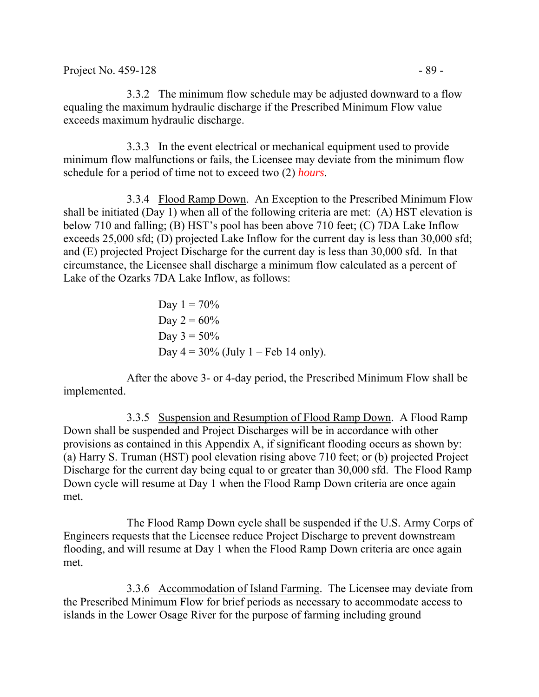3.3.2 The minimum flow schedule may be adjusted downward to a flow equaling the maximum hydraulic discharge if the Prescribed Minimum Flow value exceeds maximum hydraulic discharge.

3.3.3 In the event electrical or mechanical equipment used to provide minimum flow malfunctions or fails, the Licensee may deviate from the minimum flow schedule for a period of time not to exceed two (2) *hours*.

3.3.4 Flood Ramp Down. An Exception to the Prescribed Minimum Flow shall be initiated (Day 1) when all of the following criteria are met: (A) HST elevation is below 710 and falling; (B) HST's pool has been above 710 feet; (C) 7DA Lake Inflow exceeds 25,000 sfd; (D) projected Lake Inflow for the current day is less than 30,000 sfd; and (E) projected Project Discharge for the current day is less than 30,000 sfd. In that circumstance, the Licensee shall discharge a minimum flow calculated as a percent of Lake of the Ozarks 7DA Lake Inflow, as follows:

Day 1 = 70% Day 2 = 60% Day 3 = 50% Day 4 = 30% (July 1 – Feb 14 only).

 After the above 3- or 4-day period, the Prescribed Minimum Flow shall be implemented.

3.3.5 Suspension and Resumption of Flood Ramp Down. A Flood Ramp Down shall be suspended and Project Discharges will be in accordance with other provisions as contained in this Appendix A, if significant flooding occurs as shown by: (a) Harry S. Truman (HST) pool elevation rising above 710 feet; or (b) projected Project Discharge for the current day being equal to or greater than 30,000 sfd. The Flood Ramp Down cycle will resume at Day 1 when the Flood Ramp Down criteria are once again met.

The Flood Ramp Down cycle shall be suspended if the U.S. Army Corps of Engineers requests that the Licensee reduce Project Discharge to prevent downstream flooding, and will resume at Day 1 when the Flood Ramp Down criteria are once again met.

3.3.6 Accommodation of Island Farming. The Licensee may deviate from the Prescribed Minimum Flow for brief periods as necessary to accommodate access to islands in the Lower Osage River for the purpose of farming including ground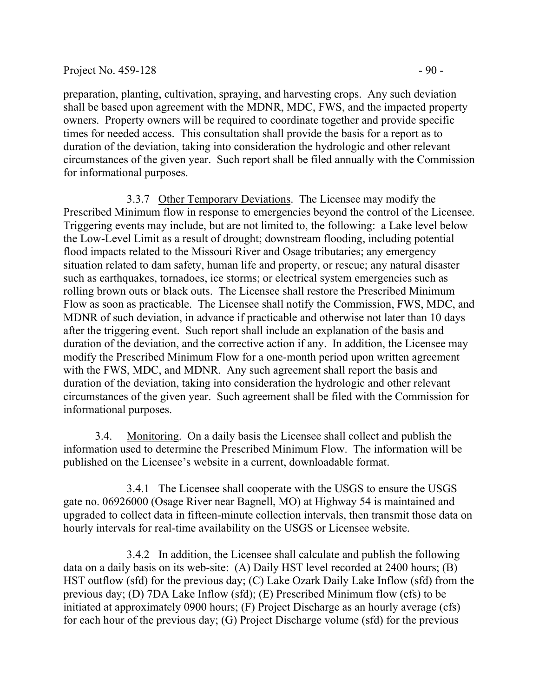#### Project No.  $459-128$  - 90 -

shall be based upon agreement with the MDNR, MDC, FWS, and the impacted property owners. Property owners will be required to coordinate together and provide specific times for needed access. This consultation shall provide the basis for a report as to duration of the deviation, taking into consideration the hydrologic and other relevant circumstances of the given year. Such report shall be filed annually with the Commission for informational purposes.

3.3.7 Other Temporary Deviations. The Licensee may modify the Prescribed Minimum flow in response to emergencies beyond the control of the Licensee. Triggering events may include, but are not limited to, the following: a Lake level below the Low-Level Limit as a result of drought; downstream flooding, including potential flood impacts related to the Missouri River and Osage tributaries; any emergency situation related to dam safety, human life and property, or rescue; any natural disaster such as earthquakes, tornadoes, ice storms; or electrical system emergencies such as rolling brown outs or black outs. The Licensee shall restore the Prescribed Minimum Flow as soon as practicable. The Licensee shall notify the Commission, FWS, MDC, and MDNR of such deviation, in advance if practicable and otherwise not later than 10 days after the triggering event. Such report shall include an explanation of the basis and duration of the deviation, and the corrective action if any. In addition, the Licensee may modify the Prescribed Minimum Flow for a one-month period upon written agreement with the FWS, MDC, and MDNR. Any such agreement shall report the basis and duration of the deviation, taking into consideration the hydrologic and other relevant circumstances of the given year. Such agreement shall be filed with the Commission for informational purposes.

3.4. Monitoring. On a daily basis the Licensee shall collect and publish the information used to determine the Prescribed Minimum Flow. The information will be published on the Licensee's website in a current, downloadable format.

3.4.1 The Licensee shall cooperate with the USGS to ensure the USGS gate no. 06926000 (Osage River near Bagnell, MO) at Highway 54 is maintained and upgraded to collect data in fifteen-minute collection intervals, then transmit those data on hourly intervals for real-time availability on the USGS or Licensee website.

3.4.2 In addition, the Licensee shall calculate and publish the following data on a daily basis on its web-site: (A) Daily HST level recorded at 2400 hours; (B) HST outflow (sfd) for the previous day; (C) Lake Ozark Daily Lake Inflow (sfd) from the previous day; (D) 7DA Lake Inflow (sfd); (E) Prescribed Minimum flow (cfs) to be initiated at approximately 0900 hours; (F) Project Discharge as an hourly average (cfs) for each hour of the previous day; (G) Project Discharge volume (sfd) for the previous